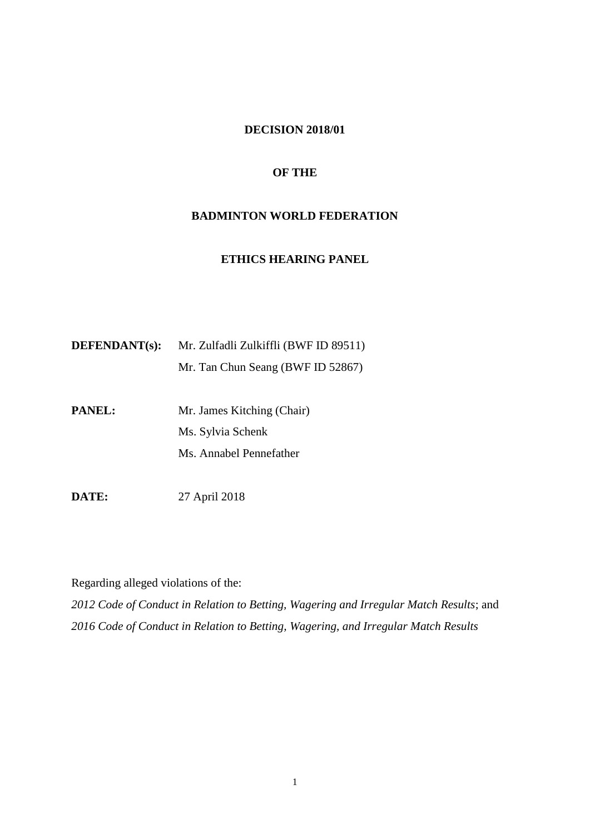# **DECISION 2018/01**

### **OF THE**

# **BADMINTON WORLD FEDERATION**

# **ETHICS HEARING PANEL**

| <b>DEFENDANT(s):</b> | Mr. Zulfadli Zulkiffli (BWF ID 89511) |
|----------------------|---------------------------------------|
|                      | Mr. Tan Chun Seang (BWF ID 52867)     |

**PANEL:** Mr. James Kitching (Chair) Ms. Sylvia Schenk Ms. Annabel Pennefather

**DATE:** 27 April 2018

Regarding alleged violations of the:

*2012 Code of Conduct in Relation to Betting, Wagering and Irregular Match Results*; and *2016 Code of Conduct in Relation to Betting, Wagering, and Irregular Match Results*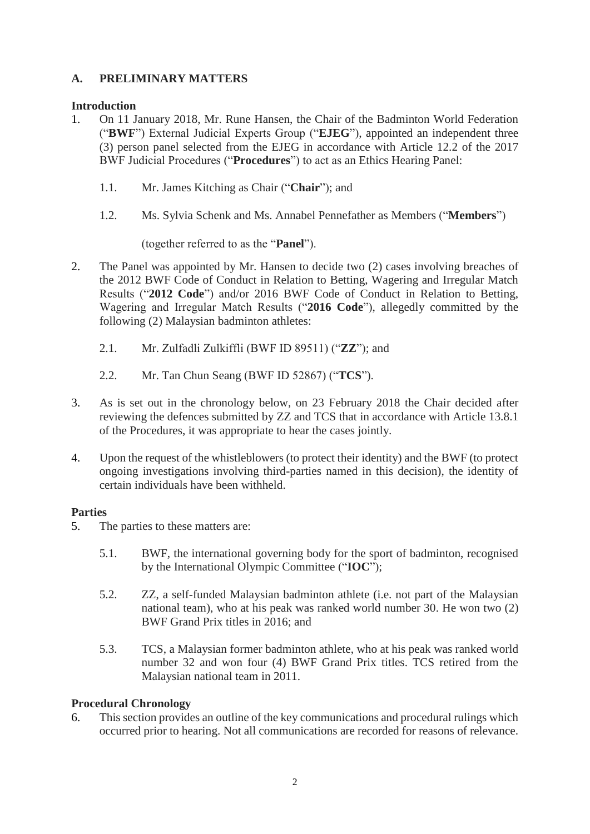# **A. PRELIMINARY MATTERS**

# **Introduction**

- 1. On 11 January 2018, Mr. Rune Hansen, the Chair of the Badminton World Federation ("**BWF**") External Judicial Experts Group ("**EJEG**"), appointed an independent three (3) person panel selected from the EJEG in accordance with Article 12.2 of the 2017 BWF Judicial Procedures ("**Procedures**") to act as an Ethics Hearing Panel:
	- 1.1. Mr. James Kitching as Chair ("**Chair**"); and
	- 1.2. Ms. Sylvia Schenk and Ms. Annabel Pennefather as Members ("**Members**")

(together referred to as the "**Panel**").

- 2. The Panel was appointed by Mr. Hansen to decide two (2) cases involving breaches of the 2012 BWF Code of Conduct in Relation to Betting, Wagering and Irregular Match Results ("**2012 Code**") and/or 2016 BWF Code of Conduct in Relation to Betting, Wagering and Irregular Match Results ("**2016 Code**"), allegedly committed by the following (2) Malaysian badminton athletes:
	- 2.1. Mr. Zulfadli Zulkiffli (BWF ID 89511) ("**ZZ**"); and
	- 2.2. Mr. Tan Chun Seang (BWF ID 52867) ("**TCS**").
- 3. As is set out in the chronology below, on 23 February 2018 the Chair decided after reviewing the defences submitted by ZZ and TCS that in accordance with Article 13.8.1 of the Procedures, it was appropriate to hear the cases jointly.
- 4. Upon the request of the whistleblowers (to protect their identity) and the BWF (to protect ongoing investigations involving third-parties named in this decision), the identity of certain individuals have been withheld.

# **Parties**

- 5. The parties to these matters are:
	- 5.1. BWF, the international governing body for the sport of badminton, recognised by the International Olympic Committee ("**IOC**");
	- 5.2. ZZ, a self-funded Malaysian badminton athlete (i.e. not part of the Malaysian national team), who at his peak was ranked world number 30. He won two (2) BWF Grand Prix titles in 2016; and
	- 5.3. TCS, a Malaysian former badminton athlete, who at his peak was ranked world number 32 and won four (4) BWF Grand Prix titles. TCS retired from the Malaysian national team in 2011.

# **Procedural Chronology**

6. This section provides an outline of the key communications and procedural rulings which occurred prior to hearing. Not all communications are recorded for reasons of relevance.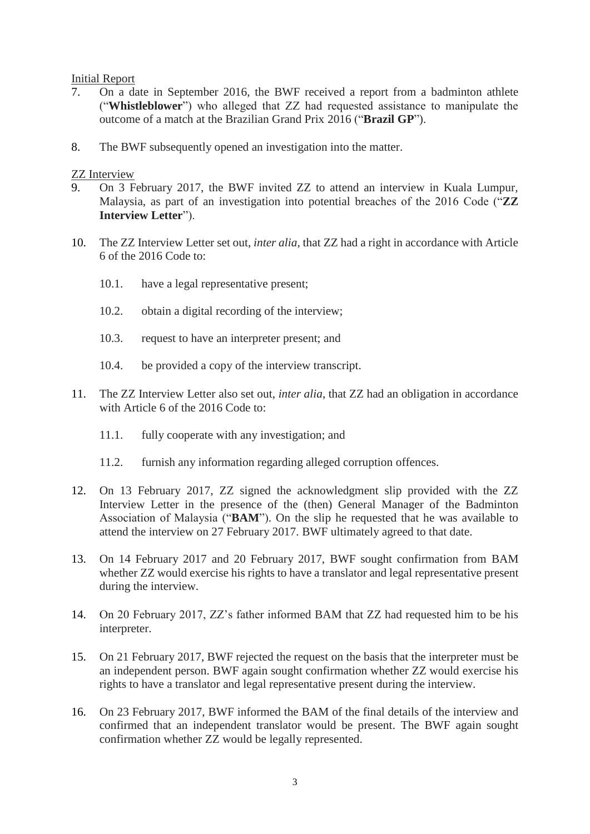### Initial Report

- 7. On a date in September 2016, the BWF received a report from a badminton athlete ("**Whistleblower**") who alleged that ZZ had requested assistance to manipulate the outcome of a match at the Brazilian Grand Prix 2016 ("**Brazil GP**").
- 8. The BWF subsequently opened an investigation into the matter.

### ZZ Interview

- 9. On 3 February 2017, the BWF invited ZZ to attend an interview in Kuala Lumpur, Malaysia, as part of an investigation into potential breaches of the 2016 Code ("**ZZ Interview Letter**").
- 10. The ZZ Interview Letter set out, *inter alia*, that ZZ had a right in accordance with Article 6 of the 2016 Code to:
	- 10.1. have a legal representative present;
	- 10.2. obtain a digital recording of the interview;
	- 10.3. request to have an interpreter present; and
	- 10.4. be provided a copy of the interview transcript.
- 11. The ZZ Interview Letter also set out, *inter alia*, that ZZ had an obligation in accordance with Article 6 of the 2016 Code to:
	- 11.1. fully cooperate with any investigation; and
	- 11.2. furnish any information regarding alleged corruption offences.
- 12. On 13 February 2017, ZZ signed the acknowledgment slip provided with the ZZ Interview Letter in the presence of the (then) General Manager of the Badminton Association of Malaysia ("**BAM**"). On the slip he requested that he was available to attend the interview on 27 February 2017. BWF ultimately agreed to that date.
- 13. On 14 February 2017 and 20 February 2017, BWF sought confirmation from BAM whether ZZ would exercise his rights to have a translator and legal representative present during the interview.
- 14. On 20 February 2017, ZZ's father informed BAM that ZZ had requested him to be his interpreter.
- 15. On 21 February 2017, BWF rejected the request on the basis that the interpreter must be an independent person. BWF again sought confirmation whether ZZ would exercise his rights to have a translator and legal representative present during the interview.
- 16. On 23 February 2017, BWF informed the BAM of the final details of the interview and confirmed that an independent translator would be present. The BWF again sought confirmation whether ZZ would be legally represented.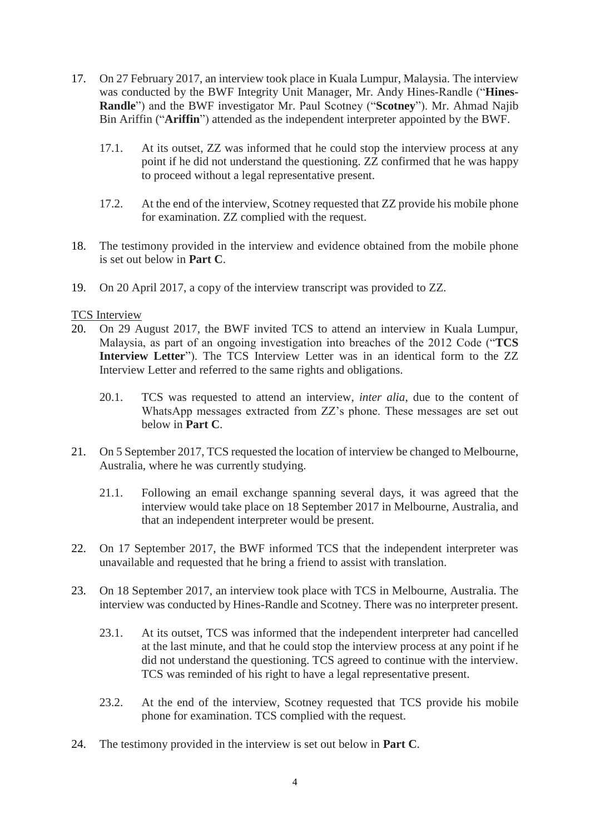- 17. On 27 February 2017, an interview took place in Kuala Lumpur, Malaysia. The interview was conducted by the BWF Integrity Unit Manager, Mr. Andy Hines-Randle ("**Hines-Randle**") and the BWF investigator Mr. Paul Scotney ("**Scotney**"). Mr. Ahmad Najib Bin Ariffin ("**Ariffin**") attended as the independent interpreter appointed by the BWF.
	- 17.1. At its outset, ZZ was informed that he could stop the interview process at any point if he did not understand the questioning. ZZ confirmed that he was happy to proceed without a legal representative present.
	- 17.2. At the end of the interview, Scotney requested that ZZ provide his mobile phone for examination. ZZ complied with the request.
- 18. The testimony provided in the interview and evidence obtained from the mobile phone is set out below in **Part C**.
- 19. On 20 April 2017, a copy of the interview transcript was provided to ZZ.

# TCS Interview

- 20. On 29 August 2017, the BWF invited TCS to attend an interview in Kuala Lumpur, Malaysia, as part of an ongoing investigation into breaches of the 2012 Code ("**TCS Interview Letter**"). The TCS Interview Letter was in an identical form to the ZZ Interview Letter and referred to the same rights and obligations.
	- 20.1. TCS was requested to attend an interview, *inter alia*, due to the content of WhatsApp messages extracted from ZZ's phone. These messages are set out below in **Part C**.
- 21. On 5 September 2017, TCS requested the location of interview be changed to Melbourne, Australia, where he was currently studying.
	- 21.1. Following an email exchange spanning several days, it was agreed that the interview would take place on 18 September 2017 in Melbourne, Australia, and that an independent interpreter would be present.
- 22. On 17 September 2017, the BWF informed TCS that the independent interpreter was unavailable and requested that he bring a friend to assist with translation.
- 23. On 18 September 2017, an interview took place with TCS in Melbourne, Australia. The interview was conducted by Hines-Randle and Scotney. There was no interpreter present.
	- 23.1. At its outset, TCS was informed that the independent interpreter had cancelled at the last minute, and that he could stop the interview process at any point if he did not understand the questioning. TCS agreed to continue with the interview. TCS was reminded of his right to have a legal representative present.
	- 23.2. At the end of the interview, Scotney requested that TCS provide his mobile phone for examination. TCS complied with the request.
- 24. The testimony provided in the interview is set out below in **Part C**.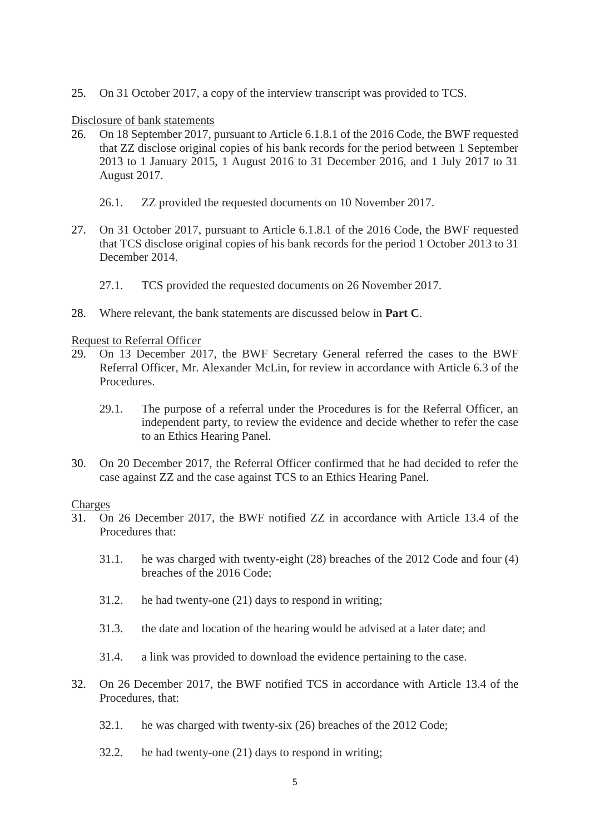25. On 31 October 2017, a copy of the interview transcript was provided to TCS.

### Disclosure of bank statements

- 26. On 18 September 2017, pursuant to Article 6.1.8.1 of the 2016 Code, the BWF requested that ZZ disclose original copies of his bank records for the period between 1 September 2013 to 1 January 2015, 1 August 2016 to 31 December 2016, and 1 July 2017 to 31 August 2017.
	- 26.1. ZZ provided the requested documents on 10 November 2017.
- 27. On 31 October 2017, pursuant to Article 6.1.8.1 of the 2016 Code, the BWF requested that TCS disclose original copies of his bank records for the period 1 October 2013 to 31 December 2014.
	- 27.1. TCS provided the requested documents on 26 November 2017.
- 28. Where relevant, the bank statements are discussed below in **Part C**.

### Request to Referral Officer

- 29. On 13 December 2017, the BWF Secretary General referred the cases to the BWF Referral Officer, Mr. Alexander McLin, for review in accordance with Article 6.3 of the Procedures.
	- 29.1. The purpose of a referral under the Procedures is for the Referral Officer, an independent party, to review the evidence and decide whether to refer the case to an Ethics Hearing Panel.
- 30. On 20 December 2017, the Referral Officer confirmed that he had decided to refer the case against ZZ and the case against TCS to an Ethics Hearing Panel.

### **Charges**

- 31. On 26 December 2017, the BWF notified ZZ in accordance with Article 13.4 of the Procedures that:
	- 31.1. he was charged with twenty-eight (28) breaches of the 2012 Code and four (4) breaches of the 2016 Code;
	- 31.2. he had twenty-one (21) days to respond in writing;
	- 31.3. the date and location of the hearing would be advised at a later date; and
	- 31.4. a link was provided to download the evidence pertaining to the case.
- 32. On 26 December 2017, the BWF notified TCS in accordance with Article 13.4 of the Procedures, that:
	- 32.1. he was charged with twenty-six (26) breaches of the 2012 Code;
	- 32.2. he had twenty-one (21) days to respond in writing;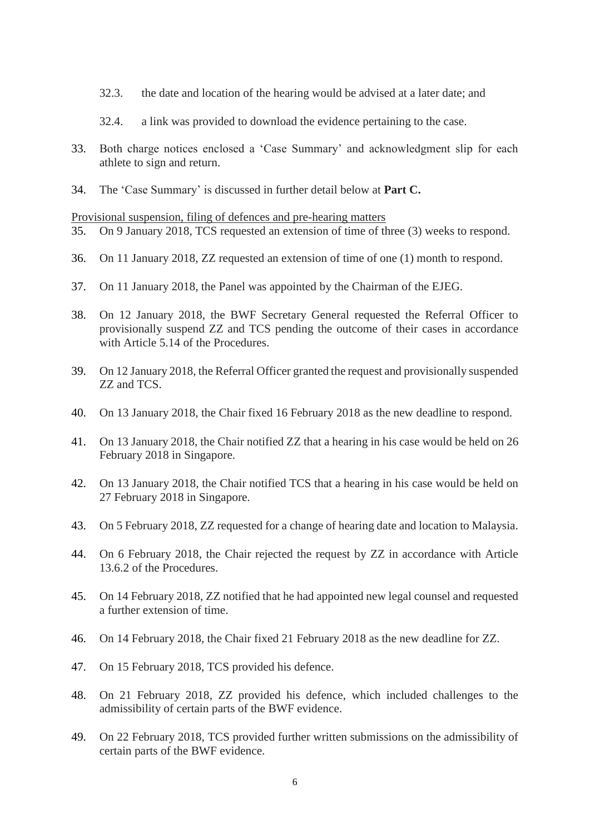- 32.3. the date and location of the hearing would be advised at a later date; and
- 32.4. a link was provided to download the evidence pertaining to the case.
- 33. Both charge notices enclosed a 'Case Summary' and acknowledgment slip for each athlete to sign and return.
- 34. The 'Case Summary' is discussed in further detail below at **Part C.**

#### Provisional suspension, filing of defences and pre-hearing matters

- 35. On 9 January 2018, TCS requested an extension of time of three (3) weeks to respond.
- 36. On 11 January 2018, ZZ requested an extension of time of one (1) month to respond.
- 37. On 11 January 2018, the Panel was appointed by the Chairman of the EJEG.
- 38. On 12 January 2018, the BWF Secretary General requested the Referral Officer to provisionally suspend ZZ and TCS pending the outcome of their cases in accordance with Article 5.14 of the Procedures.
- 39. On 12 January 2018, the Referral Officer granted the request and provisionally suspended ZZ and TCS.
- 40. On 13 January 2018, the Chair fixed 16 February 2018 as the new deadline to respond.
- 41. On 13 January 2018, the Chair notified ZZ that a hearing in his case would be held on 26 February 2018 in Singapore.
- 42. On 13 January 2018, the Chair notified TCS that a hearing in his case would be held on 27 February 2018 in Singapore.
- 43. On 5 February 2018, ZZ requested for a change of hearing date and location to Malaysia.
- 44. On 6 February 2018, the Chair rejected the request by ZZ in accordance with Article 13.6.2 of the Procedures.
- 45. On 14 February 2018, ZZ notified that he had appointed new legal counsel and requested a further extension of time.
- 46. On 14 February 2018, the Chair fixed 21 February 2018 as the new deadline for ZZ.
- 47. On 15 February 2018, TCS provided his defence.
- 48. On 21 February 2018, ZZ provided his defence, which included challenges to the admissibility of certain parts of the BWF evidence.
- 49. On 22 February 2018, TCS provided further written submissions on the admissibility of certain parts of the BWF evidence.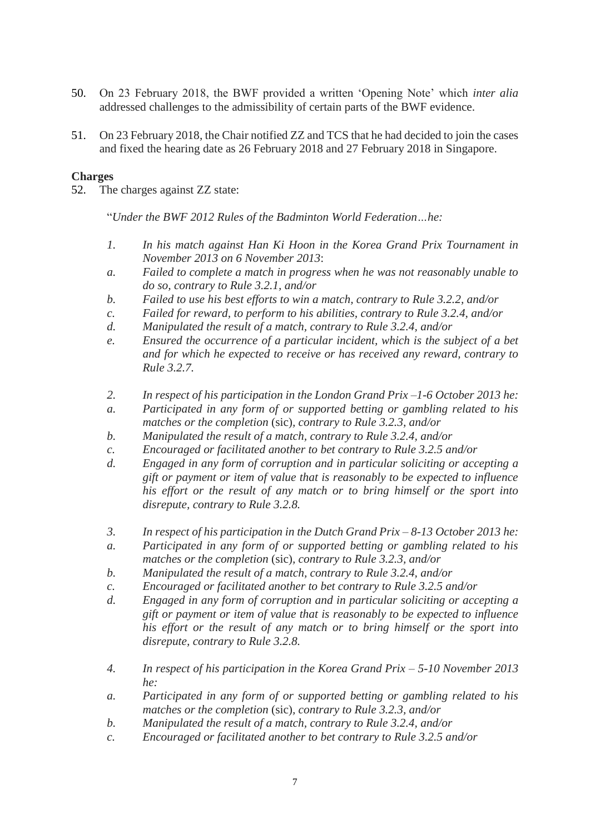- 50. On 23 February 2018, the BWF provided a written 'Opening Note' which *inter alia* addressed challenges to the admissibility of certain parts of the BWF evidence.
- 51. On 23 February 2018, the Chair notified ZZ and TCS that he had decided to join the cases and fixed the hearing date as 26 February 2018 and 27 February 2018 in Singapore.

# **Charges**

52. The charges against ZZ state:

"*Under the BWF 2012 Rules of the Badminton World Federation…he:*

- *1. In his match against Han Ki Hoon in the Korea Grand Prix Tournament in November 2013 on 6 November 2013*:
- *a. Failed to complete a match in progress when he was not reasonably unable to do so, contrary to Rule 3.2.1, and/or*
- *b. Failed to use his best efforts to win a match, contrary to Rule 3.2.2, and/or*
- *c. Failed for reward, to perform to his abilities, contrary to Rule 3.2.4, and/or*
- *d. Manipulated the result of a match, contrary to Rule 3.2.4, and/or*
- *e. Ensured the occurrence of a particular incident, which is the subject of a bet and for which he expected to receive or has received any reward, contrary to Rule 3.2.7.*
- *2. In respect of his participation in the London Grand Prix –1-6 October 2013 he:*
- *a. Participated in any form of or supported betting or gambling related to his matches or the completion* (sic)*, contrary to Rule 3.2.3, and/or*
- *b. Manipulated the result of a match, contrary to Rule 3.2.4, and/or*
- *c. Encouraged or facilitated another to bet contrary to Rule 3.2.5 and/or*
- *d. Engaged in any form of corruption and in particular soliciting or accepting a gift or payment or item of value that is reasonably to be expected to influence his effort or the result of any match or to bring himself or the sport into disrepute, contrary to Rule 3.2.8.*
- *3. In respect of his participation in the Dutch Grand Prix – 8-13 October 2013 he:*
- *a. Participated in any form of or supported betting or gambling related to his matches or the completion* (sic)*, contrary to Rule 3.2.3, and/or*
- *b. Manipulated the result of a match, contrary to Rule 3.2.4, and/or*
- *c. Encouraged or facilitated another to bet contrary to Rule 3.2.5 and/or*
- *d. Engaged in any form of corruption and in particular soliciting or accepting a gift or payment or item of value that is reasonably to be expected to influence his effort or the result of any match or to bring himself or the sport into disrepute, contrary to Rule 3.2.8.*
- *4. In respect of his participation in the Korea Grand Prix – 5-10 November 2013 he:*
- *a. Participated in any form of or supported betting or gambling related to his matches or the completion* (sic)*, contrary to Rule 3.2.3, and/or*
- *b. Manipulated the result of a match, contrary to Rule 3.2.4, and/or*
- *c. Encouraged or facilitated another to bet contrary to Rule 3.2.5 and/or*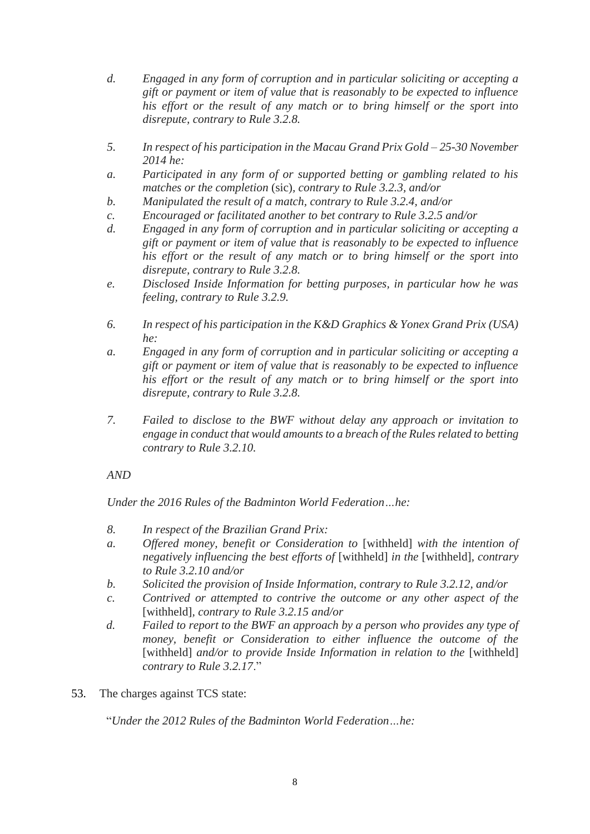- *d. Engaged in any form of corruption and in particular soliciting or accepting a gift or payment or item of value that is reasonably to be expected to influence his effort or the result of any match or to bring himself or the sport into disrepute, contrary to Rule 3.2.8.*
- *5. In respect of his participation in the Macau Grand Prix Gold – 25-30 November 2014 he:*
- *a. Participated in any form of or supported betting or gambling related to his matches or the completion* (sic)*, contrary to Rule 3.2.3, and/or*
- *b. Manipulated the result of a match, contrary to Rule 3.2.4, and/or*
- *c. Encouraged or facilitated another to bet contrary to Rule 3.2.5 and/or*
- *d. Engaged in any form of corruption and in particular soliciting or accepting a gift or payment or item of value that is reasonably to be expected to influence his effort or the result of any match or to bring himself or the sport into disrepute, contrary to Rule 3.2.8.*
- *e. Disclosed Inside Information for betting purposes, in particular how he was feeling, contrary to Rule 3.2.9.*
- *6. In respect of his participation in the K&D Graphics & Yonex Grand Prix (USA) he:*
- *a. Engaged in any form of corruption and in particular soliciting or accepting a gift or payment or item of value that is reasonably to be expected to influence his effort or the result of any match or to bring himself or the sport into disrepute, contrary to Rule 3.2.8.*
- *7. Failed to disclose to the BWF without delay any approach or invitation to engage in conduct that would amounts to a breach of the Rules related to betting contrary to Rule 3.2.10.*

# *AND*

*Under the 2016 Rules of the Badminton World Federation…he:*

- *8. In respect of the Brazilian Grand Prix:*
- *a. Offered money, benefit or Consideration to* [withheld] *with the intention of negatively influencing the best efforts of* [withheld] *in the* [withheld]*, contrary to Rule 3.2.10 and/or*
- *b. Solicited the provision of Inside Information, contrary to Rule 3.2.12, and/or*
- *c. Contrived or attempted to contrive the outcome or any other aspect of the*  [withheld]*, contrary to Rule 3.2.15 and/or*
- *d. Failed to report to the BWF an approach by a person who provides any type of money, benefit or Consideration to either influence the outcome of the*  [withheld] *and/or to provide Inside Information in relation to the* [withheld] *contrary to Rule 3.2.17*."
- 53. The charges against TCS state:

"*Under the 2012 Rules of the Badminton World Federation…he:*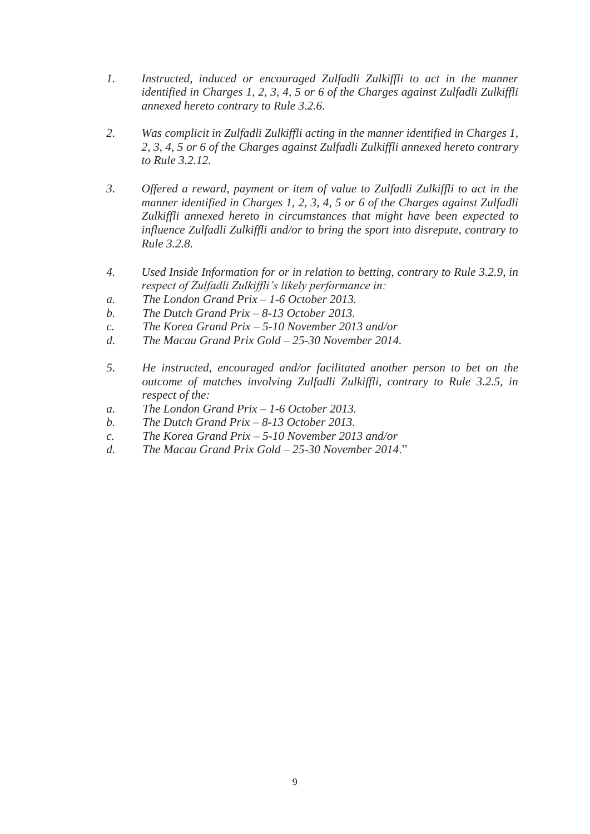- *1. Instructed, induced or encouraged Zulfadli Zulkiffli to act in the manner identified in Charges 1, 2, 3, 4, 5 or 6 of the Charges against Zulfadli Zulkiffli annexed hereto contrary to Rule 3.2.6.*
- *2. Was complicit in Zulfadli Zulkiffli acting in the manner identified in Charges 1, 2, 3, 4, 5 or 6 of the Charges against Zulfadli Zulkiffli annexed hereto contrary to Rule 3.2.12.*
- *3. Offered a reward, payment or item of value to Zulfadli Zulkiffli to act in the manner identified in Charges 1, 2, 3, 4, 5 or 6 of the Charges against Zulfadli Zulkiffli annexed hereto in circumstances that might have been expected to influence Zulfadli Zulkiffli and/or to bring the sport into disrepute, contrary to Rule 3.2.8.*
- *4. Used Inside Information for or in relation to betting, contrary to Rule 3.2.9, in respect of Zulfadli Zulkiffli's likely performance in:*
- *a. The London Grand Prix – 1-6 October 2013.*
- *b. The Dutch Grand Prix – 8-13 October 2013.*
- *c. The Korea Grand Prix – 5-10 November 2013 and/or*
- *d. The Macau Grand Prix Gold – 25-30 November 2014.*
- *5. He instructed, encouraged and/or facilitated another person to bet on the outcome of matches involving Zulfadli Zulkiffli, contrary to Rule 3.2.5, in respect of the:*
- *a. The London Grand Prix – 1-6 October 2013.*
- *b. The Dutch Grand Prix – 8-13 October 2013.*
- *c. The Korea Grand Prix – 5-10 November 2013 and/or*
- *d. The Macau Grand Prix Gold – 25-30 November 2014*."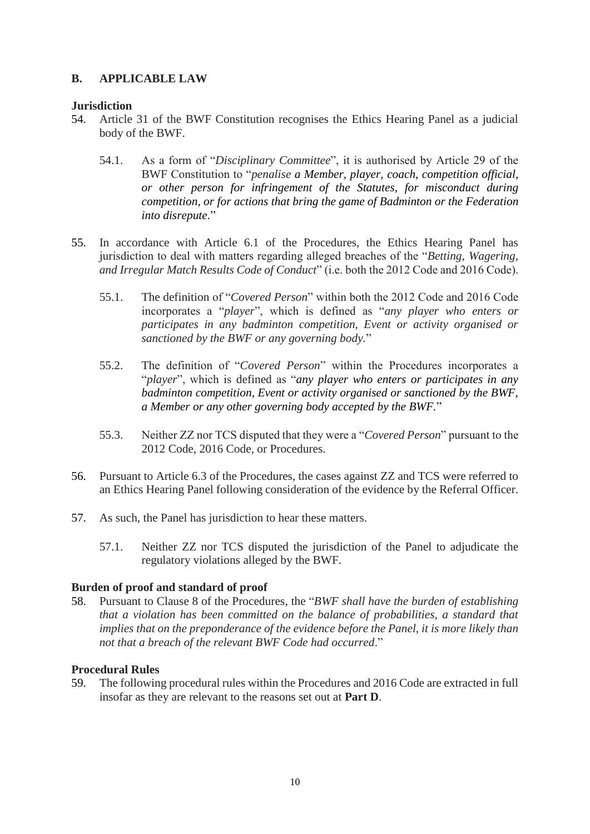# **B. APPLICABLE LAW**

# **Jurisdiction**

- 54. Article 31 of the BWF Constitution recognises the Ethics Hearing Panel as a judicial body of the BWF.
	- 54.1. As a form of "*Disciplinary Committee*", it is authorised by Article 29 of the BWF Constitution to "*penalise a Member, player, coach, competition official, or other person for infringement of the Statutes, for misconduct during competition, or for actions that bring the game of Badminton or the Federation into disrepute*."
- 55. In accordance with Article 6.1 of the Procedures, the Ethics Hearing Panel has jurisdiction to deal with matters regarding alleged breaches of the "*Betting, Wagering, and Irregular Match Results Code of Conduct*" (i.e. both the 2012 Code and 2016 Code).
	- 55.1. The definition of "*Covered Person*" within both the 2012 Code and 2016 Code incorporates a "*player*", which is defined as "*any player who enters or participates in any badminton competition, Event or activity organised or sanctioned by the BWF or any governing body.*"
	- 55.2. The definition of "*Covered Person*" within the Procedures incorporates a "*player*", which is defined as "*any player who enters or participates in any badminton competition, Event or activity organised or sanctioned by the BWF, a Member or any other governing body accepted by the BWF.*"
	- 55.3. Neither ZZ nor TCS disputed that they were a "*Covered Person*" pursuant to the 2012 Code, 2016 Code, or Procedures.
- 56. Pursuant to Article 6.3 of the Procedures, the cases against ZZ and TCS were referred to an Ethics Hearing Panel following consideration of the evidence by the Referral Officer.
- 57. As such, the Panel has jurisdiction to hear these matters.
	- 57.1. Neither ZZ nor TCS disputed the jurisdiction of the Panel to adjudicate the regulatory violations alleged by the BWF.

# **Burden of proof and standard of proof**

58. Pursuant to Clause 8 of the Procedures, the "*BWF shall have the burden of establishing that a violation has been committed on the balance of probabilities, a standard that implies that on the preponderance of the evidence before the Panel, it is more likely than not that a breach of the relevant BWF Code had occurred*."

### **Procedural Rules**

59. The following procedural rules within the Procedures and 2016 Code are extracted in full insofar as they are relevant to the reasons set out at **Part D**.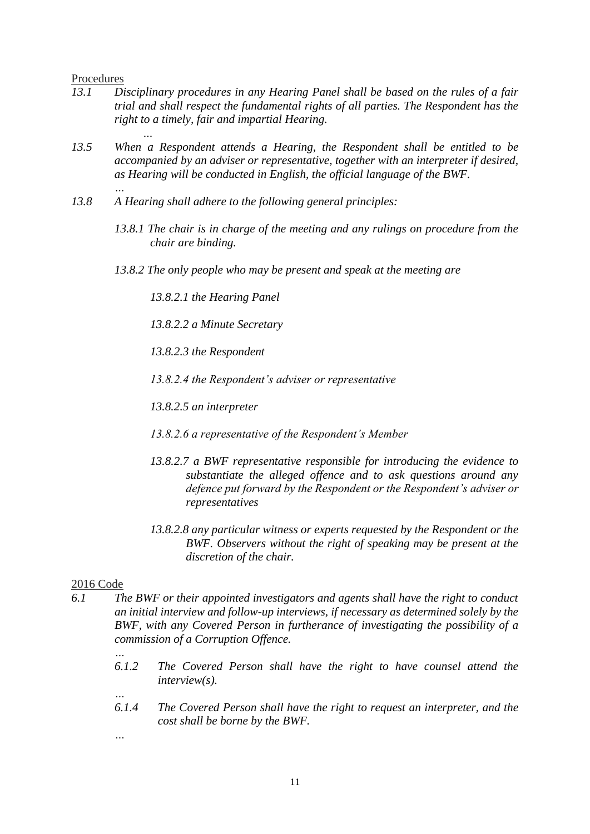#### Procedures

*…*

*…*

- *13.1 Disciplinary procedures in any Hearing Panel shall be based on the rules of a fair trial and shall respect the fundamental rights of all parties. The Respondent has the right to a timely, fair and impartial Hearing.*
- *13.5 When a Respondent attends a Hearing, the Respondent shall be entitled to be accompanied by an adviser or representative, together with an interpreter if desired, as Hearing will be conducted in English, the official language of the BWF.*
- *13.8 A Hearing shall adhere to the following general principles:* 
	- *13.8.1 The chair is in charge of the meeting and any rulings on procedure from the chair are binding.*
	- *13.8.2 The only people who may be present and speak at the meeting are*

*13.8.2.1 the Hearing Panel* 

*13.8.2.2 a Minute Secretary* 

*13.8.2.3 the Respondent* 

*13.8.2.4 the Respondent's adviser or representative* 

*13.8.2.5 an interpreter* 

- *13.8.2.6 a representative of the Respondent's Member*
- *13.8.2.7 a BWF representative responsible for introducing the evidence to substantiate the alleged offence and to ask questions around any defence put forward by the Respondent or the Respondent's adviser or representatives*
- *13.8.2.8 any particular witness or experts requested by the Respondent or the BWF. Observers without the right of speaking may be present at the discretion of the chair.*

#### 2016 Code

- *6.1 The BWF or their appointed investigators and agents shall have the right to conduct an initial interview and follow-up interviews, if necessary as determined solely by the BWF, with any Covered Person in furtherance of investigating the possibility of a commission of a Corruption Offence.*
	- *6.1.2 The Covered Person shall have the right to have counsel attend the interview(s).*
	- *6.1.4 The Covered Person shall have the right to request an interpreter, and the cost shall be borne by the BWF.*
	- *…*

*…*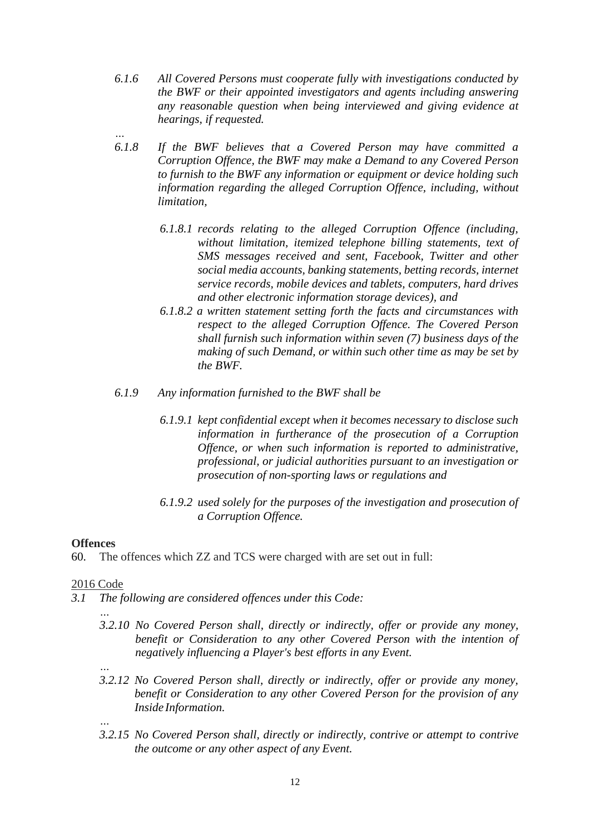- *6.1.6 All Covered Persons must cooperate fully with investigations conducted by the BWF or their appointed investigators and agents including answering any reasonable question when being interviewed and giving evidence at hearings, if requested.*
- *… 6.1.8 If the BWF believes that a Covered Person may have committed a Corruption Offence, the BWF may make a Demand to any Covered Person to furnish to the BWF any information or equipment or device holding such information regarding the alleged Corruption Offence, including, without limitation,*
	- *6.1.8.1 records relating to the alleged Corruption Offence (including, without limitation, itemized telephone billing statements, text of SMS messages received and sent, Facebook, Twitter and other social media accounts, banking statements, betting records, internet service records, mobile devices and tablets, computers, hard drives and other electronic information storage devices), and*
	- *6.1.8.2 a written statement setting forth the facts and circumstances with respect to the alleged Corruption Offence. The Covered Person shall furnish such information within seven (7) business days of the making of such Demand, or within such other time as may be set by the BWF.*
- *6.1.9 Any information furnished to the BWF shall be*
	- *6.1.9.1 kept confidential except when it becomes necessary to disclose such information in furtherance of the prosecution of a Corruption Offence, or when such information is reported to administrative, professional, or judicial authorities pursuant to an investigation or prosecution of non-sporting laws or regulations and*
	- *6.1.9.2 used solely for the purposes of the investigation and prosecution of a Corruption Offence.*

# **Offences**

60. The offences which ZZ and TCS were charged with are set out in full:

# 2016 Code

- *3.1 The following are considered offences under this Code:*
	- *… 3.2.10 No Covered Person shall, directly or indirectly, offer or provide any money, benefit or Consideration to any other Covered Person with the intention of negatively influencing a Player's best efforts in any Event.*
	- *… 3.2.12 No Covered Person shall, directly or indirectly, offer or provide any money, benefit or Consideration to any other Covered Person for the provision of any Inside Information.*
	- *3.2.15 No Covered Person shall, directly or indirectly, contrive or attempt to contrive the outcome or any other aspect of any Event.*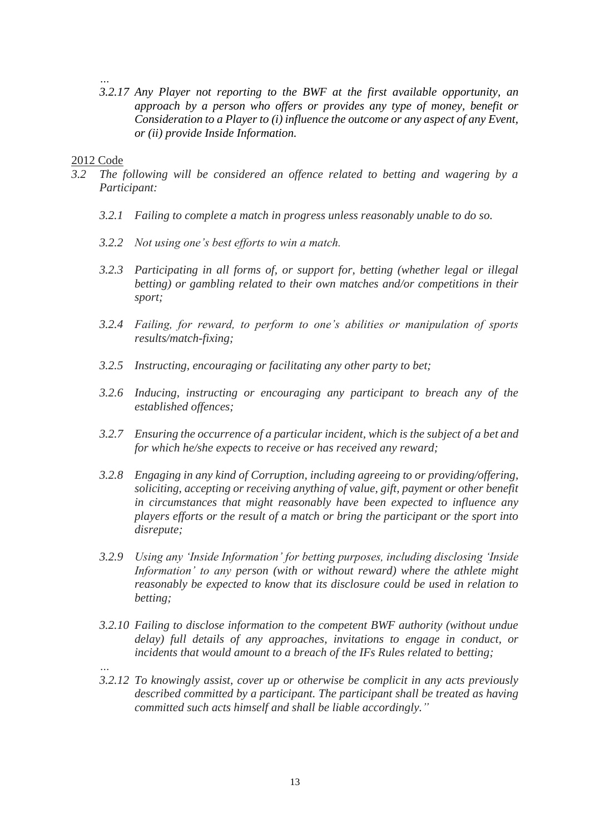*… 3.2.17 Any Player not reporting to the BWF at the first available opportunity, an approach by a person who offers or provides any type of money, benefit or Consideration to a Player to (i) influence the outcome or any aspect of any Event, or (ii) provide Inside Information.*

#### 2012 Code

- *3.2 The following will be considered an offence related to betting and wagering by a Participant:*
	- *3.2.1 Failing to complete a match in progress unless reasonably unable to do so.*
	- *3.2.2 Not using one's best efforts to win a match.*
	- *3.2.3 Participating in all forms of, or support for, betting (whether legal or illegal betting) or gambling related to their own matches and/or competitions in their sport;*
	- *3.2.4 Failing, for reward, to perform to one's abilities or manipulation of sports results/match-fixing;*
	- *3.2.5 Instructing, encouraging or facilitating any other party to bet;*
	- *3.2.6 Inducing, instructing or encouraging any participant to breach any of the established offences;*
	- *3.2.7 Ensuring the occurrence of a particular incident, which is the subject of a bet and for which he/she expects to receive or has received any reward;*
	- *3.2.8 Engaging in any kind of Corruption, including agreeing to or providing/offering, soliciting, accepting or receiving anything of value, gift, payment or other benefit in circumstances that might reasonably have been expected to influence any players efforts or the result of a match or bring the participant or the sport into disrepute;*
	- *3.2.9 Using any 'Inside Information' for betting purposes, including disclosing 'Inside Information' to any person (with or without reward) where the athlete might reasonably be expected to know that its disclosure could be used in relation to betting;*
	- *3.2.10 Failing to disclose information to the competent BWF authority (without undue delay) full details of any approaches, invitations to engage in conduct, or incidents that would amount to a breach of the IFs Rules related to betting;*
	- *3.2.12 To knowingly assist, cover up or otherwise be complicit in any acts previously described committed by a participant. The participant shall be treated as having committed such acts himself and shall be liable accordingly."*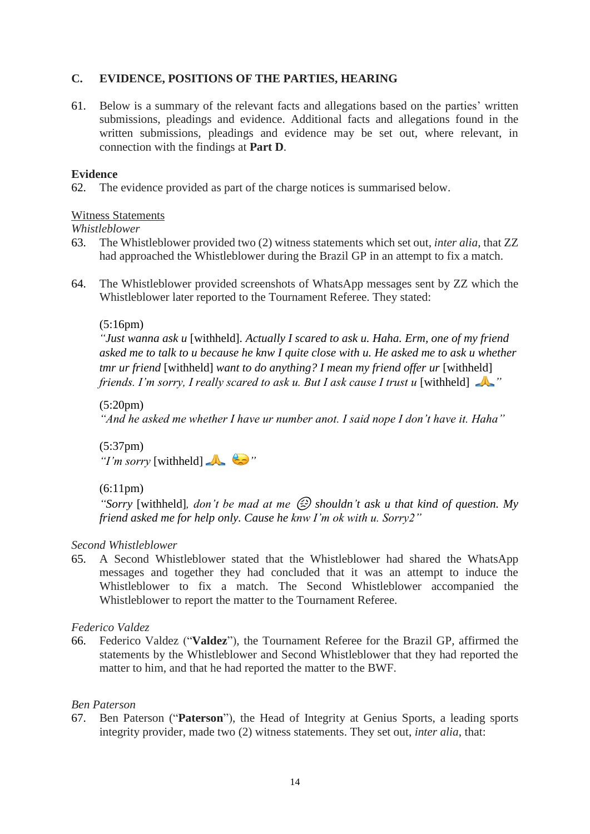# **C. EVIDENCE, POSITIONS OF THE PARTIES, HEARING**

61. Below is a summary of the relevant facts and allegations based on the parties' written submissions, pleadings and evidence. Additional facts and allegations found in the written submissions, pleadings and evidence may be set out, where relevant, in connection with the findings at **Part D**.

### **Evidence**

62. The evidence provided as part of the charge notices is summarised below.

# Witness Statements

### *Whistleblower*

- 63. The Whistleblower provided two (2) witness statements which set out, *inter alia*, that ZZ had approached the Whistleblower during the Brazil GP in an attempt to fix a match.
- 64. The Whistleblower provided screenshots of WhatsApp messages sent by ZZ which the Whistleblower later reported to the Tournament Referee. They stated:

# $(5:16pm)$

*"Just wanna ask u* [withheld]*. Actually I scared to ask u. Haha. Erm, one of my friend asked me to talk to u because he knw I quite close with u. He asked me to ask u whether tmr ur friend* [withheld] *want to do anything? I mean my friend offer ur* [withheld] *friends. I'm sorry, I really scared to ask u. But I ask cause I trust u* [withheld]

### (5:20pm)

*"And he asked me whether I have ur number anot. I said nope I don't have it. Haha"*

(5:37pm) *"I'm sorry* [withheld] *"*

### (6:11pm)

*"Sorry* [withheld]*, don't be mad at me*  $\circled{2}$  *shouldn't ask u that kind of question. My friend asked me for help only. Cause he knw I'm ok with u. Sorry2"*

### *Second Whistleblower*

65. A Second Whistleblower stated that the Whistleblower had shared the WhatsApp messages and together they had concluded that it was an attempt to induce the Whistleblower to fix a match. The Second Whistleblower accompanied the Whistleblower to report the matter to the Tournament Referee.

### *Federico Valdez*

66. Federico Valdez ("**Valdez**"), the Tournament Referee for the Brazil GP, affirmed the statements by the Whistleblower and Second Whistleblower that they had reported the matter to him, and that he had reported the matter to the BWF.

### *Ben Paterson*

67. Ben Paterson ("**Paterson**"), the Head of Integrity at Genius Sports, a leading sports integrity provider, made two (2) witness statements. They set out, *inter alia*, that: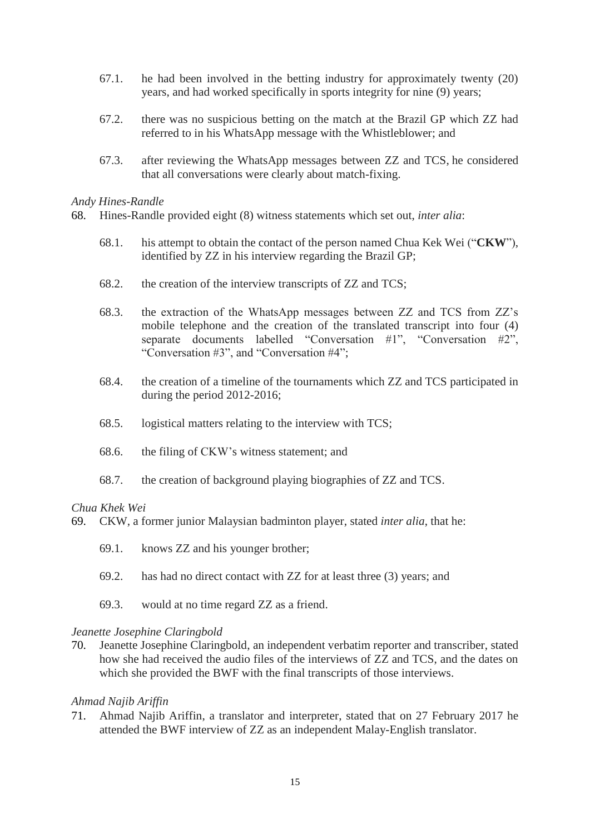- 67.1. he had been involved in the betting industry for approximately twenty (20) years, and had worked specifically in sports integrity for nine (9) years;
- 67.2. there was no suspicious betting on the match at the Brazil GP which ZZ had referred to in his WhatsApp message with the Whistleblower; and
- 67.3. after reviewing the WhatsApp messages between ZZ and TCS, he considered that all conversations were clearly about match-fixing.

#### *Andy Hines-Randle*

- 68. Hines-Randle provided eight (8) witness statements which set out, *inter alia*:
	- 68.1. his attempt to obtain the contact of the person named Chua Kek Wei ("**CKW**"), identified by ZZ in his interview regarding the Brazil GP;
	- 68.2. the creation of the interview transcripts of ZZ and TCS;
	- 68.3. the extraction of the WhatsApp messages between ZZ and TCS from ZZ's mobile telephone and the creation of the translated transcript into four (4) separate documents labelled "Conversation #1", "Conversation #2", "Conversation #3", and "Conversation #4";
	- 68.4. the creation of a timeline of the tournaments which ZZ and TCS participated in during the period 2012-2016;
	- 68.5. logistical matters relating to the interview with TCS;
	- 68.6. the filing of CKW's witness statement; and
	- 68.7. the creation of background playing biographies of ZZ and TCS.

#### *Chua Khek Wei*

- 69. CKW, a former junior Malaysian badminton player, stated *inter alia*, that he:
	- 69.1. knows ZZ and his younger brother;
	- 69.2. has had no direct contact with ZZ for at least three (3) years; and
	- 69.3. would at no time regard ZZ as a friend.

#### *Jeanette Josephine Claringbold*

70. Jeanette Josephine Claringbold, an independent verbatim reporter and transcriber, stated how she had received the audio files of the interviews of ZZ and TCS, and the dates on which she provided the BWF with the final transcripts of those interviews.

#### *Ahmad Najib Ariffin*

71. Ahmad Najib Ariffin, a translator and interpreter, stated that on 27 February 2017 he attended the BWF interview of ZZ as an independent Malay-English translator.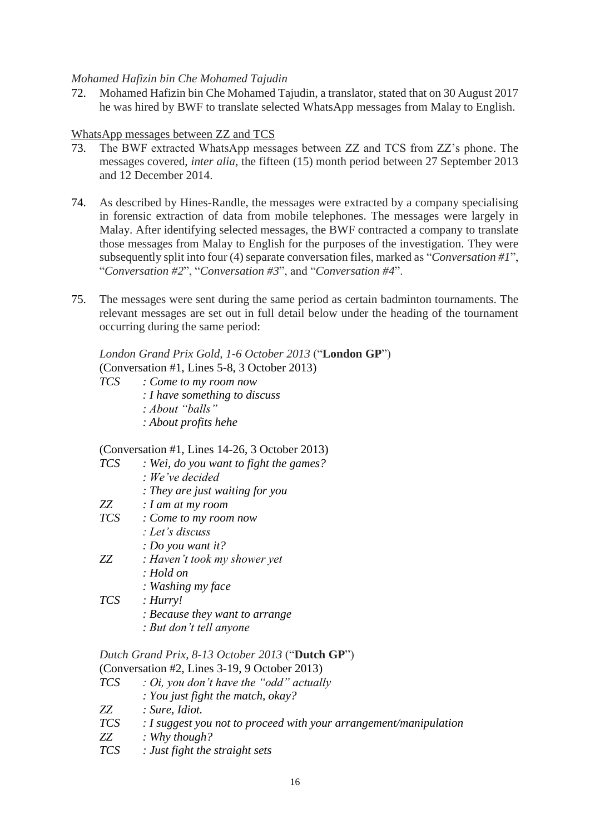### *Mohamed Hafizin bin Che Mohamed Tajudin*

72. Mohamed Hafizin bin Che Mohamed Tajudin, a translator, stated that on 30 August 2017 he was hired by BWF to translate selected WhatsApp messages from Malay to English.

### WhatsApp messages between ZZ and TCS

- 73. The BWF extracted WhatsApp messages between ZZ and TCS from ZZ's phone. The messages covered, *inter alia*, the fifteen (15) month period between 27 September 2013 and 12 December 2014.
- 74. As described by Hines-Randle, the messages were extracted by a company specialising in forensic extraction of data from mobile telephones. The messages were largely in Malay. After identifying selected messages, the BWF contracted a company to translate those messages from Malay to English for the purposes of the investigation. They were subsequently split into four (4) separate conversation files, marked as "*Conversation #1*", "*Conversation #2*", "*Conversation #3*", and "*Conversation #4*".
- 75. The messages were sent during the same period as certain badminton tournaments. The relevant messages are set out in full detail below under the heading of the tournament occurring during the same period:

# *London Grand Prix Gold, 1-6 October 2013* ("**London GP**") (Conversation #1, Lines 5-8, 3 October 2013)

*TCS : Come to my room now : I have something to discuss : About "balls" : About profits hehe*

# (Conversation #1, Lines 14-26, 3 October 2013)

- *TCS : Wei, do you want to fight the games?*
	- *: We've decided*
		- *: They are just waiting for you*
- *ZZ : I am at my room*
- *TCS : Come to my room now*
	- *: Let's discuss*
	- *: Do you want it?*
- *ZZ : Haven't took my shower yet*
	- *: Hold on*
	- *: Washing my face*
- *TCS : Hurry!*
	- *: Because they want to arrange*
	- *: But don't tell anyone*

### *Dutch Grand Prix, 8-13 October 2013* ("**Dutch GP**") (Conversation #2, Lines 3-19, 9 October 2013)

- *TCS : Oi, you don't have the "odd" actually*
	- *: You just fight the match, okay?*
- *ZZ : Sure, Idiot.*
- *TCS : I suggest you not to proceed with your arrangement/manipulation*
- *ZZ : Why though?*
- *TCS : Just fight the straight sets*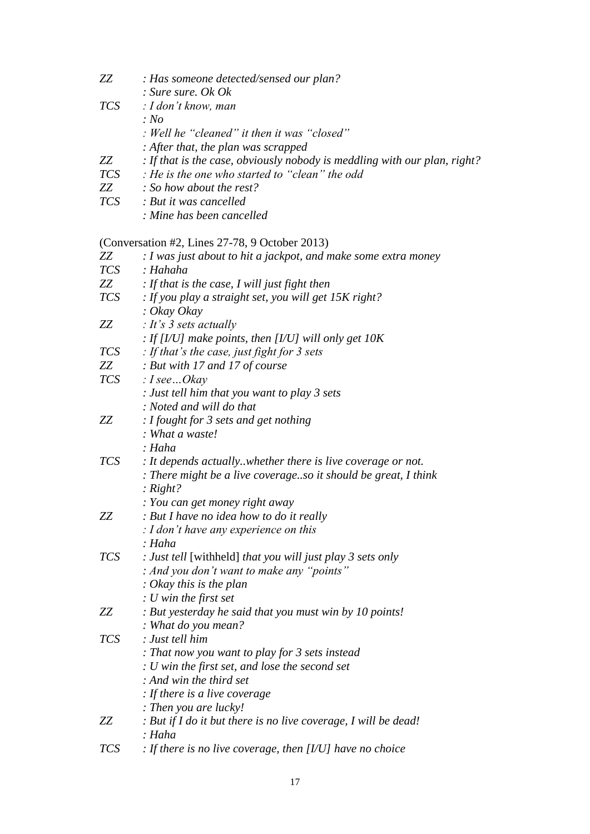| ZZ         | : Has someone detected/sensed our plan?                                   |
|------------|---------------------------------------------------------------------------|
|            | : Sure sure. Ok Ok                                                        |
| <b>TCS</b> | : I don't know, man                                                       |
|            | : No                                                                      |
|            | : Well he "cleaned" it then it was "closed"                               |
|            | : After that, the plan was scrapped                                       |
| ZZ         | : If that is the case, obviously nobody is meddling with our plan, right? |
| <b>TCS</b> | : He is the one who started to "clean" the odd                            |
| ZZ         | $\therefore$ So how about the rest?                                       |
| <b>TCS</b> | : But it was cancelled                                                    |
|            | : Mine has been cancelled                                                 |
|            | (Conversation #2, Lines $27-78$ , 9 October 2013)                         |
| ZZ         | : I was just about to hit a jackpot, and make some extra money            |
| <i>TCS</i> | : Hahaha                                                                  |
| ZZ         | : If that is the case, I will just fight then                             |
| <b>TCS</b> | : If you play a straight set, you will get $15K$ right?                   |

*: Okay Okay ZZ : It's 3 sets actually : If [I/U] make points, then [I/U] will only get 10K TCS : If that's the case, just fight for 3 sets ZZ : But with 17 and 17 of course TCS : I see…Okay : Just tell him that you want to play 3 sets : Noted and will do that ZZ : I fought for 3 sets and get nothing : What a waste! : Haha TCS : It depends actually..whether there is live coverage or not. : There might be a live coverage..so it should be great, I think : Right? : You can get money right away ZZ : But I have no idea how to do it really : I don't have any experience on this : Haha TCS : Just tell* [withheld] *that you will just play 3 sets only : And you don't want to make any "points" : Okay this is the plan : U win the first set ZZ : But yesterday he said that you must win by 10 points! : What do you mean? TCS : Just tell him : That now you want to play for 3 sets instead : U win the first set, and lose the second set : And win the third set : If there is a live coverage : Then you are lucky! ZZ : But if I do it but there is no live coverage, I will be dead! : Haha TCS : If there is no live coverage, then [I/U] have no choice*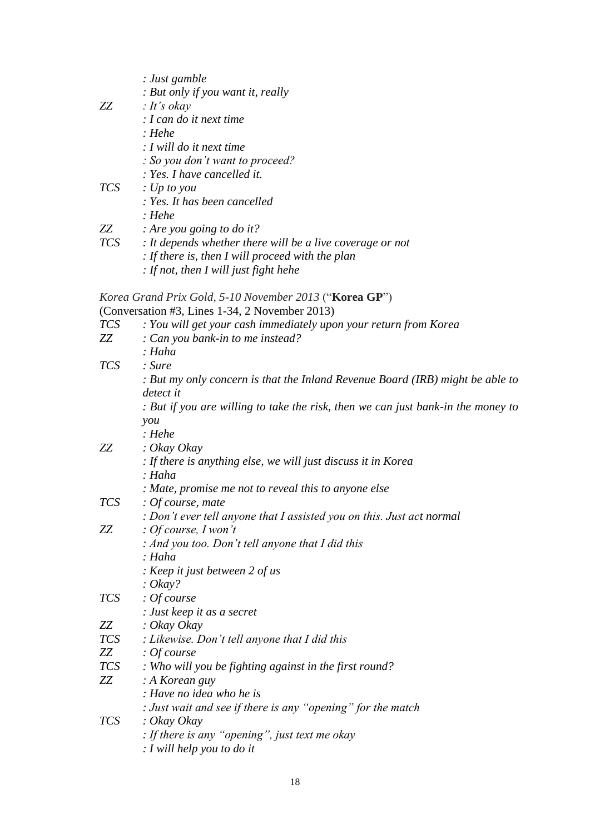|                                                                                                                                                                                                                                 | : Just gamble                                                                    |
|---------------------------------------------------------------------------------------------------------------------------------------------------------------------------------------------------------------------------------|----------------------------------------------------------------------------------|
|                                                                                                                                                                                                                                 | : But only if you want it, really                                                |
| ZZ                                                                                                                                                                                                                              | $: It's$ okay                                                                    |
|                                                                                                                                                                                                                                 | $: I can do$ it next time                                                        |
|                                                                                                                                                                                                                                 | : Hehe                                                                           |
|                                                                                                                                                                                                                                 | : I will do it next time                                                         |
|                                                                                                                                                                                                                                 | : So you don't want to proceed?                                                  |
|                                                                                                                                                                                                                                 | : Yes. I have cancelled it.                                                      |
| <i>TCS</i>                                                                                                                                                                                                                      | $\therefore$ Up to you                                                           |
|                                                                                                                                                                                                                                 | : Yes. It has been cancelled                                                     |
|                                                                                                                                                                                                                                 | : Hehe                                                                           |
| ZZ zamiesta za zastawanie za zastawanie za zastawanie za zastawanie za zastawanie za zastawanie za zastawanie<br>Zastawanie zastawanie za zastawanie za zastawanie za zastawa za zastawa za zastawa za zastawa za zastawa za za | : Are you going to do it?                                                        |
| <b>TCS</b>                                                                                                                                                                                                                      | : It depends whether there will be a live coverage or not                        |
|                                                                                                                                                                                                                                 | $\therefore$ If there is, then I will proceed with the plan                      |
|                                                                                                                                                                                                                                 | : If not, then I will just fight hehe                                            |
|                                                                                                                                                                                                                                 |                                                                                  |
|                                                                                                                                                                                                                                 | Korea Grand Prix Gold, 5-10 November 2013 ("Korea GP")                           |
|                                                                                                                                                                                                                                 | (Conversation #3, Lines 1-34, 2 November 2013)                                   |
| <b>TCS</b>                                                                                                                                                                                                                      | : You will get your cash immediately upon your return from Korea                 |
| ZZ                                                                                                                                                                                                                              | : Can you bank-in to me instead?                                                 |
|                                                                                                                                                                                                                                 | : Haha                                                                           |
| <i>TCS</i>                                                                                                                                                                                                                      | : Sure                                                                           |
|                                                                                                                                                                                                                                 | : But my only concern is that the Inland Revenue Board (IRB) might be able to    |
|                                                                                                                                                                                                                                 | detect it                                                                        |
|                                                                                                                                                                                                                                 | : But if you are willing to take the risk, then we can just bank-in the money to |
|                                                                                                                                                                                                                                 | you                                                                              |
|                                                                                                                                                                                                                                 | : Hehe                                                                           |
| ZZ                                                                                                                                                                                                                              | : Okay Okay                                                                      |
|                                                                                                                                                                                                                                 | : If there is anything else, we will just discuss it in Korea                    |
|                                                                                                                                                                                                                                 | : Haha                                                                           |
|                                                                                                                                                                                                                                 | : Mate, promise me not to reveal this to anyone else                             |
| <b>TCS</b>                                                                                                                                                                                                                      | $:$ Of course, mate                                                              |
|                                                                                                                                                                                                                                 | : Don't ever tell anyone that I assisted you on this. Just act normal            |
| ZZ                                                                                                                                                                                                                              | : Of course, I won't                                                             |
|                                                                                                                                                                                                                                 | : And you too. Don't tell anyone that I did this                                 |
|                                                                                                                                                                                                                                 | : Haha                                                                           |
|                                                                                                                                                                                                                                 | : Keep it just between 2 of us                                                   |
|                                                                                                                                                                                                                                 | : $Okay?$                                                                        |
| <i>TCS</i>                                                                                                                                                                                                                      | : Of course                                                                      |
|                                                                                                                                                                                                                                 | : Just keep it as a secret                                                       |
| ZZ                                                                                                                                                                                                                              | : Okay Okay                                                                      |
| <i>TCS</i>                                                                                                                                                                                                                      | : Likewise. Don't tell anyone that I did this                                    |
| ZZ                                                                                                                                                                                                                              | : Of course                                                                      |
| <i>TCS</i>                                                                                                                                                                                                                      | : Who will you be fighting against in the first round?                           |
| ZZ                                                                                                                                                                                                                              | : A Korean guy                                                                   |
|                                                                                                                                                                                                                                 | : Have no idea who he is                                                         |
|                                                                                                                                                                                                                                 | : Just wait and see if there is any "opening" for the match                      |
| <i>TCS</i>                                                                                                                                                                                                                      | : Okay Okay                                                                      |
|                                                                                                                                                                                                                                 | : If there is any "opening", just text me okay                                   |
|                                                                                                                                                                                                                                 | $: I$ will help you to do it                                                     |
|                                                                                                                                                                                                                                 |                                                                                  |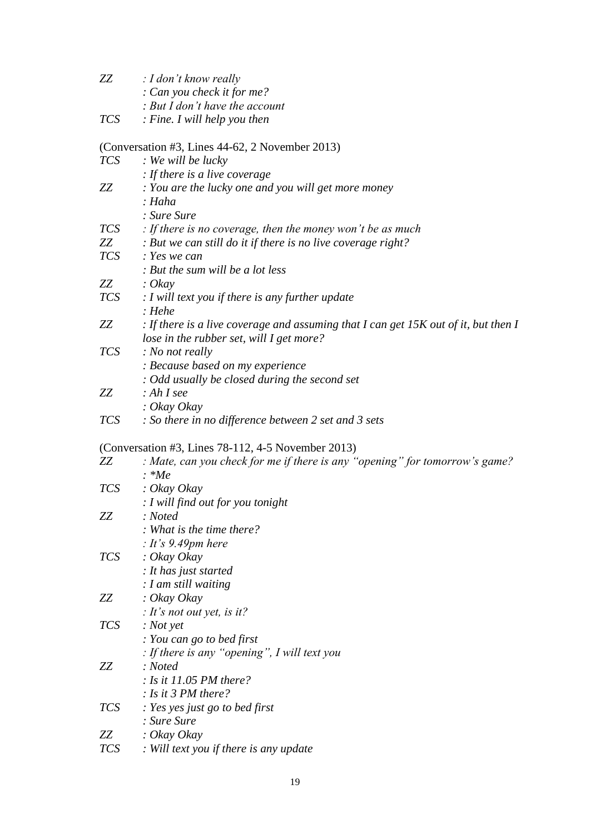| ZZ         | : I don't know really                                                                 |
|------------|---------------------------------------------------------------------------------------|
|            | : Can you check it for me?                                                            |
|            | : But I don't have the account                                                        |
| <i>TCS</i> | $:$ Fine. I will help you then                                                        |
|            | (Conversation #3, Lines 44-62, 2 November 2013)                                       |
| <b>TCS</b> | : We will be lucky                                                                    |
|            | $\therefore$ If there is a live coverage                                              |
| ZZ         | : You are the lucky one and you will get more money                                   |
|            | : Haha                                                                                |
|            | : Sure Sure                                                                           |
| <b>TCS</b> | : If there is no coverage, then the money won't be as much                            |
| ZZ         | : But we can still do it if there is no live coverage right?                          |
| <i>TCS</i> | : Yes we can                                                                          |
|            | : But the sum will be a lot less                                                      |
| ZZ         | $\therefore$ Okay                                                                     |
| <b>TCS</b> | $\therefore$ I will text you if there is any further update                           |
|            | : Hehe                                                                                |
| ZZ         | : If there is a live coverage and assuming that I can get $15K$ out of it, but then I |
|            | lose in the rubber set, will I get more?                                              |
| <i>TCS</i> | : No not really                                                                       |
|            | : Because based on my experience                                                      |
|            | : Odd usually be closed during the second set                                         |
| ZZ         | $: AhI$ see                                                                           |
|            | : Okay Okay                                                                           |
| <i>TCS</i> | : So there in no difference between 2 set and 3 sets                                  |
|            | (Conversation #3, Lines 78-112, 4-5 November 2013)                                    |
| ZZ         | : Mate, can you check for me if there is any "opening" for tomorrow's game?           |
|            | $\therefore$ *Me                                                                      |
| <i>TCS</i> | : Okay Okay                                                                           |
|            | $: I$ will find out for you tonight                                                   |
| ZZ         | : Note d                                                                              |
|            | : What is the time there?                                                             |
|            | : It's 9.49pm here                                                                    |
| <b>TCS</b> | : Okay Okay                                                                           |
|            | : It has just started                                                                 |
|            | $: I$ am still waiting                                                                |
| ZZ         | $: O$ kay Okay                                                                        |
|            | : It's not out yet, is it?                                                            |
| <b>TCS</b> | $: Not$ yet                                                                           |
|            | : You can go to bed first                                                             |
|            | : If there is any "opening", I will text you                                          |
| ZZ         | : Noted                                                                               |
|            | : Is it 11.05 PM there?                                                               |
|            | : Is it 3 PM there?                                                                   |
| <i>TCS</i> | : Yes yes just go to bed first                                                        |
|            | : Sure Sure                                                                           |
| ZZ         | $: O$ kay Okay                                                                        |
| <b>TCS</b> | : Will text you if there is any update                                                |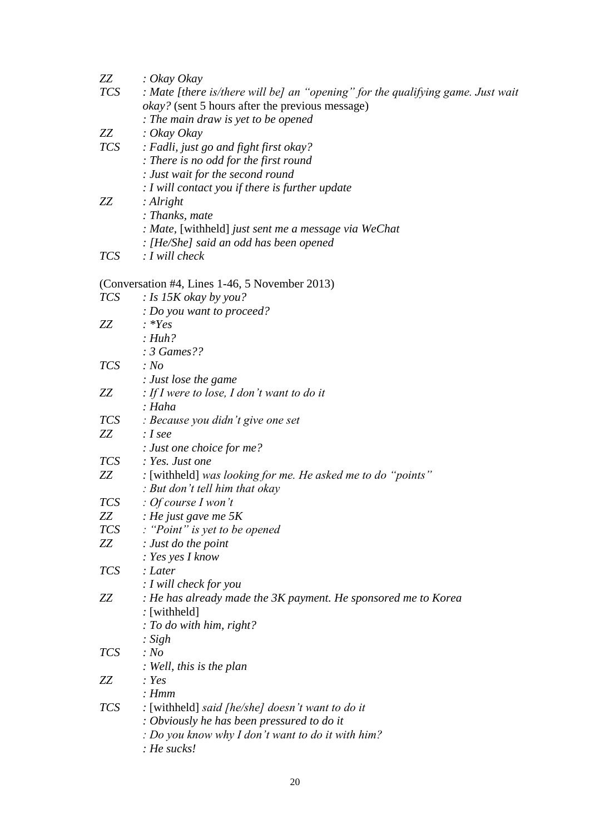| ZZ                                                                                                                                                                                                                                   | $\therefore$ Okay Okay                                                          |
|--------------------------------------------------------------------------------------------------------------------------------------------------------------------------------------------------------------------------------------|---------------------------------------------------------------------------------|
| <i>TCS</i>                                                                                                                                                                                                                           | : Mate [there is/there will be] an "opening" for the qualifying game. Just wait |
|                                                                                                                                                                                                                                      | <i>okay?</i> (sent 5 hours after the previous message)                          |
|                                                                                                                                                                                                                                      | : The main draw is yet to be opened                                             |
| ZZ                                                                                                                                                                                                                                   | $: O$ kay Okay                                                                  |
| <i>TCS</i>                                                                                                                                                                                                                           | : Fadli, just go and fight first okay?                                          |
|                                                                                                                                                                                                                                      | : There is no odd for the first round                                           |
|                                                                                                                                                                                                                                      | : Just wait for the second round                                                |
|                                                                                                                                                                                                                                      | $: I$ will contact you if there is further update                               |
| ZZ                                                                                                                                                                                                                                   | : $Alright$                                                                     |
|                                                                                                                                                                                                                                      | : Thanks, mate                                                                  |
|                                                                                                                                                                                                                                      | : Mate, [withheld] just sent me a message via WeChat                            |
|                                                                                                                                                                                                                                      | : [He/She] said an odd has been opened                                          |
| <i>TCS</i>                                                                                                                                                                                                                           | $: I$ will check                                                                |
|                                                                                                                                                                                                                                      |                                                                                 |
|                                                                                                                                                                                                                                      | (Conversation #4, Lines 1-46, 5 November 2013)                                  |
|                                                                                                                                                                                                                                      | $TCS$ : Is 15K okay by you?                                                     |
|                                                                                                                                                                                                                                      | : Do you want to proceed?                                                       |
| ZZ                                                                                                                                                                                                                                   | $: *Yes$                                                                        |
|                                                                                                                                                                                                                                      | : Huh?                                                                          |
|                                                                                                                                                                                                                                      | $: 3 \text{ Games}$                                                             |
| <b>TCS</b>                                                                                                                                                                                                                           | : No                                                                            |
|                                                                                                                                                                                                                                      | : Just lose the game                                                            |
| ZZ                                                                                                                                                                                                                                   | : If I were to lose, I don't want to do it                                      |
|                                                                                                                                                                                                                                      | : Haha                                                                          |
| <i>TCS</i>                                                                                                                                                                                                                           | : Because you didn't give one set                                               |
| ZZ                                                                                                                                                                                                                                   | : I see                                                                         |
|                                                                                                                                                                                                                                      | $:$ Just one choice for me?                                                     |
| <i>TCS</i>                                                                                                                                                                                                                           | : Yes. Just one                                                                 |
| ZZ zamini za zastani za zastani za zastani za zastani za zastani za zastani za zastani za zastani za zastani z<br>Zastani za zastani za zastani za zastani za zastani za zastani za zastani za zastani za zastani za zastani za<br>Z | : [withheld] was looking for me. He asked me to do "points"                     |
|                                                                                                                                                                                                                                      | : But don't tell him that okay                                                  |
| <i>TCS</i>                                                                                                                                                                                                                           | : Of course I won't                                                             |
| ZZ                                                                                                                                                                                                                                   | : He just gave me $5K$                                                          |
| <i>TCS</i>                                                                                                                                                                                                                           | : "Point" is yet to be opened                                                   |
| ZZ                                                                                                                                                                                                                                   | : Just do the point                                                             |
|                                                                                                                                                                                                                                      | $: Yes$ yes I know                                                              |
| <b>TCS</b>                                                                                                                                                                                                                           | : Later                                                                         |
|                                                                                                                                                                                                                                      | : I will check for you                                                          |
| ZZ                                                                                                                                                                                                                                   | : He has already made the 3K payment. He sponsored me to Korea                  |
|                                                                                                                                                                                                                                      | : [with held]                                                                   |
|                                                                                                                                                                                                                                      | : To do with him, right?                                                        |
|                                                                                                                                                                                                                                      | : $Sigh$                                                                        |
| <b>TCS</b>                                                                                                                                                                                                                           | : No                                                                            |
|                                                                                                                                                                                                                                      | : Well, this is the plan                                                        |
| ZZ                                                                                                                                                                                                                                   | : Yes                                                                           |
|                                                                                                                                                                                                                                      | : Hmm                                                                           |
| <i>TCS</i>                                                                                                                                                                                                                           | : [withheld] said [he/she] doesn't want to do it                                |
|                                                                                                                                                                                                                                      | : Obviously he has been pressured to do it                                      |
|                                                                                                                                                                                                                                      | : Do you know why I don't want to do it with him?                               |
|                                                                                                                                                                                                                                      | : He sucks!                                                                     |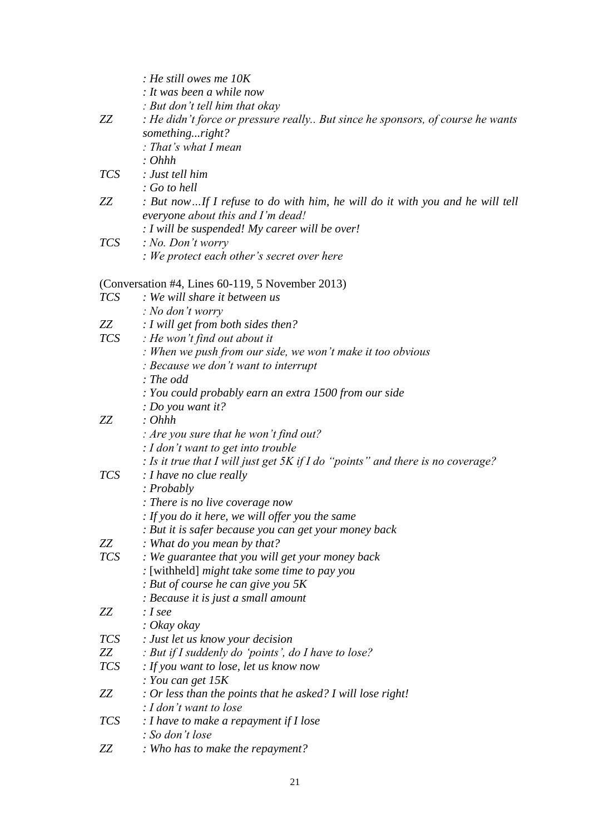|            | $\therefore$ He still owes me 10K                                                 |
|------------|-----------------------------------------------------------------------------------|
|            | : It was been a while now                                                         |
|            | : But don't tell him that okay                                                    |
| ZZ         | : He didn't force or pressure really But since he sponsors, of course he wants    |
|            | somethingright?                                                                   |
|            | : That's what I mean                                                              |
|            | : Ohhh                                                                            |
| <i>TCS</i> | : Just tell him                                                                   |
|            | $: Go$ to hell                                                                    |
| ZZ         | : But nowIf I refuse to do with him, he will do it with you and he will tell      |
|            | everyone about this and I'm dead!                                                 |
|            | : I will be suspended! My career will be over!                                    |
| <i>TCS</i> | : No. Don't worry                                                                 |
|            | : We protect each other's secret over here                                        |
|            | (Conversation #4, Lines 60-119, 5 November 2013)                                  |
| <b>TCS</b> | : We will share it between us                                                     |
|            | $: No$ don't worry                                                                |
| ZZ         | : I will get from both sides then?                                                |
| <i>TCS</i> | $\therefore$ He won't find out about it                                           |
|            | : When we push from our side, we won't make it too obvious                        |
|            | : Because we don't want to interrupt                                              |
|            | : The odd                                                                         |
|            | : You could probably earn an extra 1500 from our side                             |
|            | : Do you want it?                                                                 |
| ZZ         | : Ohhh                                                                            |
|            | : Are you sure that he won't find out?                                            |
|            | $: I$ don't want to get into trouble                                              |
|            | : Is it true that I will just get $5K$ if I do "points" and there is no coverage? |
| <b>TCS</b> | : I have no clue really                                                           |
|            | : Probably                                                                        |
|            | : There is no live coverage now                                                   |
|            | : If you do it here, we will offer you the same                                   |
|            | : But it is safer because you can get your money back                             |
| ZZ         | : What do you mean by that?                                                       |
| TCS        | : We guarantee that you will get your money back                                  |
|            | : [withheld] might take some time to pay you                                      |
|            | : But of course he can give you 5K                                                |
|            | : Because it is just a small amount                                               |
| ZZ         | : I see                                                                           |
|            | $: Okay\, okay$                                                                   |
| <b>TCS</b> | : Just let us know your decision                                                  |
| ZZ         | : But if I suddenly do 'points', do I have to lose?                               |
| <b>TCS</b> | : If you want to lose, let us know now                                            |
|            | : You can get $15K$                                                               |
| ZZ         | : Or less than the points that he asked? I will lose right!                       |
|            | $: I$ don't want to lose                                                          |
| <b>TCS</b> | $: I$ have to make a repayment if $I$ lose                                        |
|            | : So don't lose                                                                   |
| ZZ         | : Who has to make the repayment?                                                  |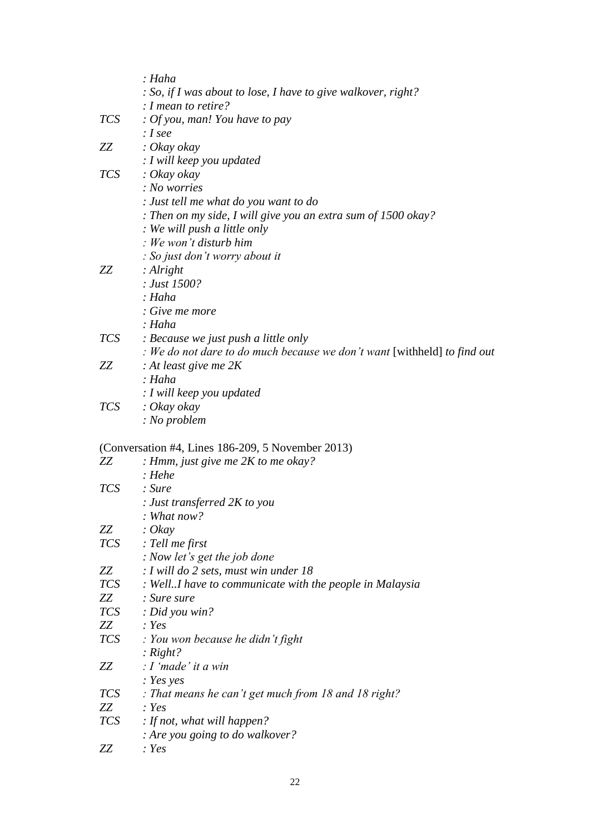|                                                                                                                                                                                                                                 | : Haha                                                                   |
|---------------------------------------------------------------------------------------------------------------------------------------------------------------------------------------------------------------------------------|--------------------------------------------------------------------------|
|                                                                                                                                                                                                                                 | : So, if I was about to lose, I have to give walkover, right?            |
|                                                                                                                                                                                                                                 | : I mean to retire?                                                      |
| <b>TCS</b>                                                                                                                                                                                                                      | : Of you, man! You have to pay                                           |
|                                                                                                                                                                                                                                 | : I see                                                                  |
| ZZ                                                                                                                                                                                                                              | $\therefore$ Okay okay                                                   |
|                                                                                                                                                                                                                                 | $: I$ will keep you updated                                              |
| <i>TCS</i>                                                                                                                                                                                                                      | $: Okay\, okay$                                                          |
|                                                                                                                                                                                                                                 | : No worries                                                             |
|                                                                                                                                                                                                                                 | : Just tell me what do you want to do                                    |
|                                                                                                                                                                                                                                 | : Then on my side, I will give you an extra sum of $1500$ okay?          |
|                                                                                                                                                                                                                                 | : We will push a little only                                             |
|                                                                                                                                                                                                                                 | : We won't disturb him                                                   |
|                                                                                                                                                                                                                                 | : So just don't worry about it                                           |
| ZZ                                                                                                                                                                                                                              | : $Alright$                                                              |
|                                                                                                                                                                                                                                 | : Just 1500?                                                             |
|                                                                                                                                                                                                                                 | : Haha                                                                   |
|                                                                                                                                                                                                                                 | : Give me more                                                           |
|                                                                                                                                                                                                                                 | : Haha                                                                   |
| <i>TCS</i>                                                                                                                                                                                                                      | : Because we just push a little only                                     |
|                                                                                                                                                                                                                                 | : We do not dare to do much because we don't want [withheld] to find out |
| ZZ                                                                                                                                                                                                                              | : At least give me $2K$                                                  |
|                                                                                                                                                                                                                                 | : Haha                                                                   |
|                                                                                                                                                                                                                                 |                                                                          |
|                                                                                                                                                                                                                                 | : I will keep you updated                                                |
| <b>TCS</b>                                                                                                                                                                                                                      | $: Okay\, okay$                                                          |
|                                                                                                                                                                                                                                 | : No problem                                                             |
|                                                                                                                                                                                                                                 | (Conversation #4, Lines 186-209, 5 November 2013)                        |
| ZZ                                                                                                                                                                                                                              | : Hmm, just give me $2K$ to me okay?                                     |
|                                                                                                                                                                                                                                 | : Hehe                                                                   |
| <b>TCS</b>                                                                                                                                                                                                                      | : Sure                                                                   |
|                                                                                                                                                                                                                                 | : Just transferred 2K to you                                             |
|                                                                                                                                                                                                                                 | : What now?                                                              |
| ZZ                                                                                                                                                                                                                              | : $O$ <i>ka</i> y                                                        |
|                                                                                                                                                                                                                                 | TCS : Tell me first                                                      |
|                                                                                                                                                                                                                                 | : Now let's get the job done                                             |
| ZZ                                                                                                                                                                                                                              | $: I$ will do 2 sets, must win under 18                                  |
| <i>TCS</i>                                                                                                                                                                                                                      | : WellI have to communicate with the people in Malaysia                  |
| ZZ zamiesta za zastawanie za zastawanie za zastawanie za zastawanie za zastawanie za zastawanie za zastawanie<br>Zastawanie zastawanie za zastawanie za zastawanie za zastawa za zastawa za zastawa za zastawa za zastawa za za | : Sure sure                                                              |
| <b>TCS</b>                                                                                                                                                                                                                      | $:$ Did you win?                                                         |
| ZZ                                                                                                                                                                                                                              | : Yes                                                                    |
| TCS                                                                                                                                                                                                                             | $\therefore$ You won because he didn't fight                             |
|                                                                                                                                                                                                                                 | : $Right?$                                                               |
| ZZ                                                                                                                                                                                                                              | $: I'$ made' it a win                                                    |
|                                                                                                                                                                                                                                 |                                                                          |
|                                                                                                                                                                                                                                 | : Yes yes                                                                |
| TCS                                                                                                                                                                                                                             | : That means he can't get much from 18 and 18 right?                     |
| ZZ                                                                                                                                                                                                                              | : Yes                                                                    |
| <b>TCS</b>                                                                                                                                                                                                                      | : If not, what will happen?                                              |
|                                                                                                                                                                                                                                 | : Are you going to do walkover?                                          |
| ZZ                                                                                                                                                                                                                              | : Yes                                                                    |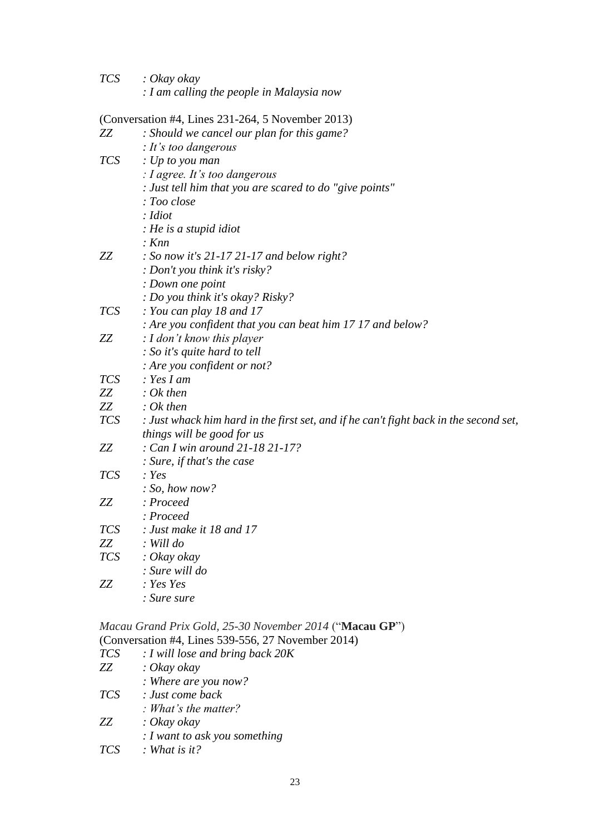| <b>TCS</b> | $\therefore$ Okay okay                               |
|------------|------------------------------------------------------|
|            | $\therefore$ I am calling the people in Malaysia now |

(Conversation #4, Lines 231-264, 5 November 2013)

| ZZ         | $\frac{1}{2}$ conversation $\frac{1}{2}$ , $\frac{1}{2}$ antes 251 201, 5110 version $\frac{1}{2}$<br>: Should we cancel our plan for this game? |
|------------|--------------------------------------------------------------------------------------------------------------------------------------------------|
|            | : It's too dangerous                                                                                                                             |
| <b>TCS</b> | $\therefore$ Up to you man                                                                                                                       |
|            | : I agree. It's too dangerous                                                                                                                    |
|            | : Just tell him that you are scared to do "give points"                                                                                          |
|            | : Too close                                                                                                                                      |
|            | : Idiot                                                                                                                                          |
|            | : He is a stupid idiot                                                                                                                           |
|            | $:$ Knn                                                                                                                                          |
| ZZ         | : So now it's $21-1721-17$ and below right?                                                                                                      |
|            | : Don't you think it's risky?                                                                                                                    |
|            | : Down one point                                                                                                                                 |
|            | : Do you think it's okay? Risky?                                                                                                                 |
| <b>TCS</b> | : You can play 18 and 17                                                                                                                         |
|            | : Are you confident that you can beat him 17 17 and below?                                                                                       |
| ZZ         | : I don't know this player                                                                                                                       |
|            | : So it's quite hard to tell                                                                                                                     |
|            | : Are you confident or not?                                                                                                                      |
| <b>TCS</b> | $: Yes I$ am                                                                                                                                     |
| ZZ         | $: Ok$ then                                                                                                                                      |
| ZΖ         | $: Ok$ then                                                                                                                                      |
| <b>TCS</b> | : Just whack him hard in the first set, and if he can't fight back in the second set,                                                            |
|            | things will be good for us                                                                                                                       |
| ZZ         | : Can I win around 21-18 21-17?                                                                                                                  |
|            | : Sure, if that's the case                                                                                                                       |
| <b>TCS</b> | : Yes                                                                                                                                            |
|            | : So, how now?                                                                                                                                   |
| ZZ         | : Proceed                                                                                                                                        |
|            | : Proceed                                                                                                                                        |
| <b>TCS</b> | $:$ Just make it 18 and 17                                                                                                                       |
| ZZ         | $:$ Will do                                                                                                                                      |
| <b>TCS</b> | $: Okay\, okay$                                                                                                                                  |
|            | : Sure will do                                                                                                                                   |
| ZZ         | : Yes Yes                                                                                                                                        |
|            | : Sure sure                                                                                                                                      |

*Macau Grand Prix Gold, 25-30 November 2014* ("**Macau GP**") (Conversation #4, Lines 539-556, 27 November 2014)

| <b>TCS</b> | $: I$ will lose and bring back $20K$ |
|------------|--------------------------------------|
| ZZ         | $: Okay\, okay$                      |
|            | : Where are you now?                 |
| <b>TCS</b> | : Just come back                     |
|            | : What's the matter?                 |
| ZZ.        | $:$ Okay okay                        |
|            | $: I$ want to ask you something      |
| <b>TCS</b> | : What is it?                        |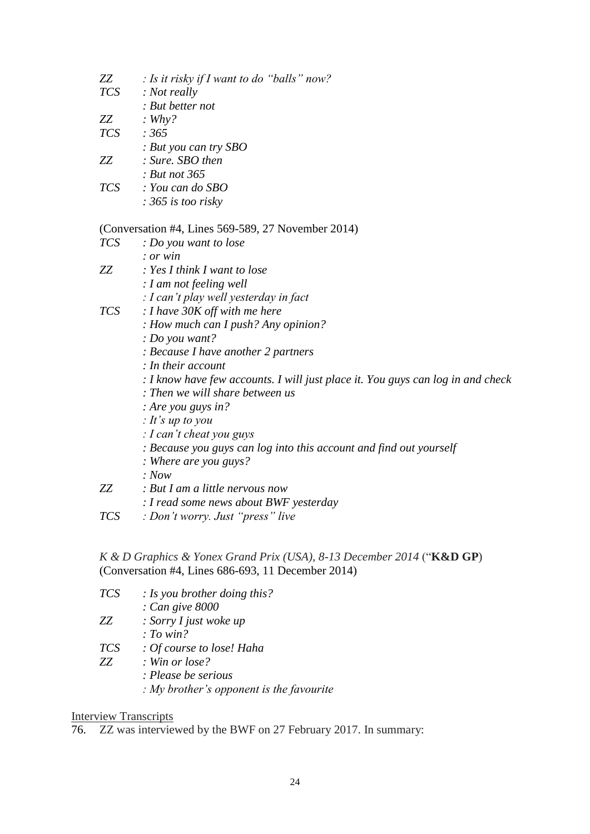| ZZ         | : Is it risky if I want to do "balls" now?                                      |
|------------|---------------------------------------------------------------------------------|
| <b>TCS</b> | : Not really                                                                    |
|            | : But better not                                                                |
| ZΖ         | : $Why?$                                                                        |
| <b>TCS</b> | : $365$                                                                         |
|            | : But you can try $SBO$                                                         |
| ZZ         | : Sure. SBO then                                                                |
|            | : But not 365                                                                   |
| <i>TCS</i> | : You can do SBO                                                                |
|            | $: 365$ is too risky                                                            |
|            | (Conversation #4, Lines 569-589, 27 November 2014)                              |
| <b>TCS</b> | : Do you want to lose                                                           |
|            | : or win                                                                        |
| ZΖ         | : Yes I think I want to lose                                                    |
|            | : I am not feeling well                                                         |
|            | : I can't play well yesterday in fact                                           |
| <i>TCS</i> | : I have $30K$ off with me here                                                 |
|            | : How much can I push? Any opinion?                                             |
|            | : Do you want?                                                                  |
|            | : Because I have another 2 partners                                             |
|            | : In their account                                                              |
|            | : I know have few accounts. I will just place it. You guys can log in and check |
|            | : Then we will share between us                                                 |
|            | : Are you guys in?                                                              |
|            | : It's up to you                                                                |
|            | : I can't cheat you guys                                                        |
|            | : Because you guys can log into this account and find out yourself              |
|            | : Where are you guys?                                                           |
|            | : Now                                                                           |
| ZZ         | : But I am a little nervous now                                                 |
|            | : I read some news about BWF yesterday                                          |
| TCC        | $\cdot$ Don't warm, Luit "prove" $\lim_{\epsilon}$                              |

*TCS : Don't worry. Just "press" live*

*K & D Graphics & Yonex Grand Prix (USA), 8-13 December 2014* ("**K&D GP**) (Conversation #4, Lines 686-693, 11 December 2014)

| <b>TCS</b> | : Is you brother doing this?                  |
|------------|-----------------------------------------------|
|            | : Can give 8000                               |
| ZZ         | : Sorry I just woke up                        |
|            | : To win?                                     |
| <b>TCS</b> | : Of course to lose! Haha                     |
| ZZ         | $:$ Win or lose?                              |
|            | : Please be serious                           |
|            | $: My brother's opponent is the favourable$ : |

# **Interview Transcripts**

76. ZZ was interviewed by the BWF on 27 February 2017. In summary: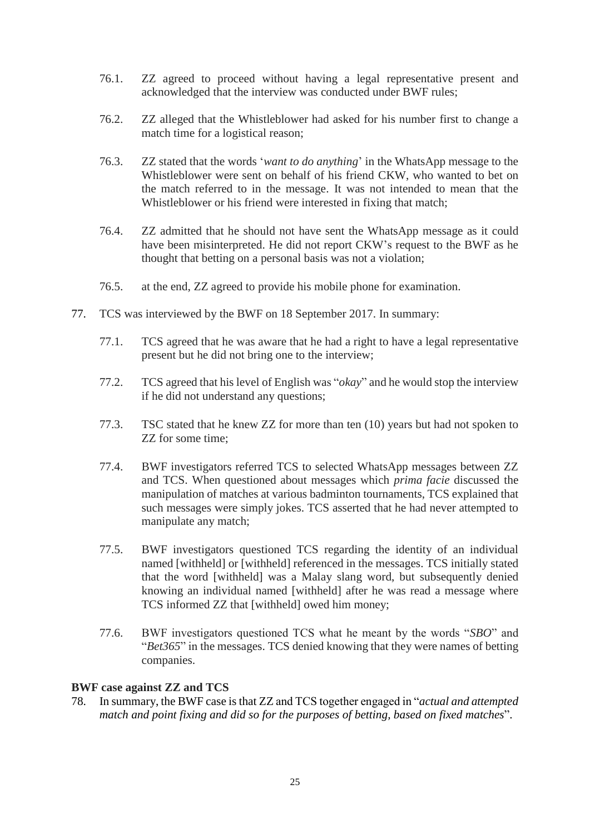- 76.1. ZZ agreed to proceed without having a legal representative present and acknowledged that the interview was conducted under BWF rules;
- 76.2. ZZ alleged that the Whistleblower had asked for his number first to change a match time for a logistical reason;
- 76.3. ZZ stated that the words '*want to do anything*' in the WhatsApp message to the Whistleblower were sent on behalf of his friend CKW, who wanted to bet on the match referred to in the message. It was not intended to mean that the Whistleblower or his friend were interested in fixing that match;
- 76.4. ZZ admitted that he should not have sent the WhatsApp message as it could have been misinterpreted. He did not report CKW's request to the BWF as he thought that betting on a personal basis was not a violation;
- 76.5. at the end, ZZ agreed to provide his mobile phone for examination.
- 77. TCS was interviewed by the BWF on 18 September 2017. In summary:
	- 77.1. TCS agreed that he was aware that he had a right to have a legal representative present but he did not bring one to the interview;
	- 77.2. TCS agreed that his level of English was "*okay*" and he would stop the interview if he did not understand any questions;
	- 77.3. TSC stated that he knew ZZ for more than ten (10) years but had not spoken to ZZ for some time;
	- 77.4. BWF investigators referred TCS to selected WhatsApp messages between ZZ and TCS. When questioned about messages which *prima facie* discussed the manipulation of matches at various badminton tournaments, TCS explained that such messages were simply jokes. TCS asserted that he had never attempted to manipulate any match;
	- 77.5. BWF investigators questioned TCS regarding the identity of an individual named [withheld] or [withheld] referenced in the messages. TCS initially stated that the word [withheld] was a Malay slang word, but subsequently denied knowing an individual named [withheld] after he was read a message where TCS informed ZZ that [withheld] owed him money;
	- 77.6. BWF investigators questioned TCS what he meant by the words "*SBO*" and "*Bet365*" in the messages. TCS denied knowing that they were names of betting companies.

# **BWF case against ZZ and TCS**

78. In summary, the BWF case is that ZZ and TCS together engaged in "*actual and attempted match and point fixing and did so for the purposes of betting, based on fixed matches*".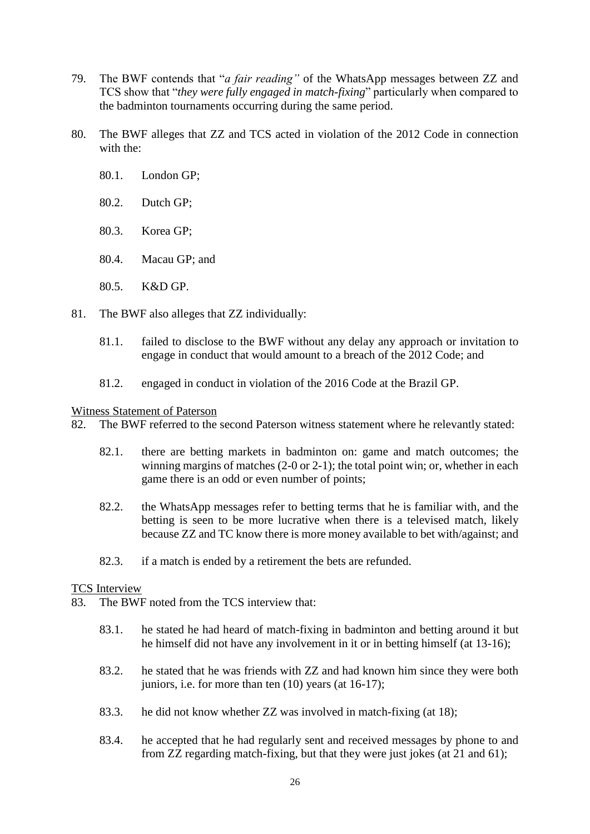- 79. The BWF contends that "*a fair reading"* of the WhatsApp messages between ZZ and TCS show that "*they were fully engaged in match-fixing*" particularly when compared to the badminton tournaments occurring during the same period.
- 80. The BWF alleges that ZZ and TCS acted in violation of the 2012 Code in connection with the:
	- 80.1. London GP;
	- 80.2. Dutch GP;
	- 80.3. Korea GP;
	- 80.4. Macau GP; and
	- 80.5. K&D GP.
- 81. The BWF also alleges that ZZ individually:
	- 81.1. failed to disclose to the BWF without any delay any approach or invitation to engage in conduct that would amount to a breach of the 2012 Code; and
	- 81.2. engaged in conduct in violation of the 2016 Code at the Brazil GP.

#### Witness Statement of Paterson

- 82. The BWF referred to the second Paterson witness statement where he relevantly stated:
	- 82.1. there are betting markets in badminton on: game and match outcomes; the winning margins of matches (2-0 or 2-1); the total point win; or, whether in each game there is an odd or even number of points;
	- 82.2. the WhatsApp messages refer to betting terms that he is familiar with, and the betting is seen to be more lucrative when there is a televised match, likely because ZZ and TC know there is more money available to bet with/against; and
	- 82.3. if a match is ended by a retirement the bets are refunded.

### TCS Interview

- 83. The BWF noted from the TCS interview that:
	- 83.1. he stated he had heard of match-fixing in badminton and betting around it but he himself did not have any involvement in it or in betting himself (at 13-16);
	- 83.2. he stated that he was friends with ZZ and had known him since they were both juniors, i.e. for more than ten (10) years (at 16-17);
	- 83.3. he did not know whether ZZ was involved in match-fixing (at 18);
	- 83.4. he accepted that he had regularly sent and received messages by phone to and from ZZ regarding match-fixing, but that they were just jokes (at 21 and 61);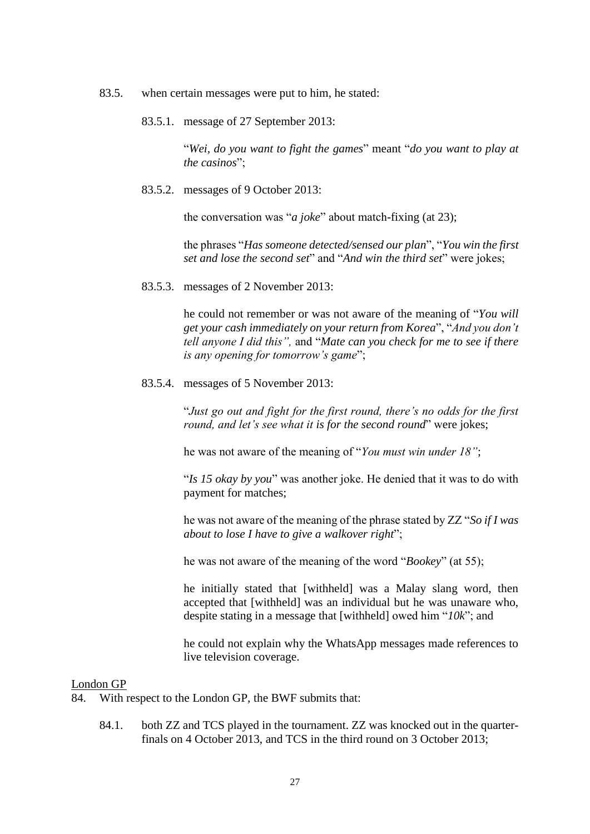- 83.5. when certain messages were put to him, he stated:
	- 83.5.1. message of 27 September 2013:

"*Wei, do you want to fight the games*" meant "*do you want to play at the casinos*";

83.5.2. messages of 9 October 2013:

the conversation was "*a joke*" about match-fixing (at 23);

the phrases "*Has someone detected/sensed our plan*", "*You win the first set and lose the second set*" and "*And win the third set*" were jokes;

83.5.3. messages of 2 November 2013:

he could not remember or was not aware of the meaning of "*You will get your cash immediately on your return from Korea*", "*And you don't tell anyone I did this",* and "*Mate can you check for me to see if there is any opening for tomorrow's game*";

83.5.4. messages of 5 November 2013:

"*Just go out and fight for the first round, there's no odds for the first round, and let's see what it is for the second round*" were jokes;

he was not aware of the meaning of "*You must win under 18"*;

"*Is 15 okay by you*" was another joke. He denied that it was to do with payment for matches;

he was not aware of the meaning of the phrase stated by ZZ "*So if I was about to lose I have to give a walkover right*";

he was not aware of the meaning of the word "*Bookey*" (at 55);

he initially stated that [withheld] was a Malay slang word, then accepted that [withheld] was an individual but he was unaware who, despite stating in a message that [withheld] owed him "*10k*"; and

he could not explain why the WhatsApp messages made references to live television coverage.

#### London GP

- 84. With respect to the London GP, the BWF submits that:
	- 84.1. both ZZ and TCS played in the tournament. ZZ was knocked out in the quarterfinals on 4 October 2013, and TCS in the third round on 3 October 2013;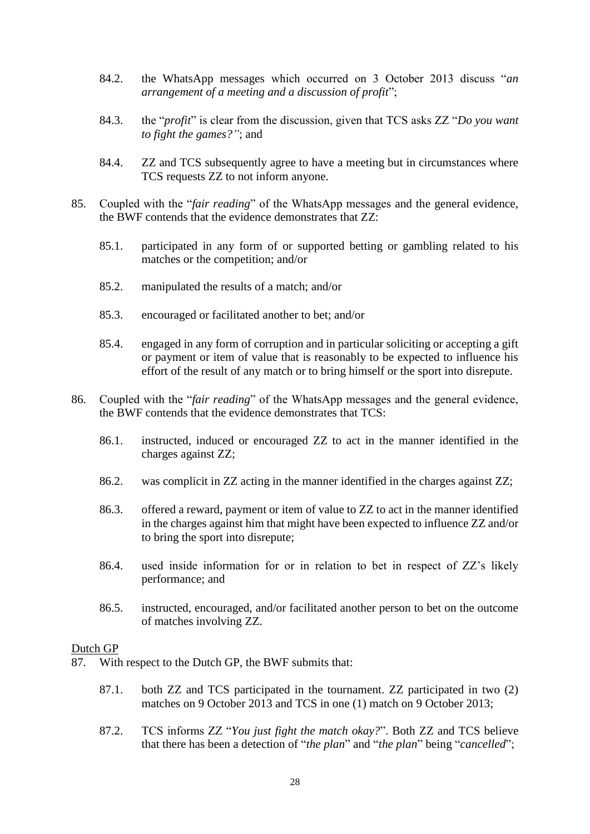- 84.2. the WhatsApp messages which occurred on 3 October 2013 discuss "*an arrangement of a meeting and a discussion of profit*";
- 84.3. the "*profit*" is clear from the discussion, given that TCS asks ZZ "*Do you want to fight the games?"*; and
- 84.4. ZZ and TCS subsequently agree to have a meeting but in circumstances where TCS requests ZZ to not inform anyone.
- 85. Coupled with the "*fair reading*" of the WhatsApp messages and the general evidence, the BWF contends that the evidence demonstrates that ZZ:
	- 85.1. participated in any form of or supported betting or gambling related to his matches or the competition; and/or
	- 85.2. manipulated the results of a match; and/or
	- 85.3. encouraged or facilitated another to bet; and/or
	- 85.4. engaged in any form of corruption and in particular soliciting or accepting a gift or payment or item of value that is reasonably to be expected to influence his effort of the result of any match or to bring himself or the sport into disrepute.
- 86. Coupled with the "*fair reading*" of the WhatsApp messages and the general evidence, the BWF contends that the evidence demonstrates that TCS:
	- 86.1. instructed, induced or encouraged ZZ to act in the manner identified in the charges against ZZ;
	- 86.2. was complicit in ZZ acting in the manner identified in the charges against ZZ;
	- 86.3. offered a reward, payment or item of value to ZZ to act in the manner identified in the charges against him that might have been expected to influence ZZ and/or to bring the sport into disrepute;
	- 86.4. used inside information for or in relation to bet in respect of ZZ's likely performance; and
	- 86.5. instructed, encouraged, and/or facilitated another person to bet on the outcome of matches involving ZZ.

#### Dutch GP

- 87. With respect to the Dutch GP, the BWF submits that:
	- 87.1. both ZZ and TCS participated in the tournament. ZZ participated in two (2) matches on 9 October 2013 and TCS in one (1) match on 9 October 2013;
	- 87.2. TCS informs ZZ "*You just fight the match okay?*". Both ZZ and TCS believe that there has been a detection of "*the plan*" and "*the plan*" being "*cancelled*";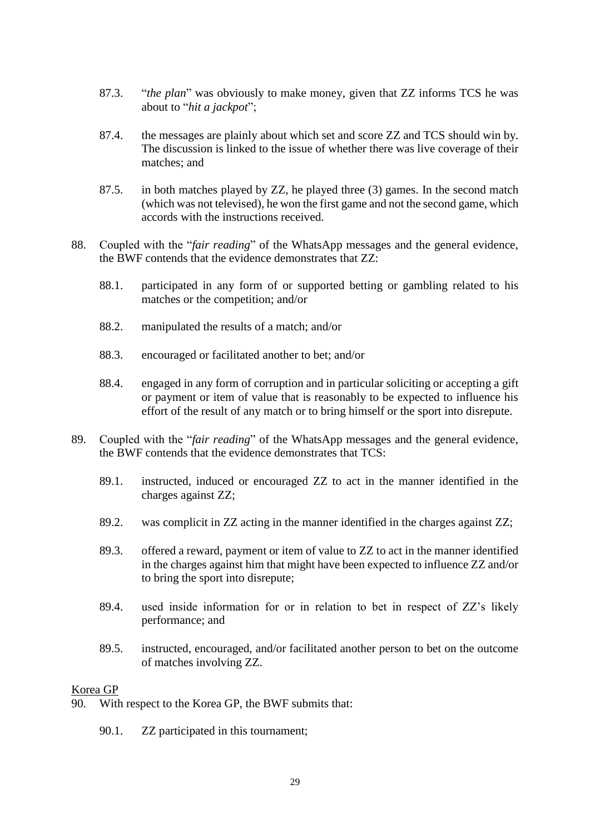- 87.3. "*the plan*" was obviously to make money, given that ZZ informs TCS he was about to "*hit a jackpot*";
- 87.4. the messages are plainly about which set and score ZZ and TCS should win by. The discussion is linked to the issue of whether there was live coverage of their matches; and
- 87.5. in both matches played by ZZ, he played three (3) games. In the second match (which was not televised), he won the first game and not the second game, which accords with the instructions received.
- 88. Coupled with the "*fair reading*" of the WhatsApp messages and the general evidence, the BWF contends that the evidence demonstrates that ZZ:
	- 88.1. participated in any form of or supported betting or gambling related to his matches or the competition; and/or
	- 88.2. manipulated the results of a match; and/or
	- 88.3. encouraged or facilitated another to bet; and/or
	- 88.4. engaged in any form of corruption and in particular soliciting or accepting a gift or payment or item of value that is reasonably to be expected to influence his effort of the result of any match or to bring himself or the sport into disrepute.
- 89. Coupled with the "*fair reading*" of the WhatsApp messages and the general evidence, the BWF contends that the evidence demonstrates that TCS:
	- 89.1. instructed, induced or encouraged ZZ to act in the manner identified in the charges against ZZ;
	- 89.2. was complicit in ZZ acting in the manner identified in the charges against ZZ;
	- 89.3. offered a reward, payment or item of value to ZZ to act in the manner identified in the charges against him that might have been expected to influence ZZ and/or to bring the sport into disrepute;
	- 89.4. used inside information for or in relation to bet in respect of ZZ's likely performance; and
	- 89.5. instructed, encouraged, and/or facilitated another person to bet on the outcome of matches involving ZZ.

### Korea GP

- 90. With respect to the Korea GP, the BWF submits that:
	- 90.1. ZZ participated in this tournament;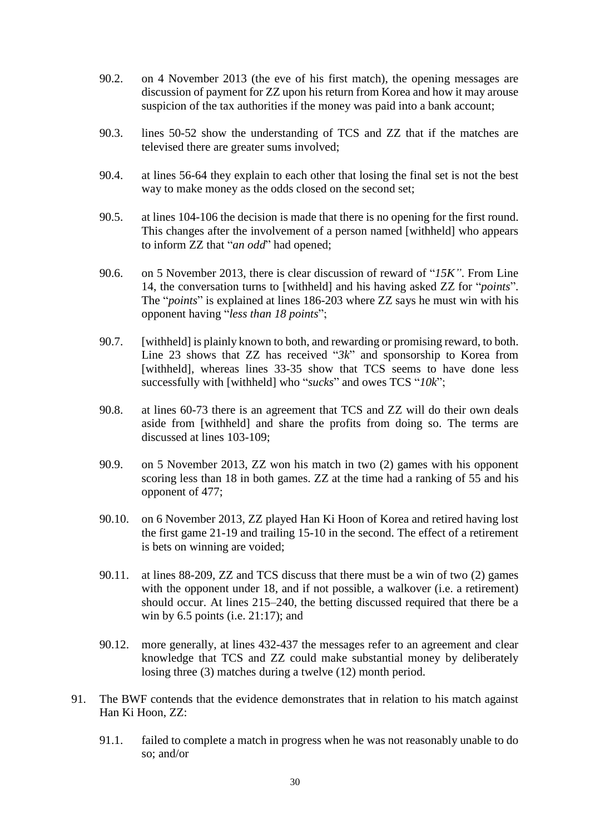- 90.2. on 4 November 2013 (the eve of his first match), the opening messages are discussion of payment for ZZ upon his return from Korea and how it may arouse suspicion of the tax authorities if the money was paid into a bank account;
- 90.3. lines 50-52 show the understanding of TCS and ZZ that if the matches are televised there are greater sums involved;
- 90.4. at lines 56-64 they explain to each other that losing the final set is not the best way to make money as the odds closed on the second set;
- 90.5. at lines 104-106 the decision is made that there is no opening for the first round. This changes after the involvement of a person named [withheld] who appears to inform ZZ that "*an odd*" had opened;
- 90.6. on 5 November 2013, there is clear discussion of reward of "*15K"*. From Line 14, the conversation turns to [withheld] and his having asked ZZ for "*points*". The "*points*" is explained at lines 186-203 where ZZ says he must win with his opponent having "*less than 18 points*";
- 90.7. [withheld] is plainly known to both, and rewarding or promising reward, to both. Line 23 shows that ZZ has received "*3k*" and sponsorship to Korea from [withheld], whereas lines 33-35 show that TCS seems to have done less successfully with [withheld] who "*sucks*" and owes TCS "*10k*";
- 90.8. at lines 60-73 there is an agreement that TCS and ZZ will do their own deals aside from [withheld] and share the profits from doing so. The terms are discussed at lines 103-109;
- 90.9. on 5 November 2013, ZZ won his match in two (2) games with his opponent scoring less than 18 in both games. ZZ at the time had a ranking of 55 and his opponent of 477;
- 90.10. on 6 November 2013, ZZ played Han Ki Hoon of Korea and retired having lost the first game 21-19 and trailing 15-10 in the second. The effect of a retirement is bets on winning are voided;
- 90.11. at lines 88-209, ZZ and TCS discuss that there must be a win of two (2) games with the opponent under 18, and if not possible, a walkover (i.e. a retirement) should occur. At lines 215–240, the betting discussed required that there be a win by  $6.5$  points (i.e.  $21:17$ ); and
- 90.12. more generally, at lines 432-437 the messages refer to an agreement and clear knowledge that TCS and ZZ could make substantial money by deliberately losing three (3) matches during a twelve (12) month period.
- 91. The BWF contends that the evidence demonstrates that in relation to his match against Han Ki Hoon, ZZ:
	- 91.1. failed to complete a match in progress when he was not reasonably unable to do so; and/or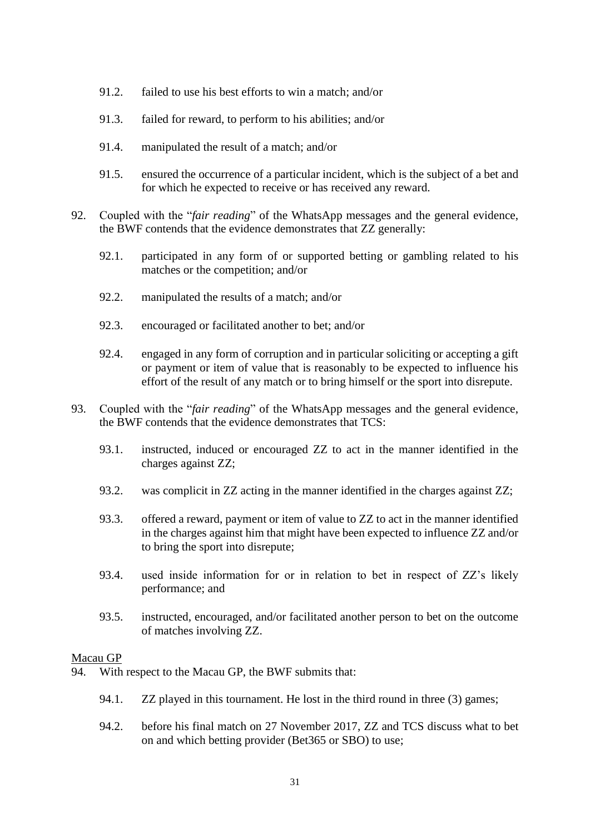- 91.2. failed to use his best efforts to win a match; and/or
- 91.3. failed for reward, to perform to his abilities; and/or
- 91.4. manipulated the result of a match; and/or
- 91.5. ensured the occurrence of a particular incident, which is the subject of a bet and for which he expected to receive or has received any reward.
- 92. Coupled with the "*fair reading*" of the WhatsApp messages and the general evidence, the BWF contends that the evidence demonstrates that ZZ generally:
	- 92.1. participated in any form of or supported betting or gambling related to his matches or the competition; and/or
	- 92.2. manipulated the results of a match; and/or
	- 92.3. encouraged or facilitated another to bet; and/or
	- 92.4. engaged in any form of corruption and in particular soliciting or accepting a gift or payment or item of value that is reasonably to be expected to influence his effort of the result of any match or to bring himself or the sport into disrepute.
- 93. Coupled with the "*fair reading*" of the WhatsApp messages and the general evidence, the BWF contends that the evidence demonstrates that TCS:
	- 93.1. instructed, induced or encouraged ZZ to act in the manner identified in the charges against ZZ;
	- 93.2. was complicit in ZZ acting in the manner identified in the charges against ZZ;
	- 93.3. offered a reward, payment or item of value to ZZ to act in the manner identified in the charges against him that might have been expected to influence ZZ and/or to bring the sport into disrepute;
	- 93.4. used inside information for or in relation to bet in respect of ZZ's likely performance; and
	- 93.5. instructed, encouraged, and/or facilitated another person to bet on the outcome of matches involving ZZ.

### Macau GP

- 94. With respect to the Macau GP, the BWF submits that:
	- 94.1. ZZ played in this tournament. He lost in the third round in three (3) games;
	- 94.2. before his final match on 27 November 2017, ZZ and TCS discuss what to bet on and which betting provider (Bet365 or SBO) to use;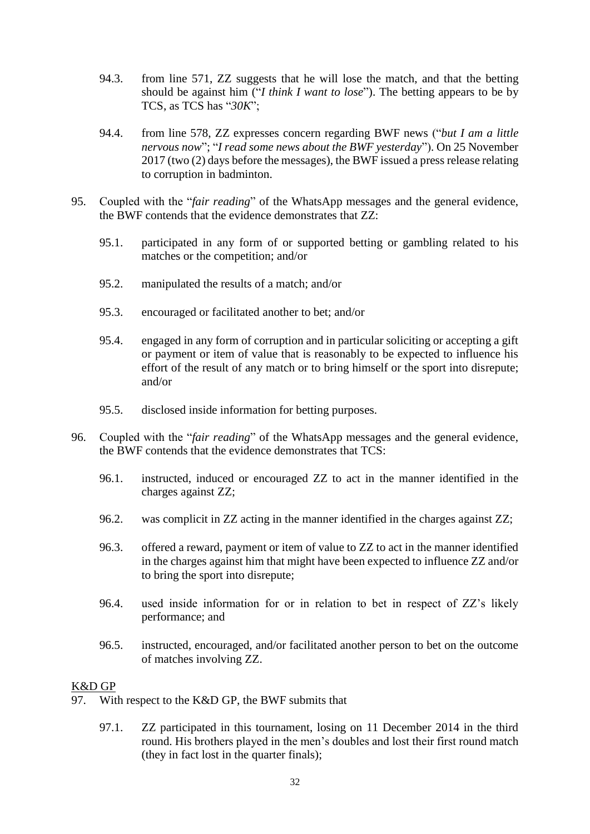- 94.3. from line 571, ZZ suggests that he will lose the match, and that the betting should be against him ("*I think I want to lose*"). The betting appears to be by TCS, as TCS has "*30K*";
- 94.4. from line 578, ZZ expresses concern regarding BWF news ("*but I am a little nervous now*"; "*I read some news about the BWF yesterday*"). On 25 November 2017 (two (2) days before the messages), the BWF issued a press release relating to corruption in badminton.
- 95. Coupled with the "*fair reading*" of the WhatsApp messages and the general evidence, the BWF contends that the evidence demonstrates that ZZ:
	- 95.1. participated in any form of or supported betting or gambling related to his matches or the competition; and/or
	- 95.2. manipulated the results of a match; and/or
	- 95.3. encouraged or facilitated another to bet; and/or
	- 95.4. engaged in any form of corruption and in particular soliciting or accepting a gift or payment or item of value that is reasonably to be expected to influence his effort of the result of any match or to bring himself or the sport into disrepute; and/or
	- 95.5. disclosed inside information for betting purposes.
- 96. Coupled with the "*fair reading*" of the WhatsApp messages and the general evidence, the BWF contends that the evidence demonstrates that TCS:
	- 96.1. instructed, induced or encouraged ZZ to act in the manner identified in the charges against ZZ;
	- 96.2. was complicit in ZZ acting in the manner identified in the charges against ZZ;
	- 96.3. offered a reward, payment or item of value to ZZ to act in the manner identified in the charges against him that might have been expected to influence ZZ and/or to bring the sport into disrepute;
	- 96.4. used inside information for or in relation to bet in respect of ZZ's likely performance; and
	- 96.5. instructed, encouraged, and/or facilitated another person to bet on the outcome of matches involving ZZ.

# K&D GP

- 97. With respect to the K&D GP, the BWF submits that
	- 97.1. ZZ participated in this tournament, losing on 11 December 2014 in the third round. His brothers played in the men's doubles and lost their first round match (they in fact lost in the quarter finals);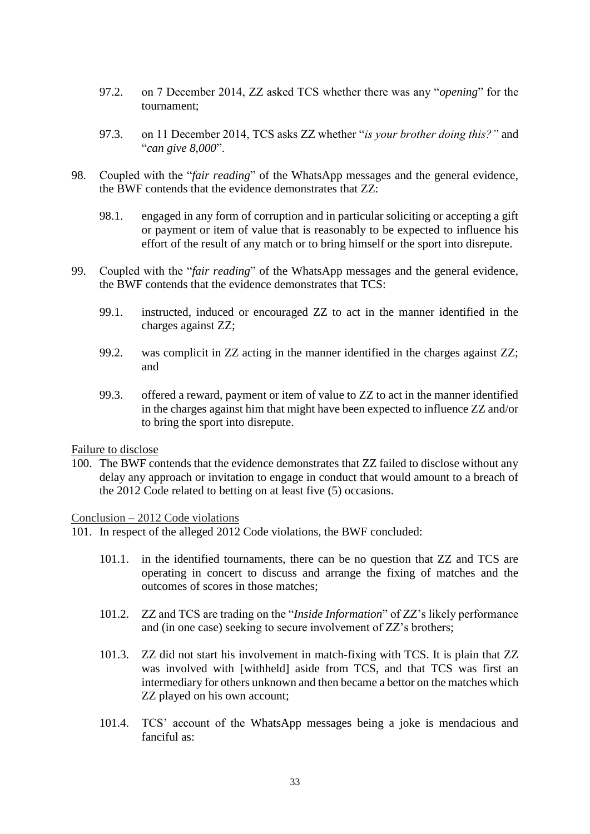- 97.2. on 7 December 2014, ZZ asked TCS whether there was any "*opening*" for the tournament;
- 97.3. on 11 December 2014, TCS asks ZZ whether "*is your brother doing this?"* and "*can give 8,000*".
- 98. Coupled with the "*fair reading*" of the WhatsApp messages and the general evidence, the BWF contends that the evidence demonstrates that ZZ:
	- 98.1. engaged in any form of corruption and in particular soliciting or accepting a gift or payment or item of value that is reasonably to be expected to influence his effort of the result of any match or to bring himself or the sport into disrepute.
- 99. Coupled with the "*fair reading*" of the WhatsApp messages and the general evidence, the BWF contends that the evidence demonstrates that TCS:
	- 99.1. instructed, induced or encouraged ZZ to act in the manner identified in the charges against ZZ;
	- 99.2. was complicit in ZZ acting in the manner identified in the charges against ZZ; and
	- 99.3. offered a reward, payment or item of value to ZZ to act in the manner identified in the charges against him that might have been expected to influence ZZ and/or to bring the sport into disrepute.

Failure to disclose

100. The BWF contends that the evidence demonstrates that ZZ failed to disclose without any delay any approach or invitation to engage in conduct that would amount to a breach of the 2012 Code related to betting on at least five (5) occasions.

Conclusion – 2012 Code violations

101. In respect of the alleged 2012 Code violations, the BWF concluded:

- 101.1. in the identified tournaments, there can be no question that ZZ and TCS are operating in concert to discuss and arrange the fixing of matches and the outcomes of scores in those matches;
- 101.2. ZZ and TCS are trading on the "*Inside Information*" of ZZ's likely performance and (in one case) seeking to secure involvement of ZZ's brothers;
- 101.3. ZZ did not start his involvement in match-fixing with TCS. It is plain that ZZ was involved with [withheld] aside from TCS, and that TCS was first an intermediary for others unknown and then became a bettor on the matches which ZZ played on his own account;
- 101.4. TCS' account of the WhatsApp messages being a joke is mendacious and fanciful as: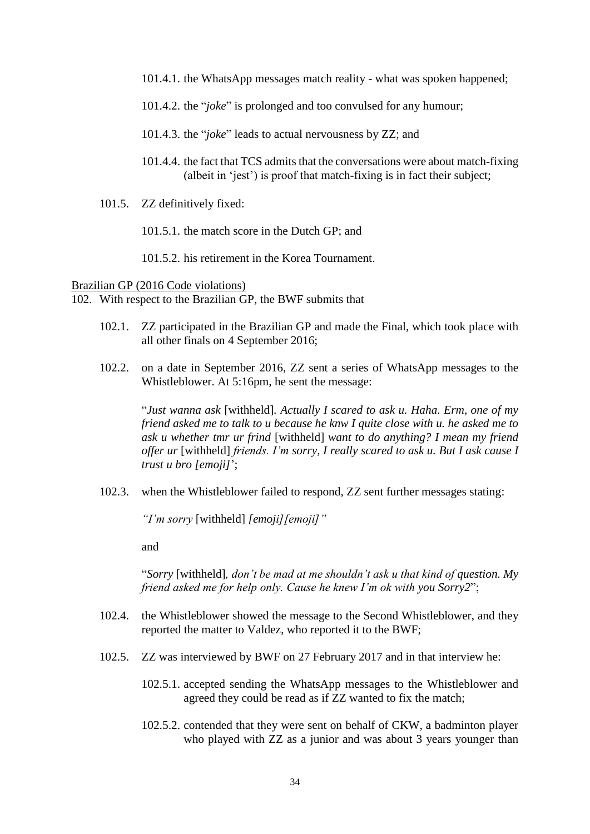- 101.4.1. the WhatsApp messages match reality what was spoken happened;
- 101.4.2. the "*joke*" is prolonged and too convulsed for any humour;
- 101.4.3. the "*joke*" leads to actual nervousness by ZZ; and
- 101.4.4. the fact that TCS admits that the conversations were about match-fixing (albeit in 'jest') is proof that match-fixing is in fact their subject;
- 101.5. ZZ definitively fixed:
	- 101.5.1. the match score in the Dutch GP; and
	- 101.5.2. his retirement in the Korea Tournament.

Brazilian GP (2016 Code violations) 102. With respect to the Brazilian GP, the BWF submits that

- 102.1. ZZ participated in the Brazilian GP and made the Final, which took place with all other finals on 4 September 2016;
- 102.2. on a date in September 2016, ZZ sent a series of WhatsApp messages to the Whistleblower. At 5:16pm, he sent the message:

"*Just wanna ask* [withheld]*. Actually I scared to ask u. Haha. Erm, one of my friend asked me to talk to u because he knw I quite close with u. he asked me to ask u whether tmr ur frind* [withheld] *want to do anything? I mean my friend offer ur* [withheld] *friends. I'm sorry, I really scared to ask u. But I ask cause I trust u bro [emoji]*';

102.3. when the Whistleblower failed to respond, ZZ sent further messages stating:

*"I'm sorry* [withheld] *[emoji][emoji]"*

and

"*Sorry* [withheld]*, don't be mad at me shouldn't ask u that kind of question. My friend asked me for help only. Cause he knew I'm ok with you Sorry2*";

- 102.4. the Whistleblower showed the message to the Second Whistleblower, and they reported the matter to Valdez, who reported it to the BWF;
- 102.5. ZZ was interviewed by BWF on 27 February 2017 and in that interview he:
	- 102.5.1. accepted sending the WhatsApp messages to the Whistleblower and agreed they could be read as if ZZ wanted to fix the match;
	- 102.5.2. contended that they were sent on behalf of CKW, a badminton player who played with ZZ as a junior and was about 3 years younger than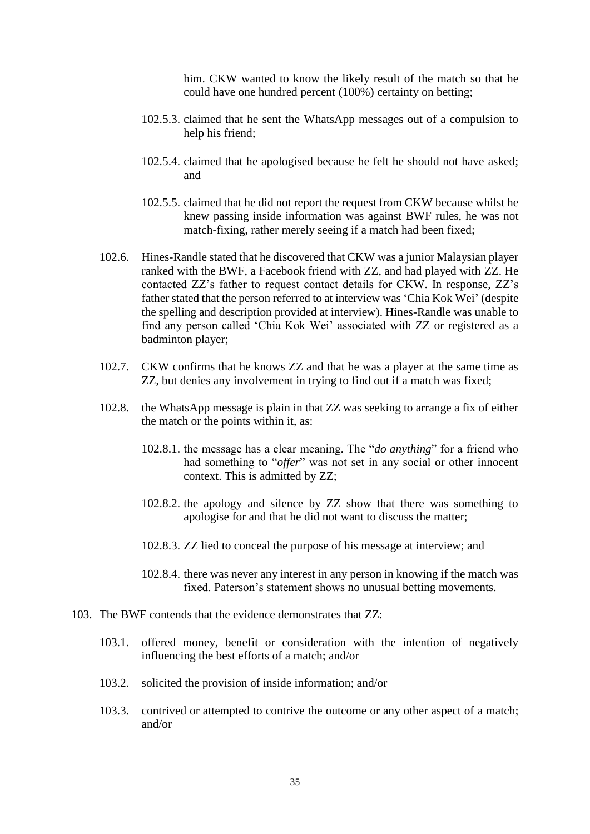him. CKW wanted to know the likely result of the match so that he could have one hundred percent (100%) certainty on betting;

- 102.5.3. claimed that he sent the WhatsApp messages out of a compulsion to help his friend;
- 102.5.4. claimed that he apologised because he felt he should not have asked; and
- 102.5.5. claimed that he did not report the request from CKW because whilst he knew passing inside information was against BWF rules, he was not match-fixing, rather merely seeing if a match had been fixed;
- 102.6. Hines-Randle stated that he discovered that CKW was a junior Malaysian player ranked with the BWF, a Facebook friend with ZZ, and had played with ZZ. He contacted ZZ's father to request contact details for CKW. In response, ZZ's father stated that the person referred to at interview was 'Chia Kok Wei' (despite the spelling and description provided at interview). Hines-Randle was unable to find any person called 'Chia Kok Wei' associated with ZZ or registered as a badminton player;
- 102.7. CKW confirms that he knows ZZ and that he was a player at the same time as ZZ, but denies any involvement in trying to find out if a match was fixed;
- 102.8. the WhatsApp message is plain in that ZZ was seeking to arrange a fix of either the match or the points within it, as:
	- 102.8.1. the message has a clear meaning. The "*do anything*" for a friend who had something to "*offer*" was not set in any social or other innocent context. This is admitted by ZZ;
	- 102.8.2. the apology and silence by ZZ show that there was something to apologise for and that he did not want to discuss the matter;
	- 102.8.3. ZZ lied to conceal the purpose of his message at interview; and
	- 102.8.4. there was never any interest in any person in knowing if the match was fixed. Paterson's statement shows no unusual betting movements.
- 103. The BWF contends that the evidence demonstrates that ZZ:
	- 103.1. offered money, benefit or consideration with the intention of negatively influencing the best efforts of a match; and/or
	- 103.2. solicited the provision of inside information; and/or
	- 103.3. contrived or attempted to contrive the outcome or any other aspect of a match; and/or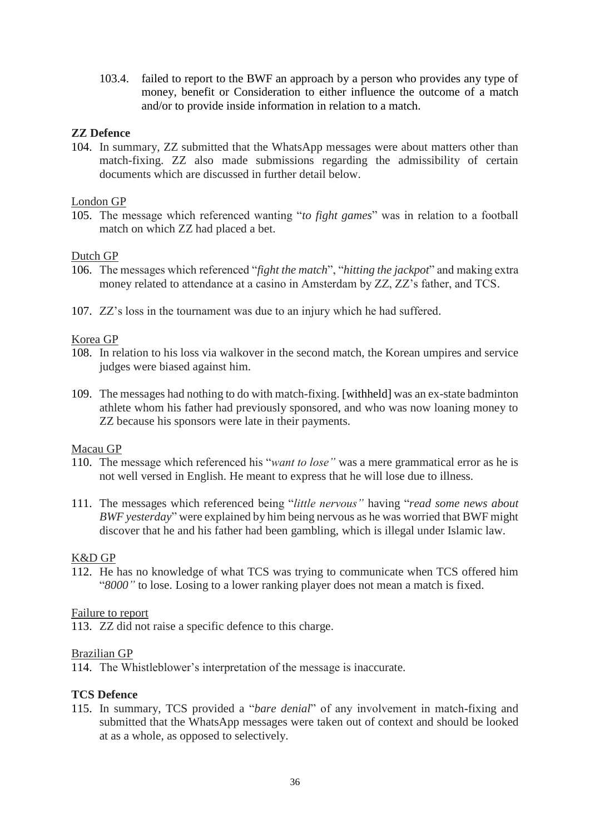103.4. failed to report to the BWF an approach by a person who provides any type of money, benefit or Consideration to either influence the outcome of a match and/or to provide inside information in relation to a match.

### **ZZ Defence**

104. In summary, ZZ submitted that the WhatsApp messages were about matters other than match-fixing. ZZ also made submissions regarding the admissibility of certain documents which are discussed in further detail below.

### London GP

105. The message which referenced wanting "*to fight games*" was in relation to a football match on which ZZ had placed a bet.

# Dutch GP

- 106. The messages which referenced "*fight the match*", "*hitting the jackpot*" and making extra money related to attendance at a casino in Amsterdam by ZZ, ZZ's father, and TCS.
- 107. ZZ's loss in the tournament was due to an injury which he had suffered.

# Korea GP

- 108. In relation to his loss via walkover in the second match, the Korean umpires and service judges were biased against him.
- 109. The messages had nothing to do with match-fixing. [withheld] was an ex-state badminton athlete whom his father had previously sponsored, and who was now loaning money to ZZ because his sponsors were late in their payments.

### Macau GP

- 110. The message which referenced his "*want to lose"* was a mere grammatical error as he is not well versed in English. He meant to express that he will lose due to illness.
- 111. The messages which referenced being "*little nervous"* having "*read some news about BWF yesterday*" were explained by him being nervous as he was worried that BWF might discover that he and his father had been gambling, which is illegal under Islamic law.

### K&D GP

112. He has no knowledge of what TCS was trying to communicate when TCS offered him "*8000"* to lose. Losing to a lower ranking player does not mean a match is fixed.

### Failure to report

113. ZZ did not raise a specific defence to this charge.

### Brazilian GP

114. The Whistleblower's interpretation of the message is inaccurate.

### **TCS Defence**

115. In summary, TCS provided a "*bare denial*" of any involvement in match-fixing and submitted that the WhatsApp messages were taken out of context and should be looked at as a whole, as opposed to selectively.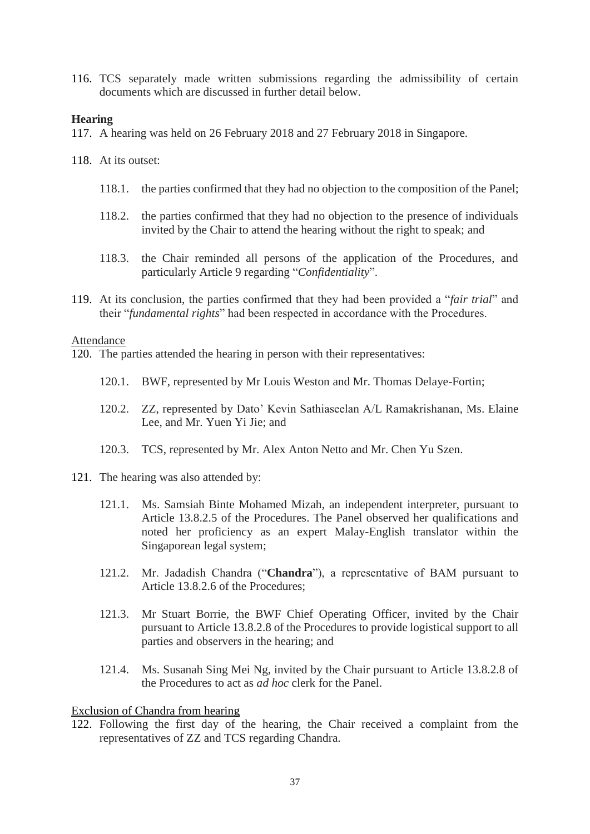116. TCS separately made written submissions regarding the admissibility of certain documents which are discussed in further detail below.

### **Hearing**

- 117. A hearing was held on 26 February 2018 and 27 February 2018 in Singapore.
- 118. At its outset:
	- 118.1. the parties confirmed that they had no objection to the composition of the Panel;
	- 118.2. the parties confirmed that they had no objection to the presence of individuals invited by the Chair to attend the hearing without the right to speak; and
	- 118.3. the Chair reminded all persons of the application of the Procedures, and particularly Article 9 regarding "*Confidentiality*".
- 119. At its conclusion, the parties confirmed that they had been provided a "*fair trial*" and their "*fundamental rights*" had been respected in accordance with the Procedures.

#### Attendance

- 120. The parties attended the hearing in person with their representatives:
	- 120.1. BWF, represented by Mr Louis Weston and Mr. Thomas Delaye-Fortin;
	- 120.2. ZZ, represented by Dato' Kevin Sathiaseelan A/L Ramakrishanan, Ms. Elaine Lee, and Mr. Yuen Yi Jie; and
	- 120.3. TCS, represented by Mr. Alex Anton Netto and Mr. Chen Yu Szen.
- 121. The hearing was also attended by:
	- 121.1. Ms. Samsiah Binte Mohamed Mizah, an independent interpreter, pursuant to Article 13.8.2.5 of the Procedures. The Panel observed her qualifications and noted her proficiency as an expert Malay-English translator within the Singaporean legal system;
	- 121.2. Mr. Jadadish Chandra ("**Chandra**"), a representative of BAM pursuant to Article 13.8.2.6 of the Procedures;
	- 121.3. Mr Stuart Borrie, the BWF Chief Operating Officer, invited by the Chair pursuant to Article 13.8.2.8 of the Procedures to provide logistical support to all parties and observers in the hearing; and
	- 121.4. Ms. Susanah Sing Mei Ng, invited by the Chair pursuant to Article 13.8.2.8 of the Procedures to act as *ad hoc* clerk for the Panel.

### Exclusion of Chandra from hearing

122. Following the first day of the hearing, the Chair received a complaint from the representatives of ZZ and TCS regarding Chandra.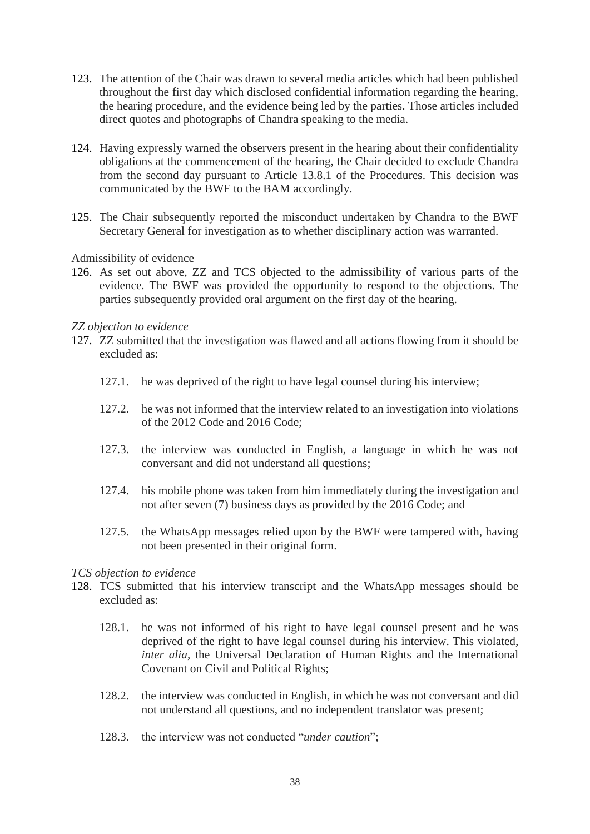- 123. The attention of the Chair was drawn to several media articles which had been published throughout the first day which disclosed confidential information regarding the hearing, the hearing procedure, and the evidence being led by the parties. Those articles included direct quotes and photographs of Chandra speaking to the media.
- 124. Having expressly warned the observers present in the hearing about their confidentiality obligations at the commencement of the hearing, the Chair decided to exclude Chandra from the second day pursuant to Article 13.8.1 of the Procedures. This decision was communicated by the BWF to the BAM accordingly.
- 125. The Chair subsequently reported the misconduct undertaken by Chandra to the BWF Secretary General for investigation as to whether disciplinary action was warranted.

### Admissibility of evidence

126. As set out above, ZZ and TCS objected to the admissibility of various parts of the evidence. The BWF was provided the opportunity to respond to the objections. The parties subsequently provided oral argument on the first day of the hearing.

### *ZZ objection to evidence*

- 127. ZZ submitted that the investigation was flawed and all actions flowing from it should be excluded as:
	- 127.1. he was deprived of the right to have legal counsel during his interview;
	- 127.2. he was not informed that the interview related to an investigation into violations of the 2012 Code and 2016 Code;
	- 127.3. the interview was conducted in English, a language in which he was not conversant and did not understand all questions;
	- 127.4. his mobile phone was taken from him immediately during the investigation and not after seven (7) business days as provided by the 2016 Code; and
	- 127.5. the WhatsApp messages relied upon by the BWF were tampered with, having not been presented in their original form.

### *TCS objection to evidence*

- 128. TCS submitted that his interview transcript and the WhatsApp messages should be excluded as:
	- 128.1. he was not informed of his right to have legal counsel present and he was deprived of the right to have legal counsel during his interview. This violated, *inter alia*, the Universal Declaration of Human Rights and the International Covenant on Civil and Political Rights;
	- 128.2. the interview was conducted in English, in which he was not conversant and did not understand all questions, and no independent translator was present;
	- 128.3. the interview was not conducted "*under caution*";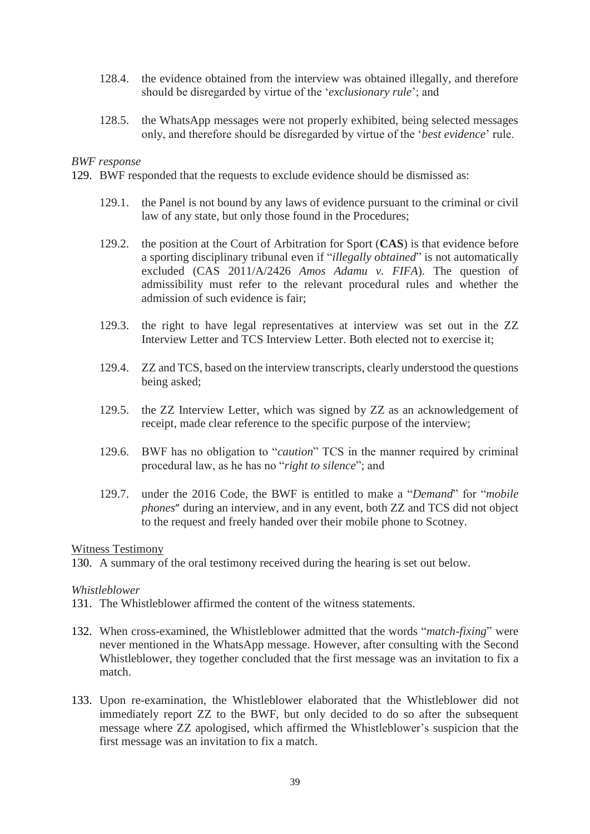- 128.4. the evidence obtained from the interview was obtained illegally, and therefore should be disregarded by virtue of the '*exclusionary rule*'; and
- 128.5. the WhatsApp messages were not properly exhibited, being selected messages only, and therefore should be disregarded by virtue of the '*best evidence*' rule.

#### *BWF response*

129. BWF responded that the requests to exclude evidence should be dismissed as:

- 129.1. the Panel is not bound by any laws of evidence pursuant to the criminal or civil law of any state, but only those found in the Procedures;
- 129.2. the position at the Court of Arbitration for Sport (**CAS**) is that evidence before a sporting disciplinary tribunal even if "*illegally obtained*" is not automatically excluded (CAS 2011/A/2426 *Amos Adamu v. FIFA*). The question of admissibility must refer to the relevant procedural rules and whether the admission of such evidence is fair;
- 129.3. the right to have legal representatives at interview was set out in the ZZ Interview Letter and TCS Interview Letter. Both elected not to exercise it;
- 129.4. ZZ and TCS, based on the interview transcripts, clearly understood the questions being asked;
- 129.5. the ZZ Interview Letter, which was signed by ZZ as an acknowledgement of receipt, made clear reference to the specific purpose of the interview;
- 129.6. BWF has no obligation to "*caution*" TCS in the manner required by criminal procedural law, as he has no "*right to silence*"; and
- 129.7. under the 2016 Code, the BWF is entitled to make a "*Demand*" for "*mobile phones*" during an interview, and in any event, both ZZ and TCS did not object to the request and freely handed over their mobile phone to Scotney.

#### Witness Testimony

130. A summary of the oral testimony received during the hearing is set out below.

#### *Whistleblower*

- 131. The Whistleblower affirmed the content of the witness statements.
- 132. When cross-examined, the Whistleblower admitted that the words "*match-fixing*" were never mentioned in the WhatsApp message. However, after consulting with the Second Whistleblower, they together concluded that the first message was an invitation to fix a match.
- 133. Upon re-examination, the Whistleblower elaborated that the Whistleblower did not immediately report ZZ to the BWF, but only decided to do so after the subsequent message where ZZ apologised, which affirmed the Whistleblower's suspicion that the first message was an invitation to fix a match.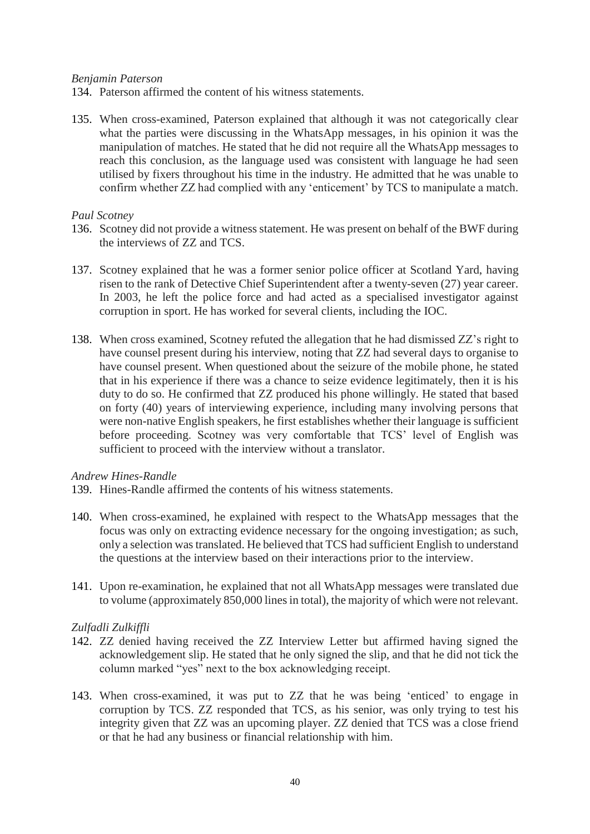### *Benjamin Paterson*

134. Paterson affirmed the content of his witness statements.

135. When cross-examined, Paterson explained that although it was not categorically clear what the parties were discussing in the WhatsApp messages, in his opinion it was the manipulation of matches. He stated that he did not require all the WhatsApp messages to reach this conclusion, as the language used was consistent with language he had seen utilised by fixers throughout his time in the industry. He admitted that he was unable to confirm whether ZZ had complied with any 'enticement' by TCS to manipulate a match.

#### *Paul Scotney*

- 136. Scotney did not provide a witness statement. He was present on behalf of the BWF during the interviews of ZZ and TCS.
- 137. Scotney explained that he was a former senior police officer at Scotland Yard, having risen to the rank of Detective Chief Superintendent after a twenty-seven (27) year career. In 2003, he left the police force and had acted as a specialised investigator against corruption in sport. He has worked for several clients, including the IOC.
- 138. When cross examined, Scotney refuted the allegation that he had dismissed ZZ's right to have counsel present during his interview, noting that ZZ had several days to organise to have counsel present. When questioned about the seizure of the mobile phone, he stated that in his experience if there was a chance to seize evidence legitimately, then it is his duty to do so. He confirmed that ZZ produced his phone willingly. He stated that based on forty (40) years of interviewing experience, including many involving persons that were non-native English speakers, he first establishes whether their language is sufficient before proceeding. Scotney was very comfortable that TCS' level of English was sufficient to proceed with the interview without a translator.

#### *Andrew Hines-Randle*

- 139. Hines-Randle affirmed the contents of his witness statements.
- 140. When cross-examined, he explained with respect to the WhatsApp messages that the focus was only on extracting evidence necessary for the ongoing investigation; as such, only a selection wastranslated. He believed that TCS had sufficient English to understand the questions at the interview based on their interactions prior to the interview.
- 141. Upon re-examination, he explained that not all WhatsApp messages were translated due to volume (approximately 850,000 lines in total), the majority of which were not relevant.

### *Zulfadli Zulkiffli*

- 142. ZZ denied having received the ZZ Interview Letter but affirmed having signed the acknowledgement slip. He stated that he only signed the slip, and that he did not tick the column marked "yes" next to the box acknowledging receipt.
- 143. When cross-examined, it was put to ZZ that he was being 'enticed' to engage in corruption by TCS. ZZ responded that TCS, as his senior, was only trying to test his integrity given that ZZ was an upcoming player. ZZ denied that TCS was a close friend or that he had any business or financial relationship with him.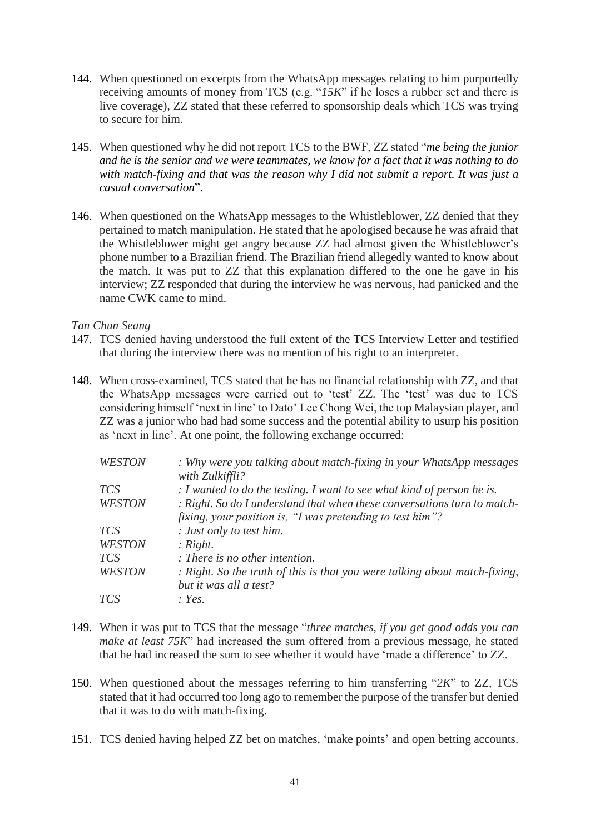- 144. When questioned on excerpts from the WhatsApp messages relating to him purportedly receiving amounts of money from TCS (e.g. "*15K*" if he loses a rubber set and there is live coverage), ZZ stated that these referred to sponsorship deals which TCS was trying to secure for him.
- 145. When questioned why he did not report TCS to the BWF, ZZ stated "*me being the junior and he is the senior and we were teammates, we know for a fact that it was nothing to do with match-fixing and that was the reason why I did not submit a report. It was just a casual conversation*".
- 146. When questioned on the WhatsApp messages to the Whistleblower, ZZ denied that they pertained to match manipulation. He stated that he apologised because he was afraid that the Whistleblower might get angry because ZZ had almost given the Whistleblower's phone number to a Brazilian friend. The Brazilian friend allegedly wanted to know about the match. It was put to ZZ that this explanation differed to the one he gave in his interview; ZZ responded that during the interview he was nervous, had panicked and the name CWK came to mind.

### *Tan Chun Seang*

- 147. TCS denied having understood the full extent of the TCS Interview Letter and testified that during the interview there was no mention of his right to an interpreter.
- 148. When cross-examined, TCS stated that he has no financial relationship with ZZ, and that the WhatsApp messages were carried out to 'test' ZZ. The 'test' was due to TCS considering himself 'next in line' to Dato' Lee Chong Wei, the top Malaysian player, and ZZ was a junior who had had some success and the potential ability to usurp his position as 'next in line'. At one point, the following exchange occurred:

| : Why were you talking about match-fixing in your WhatsApp messages                       |
|-------------------------------------------------------------------------------------------|
| with Zulkiffli?<br>: I wanted to do the testing. I want to see what kind of person he is. |
| : Right. So do I understand that when these conversations turn to match-                  |
| fixing, your position is, "I was pretending to test him"?                                 |
| : Just only to test him.                                                                  |
| : Right.                                                                                  |
| $\therefore$ There is no other intention.                                                 |
| : Right. So the truth of this is that you were talking about match-fixing,                |
| but it was all a test?                                                                    |
| : Yes.                                                                                    |
|                                                                                           |

- 149. When it was put to TCS that the message "*three matches, if you get good odds you can make at least 75K*" had increased the sum offered from a previous message, he stated that he had increased the sum to see whether it would have 'made a difference' to ZZ.
- 150. When questioned about the messages referring to him transferring "*2K*" to ZZ, TCS stated that it had occurred too long ago to remember the purpose of the transfer but denied that it was to do with match-fixing.
- 151. TCS denied having helped ZZ bet on matches, 'make points' and open betting accounts.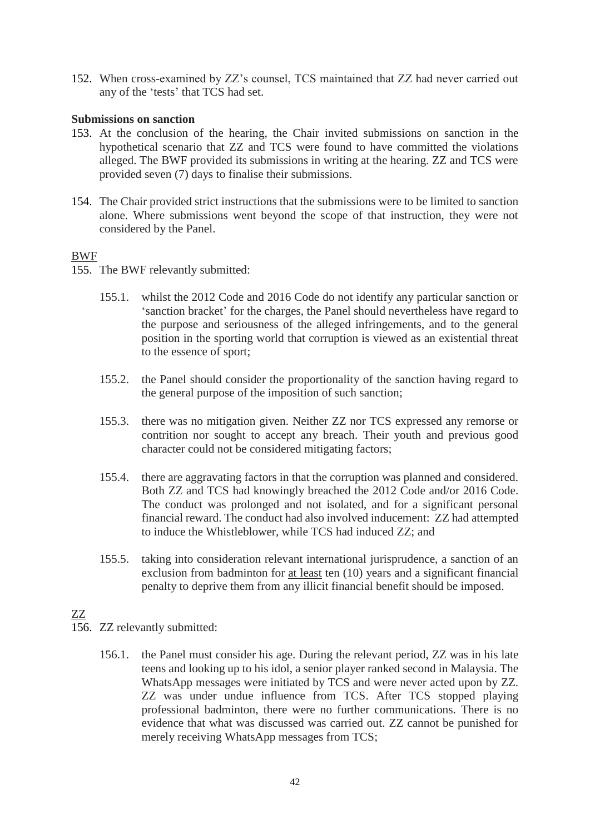152. When cross-examined by ZZ's counsel, TCS maintained that ZZ had never carried out any of the 'tests' that TCS had set.

### **Submissions on sanction**

- 153. At the conclusion of the hearing, the Chair invited submissions on sanction in the hypothetical scenario that ZZ and TCS were found to have committed the violations alleged. The BWF provided its submissions in writing at the hearing. ZZ and TCS were provided seven (7) days to finalise their submissions.
- 154. The Chair provided strict instructions that the submissions were to be limited to sanction alone. Where submissions went beyond the scope of that instruction, they were not considered by the Panel.

# BWF

- 155. The BWF relevantly submitted:
	- 155.1. whilst the 2012 Code and 2016 Code do not identify any particular sanction or 'sanction bracket' for the charges, the Panel should nevertheless have regard to the purpose and seriousness of the alleged infringements, and to the general position in the sporting world that corruption is viewed as an existential threat to the essence of sport;
	- 155.2. the Panel should consider the proportionality of the sanction having regard to the general purpose of the imposition of such sanction;
	- 155.3. there was no mitigation given. Neither ZZ nor TCS expressed any remorse or contrition nor sought to accept any breach. Their youth and previous good character could not be considered mitigating factors;
	- 155.4. there are aggravating factors in that the corruption was planned and considered. Both ZZ and TCS had knowingly breached the 2012 Code and/or 2016 Code. The conduct was prolonged and not isolated, and for a significant personal financial reward. The conduct had also involved inducement: ZZ had attempted to induce the Whistleblower, while TCS had induced ZZ; and
	- 155.5. taking into consideration relevant international jurisprudence, a sanction of an exclusion from badminton for at least ten (10) years and a significant financial penalty to deprive them from any illicit financial benefit should be imposed.

# ZZ

- 156. ZZ relevantly submitted:
	- 156.1. the Panel must consider his age. During the relevant period, ZZ was in his late teens and looking up to his idol, a senior player ranked second in Malaysia. The WhatsApp messages were initiated by TCS and were never acted upon by ZZ. ZZ was under undue influence from TCS. After TCS stopped playing professional badminton, there were no further communications. There is no evidence that what was discussed was carried out. ZZ cannot be punished for merely receiving WhatsApp messages from TCS;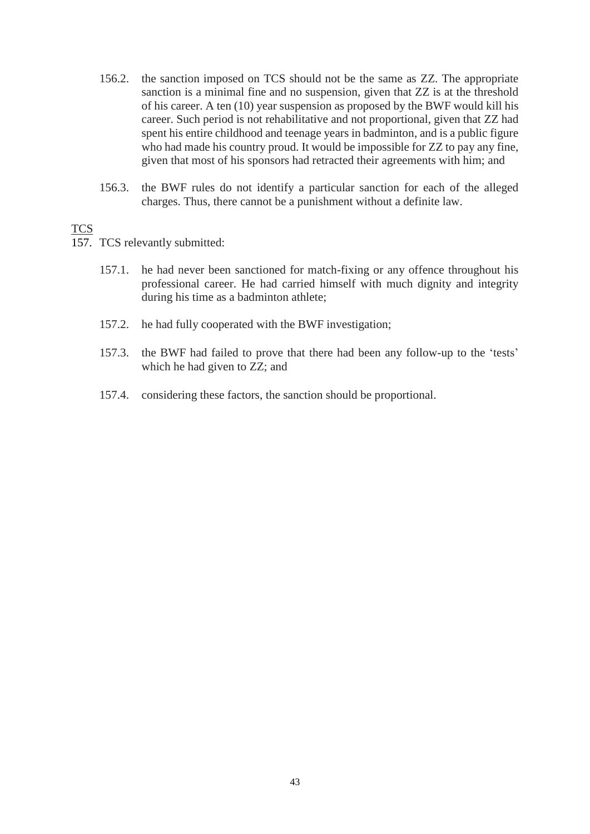- 156.2. the sanction imposed on TCS should not be the same as ZZ. The appropriate sanction is a minimal fine and no suspension, given that ZZ is at the threshold of his career. A ten (10) year suspension as proposed by the BWF would kill his career. Such period is not rehabilitative and not proportional, given that ZZ had spent his entire childhood and teenage years in badminton, and is a public figure who had made his country proud. It would be impossible for ZZ to pay any fine, given that most of his sponsors had retracted their agreements with him; and
- 156.3. the BWF rules do not identify a particular sanction for each of the alleged charges. Thus, there cannot be a punishment without a definite law.

### **TCS**

- 157. TCS relevantly submitted:
	- 157.1. he had never been sanctioned for match-fixing or any offence throughout his professional career. He had carried himself with much dignity and integrity during his time as a badminton athlete;
	- 157.2. he had fully cooperated with the BWF investigation;
	- 157.3. the BWF had failed to prove that there had been any follow-up to the 'tests' which he had given to ZZ; and
	- 157.4. considering these factors, the sanction should be proportional.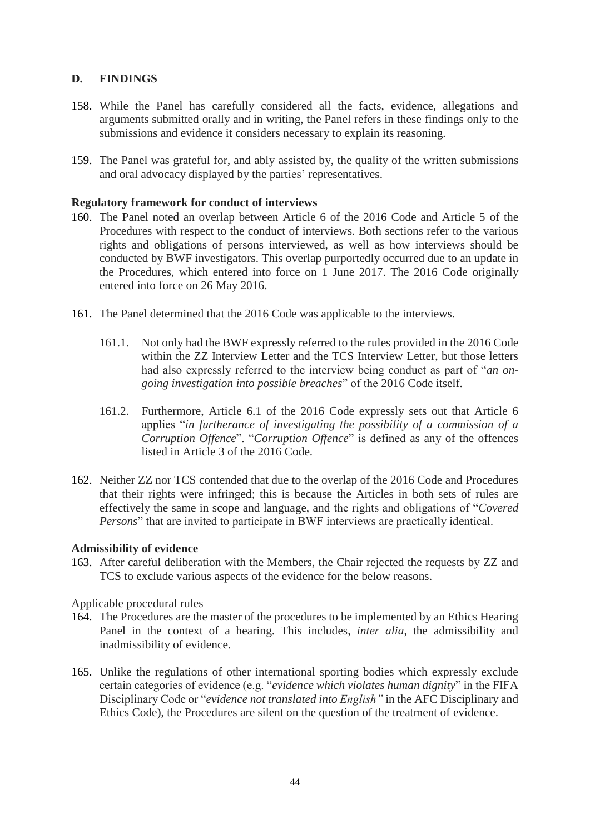# **D. FINDINGS**

- 158. While the Panel has carefully considered all the facts, evidence, allegations and arguments submitted orally and in writing, the Panel refers in these findings only to the submissions and evidence it considers necessary to explain its reasoning.
- 159. The Panel was grateful for, and ably assisted by, the quality of the written submissions and oral advocacy displayed by the parties' representatives.

# **Regulatory framework for conduct of interviews**

- 160. The Panel noted an overlap between Article 6 of the 2016 Code and Article 5 of the Procedures with respect to the conduct of interviews. Both sections refer to the various rights and obligations of persons interviewed, as well as how interviews should be conducted by BWF investigators. This overlap purportedly occurred due to an update in the Procedures, which entered into force on 1 June 2017. The 2016 Code originally entered into force on 26 May 2016.
- 161. The Panel determined that the 2016 Code was applicable to the interviews.
	- 161.1. Not only had the BWF expressly referred to the rules provided in the 2016 Code within the ZZ Interview Letter and the TCS Interview Letter, but those letters had also expressly referred to the interview being conduct as part of "*an ongoing investigation into possible breaches*" of the 2016 Code itself.
	- 161.2. Furthermore, Article 6.1 of the 2016 Code expressly sets out that Article 6 applies "*in furtherance of investigating the possibility of a commission of a Corruption Offence*". "*Corruption Offence*" is defined as any of the offences listed in Article 3 of the 2016 Code.
- 162. Neither ZZ nor TCS contended that due to the overlap of the 2016 Code and Procedures that their rights were infringed; this is because the Articles in both sets of rules are effectively the same in scope and language, and the rights and obligations of "*Covered Persons*" that are invited to participate in BWF interviews are practically identical.

# **Admissibility of evidence**

163. After careful deliberation with the Members, the Chair rejected the requests by ZZ and TCS to exclude various aspects of the evidence for the below reasons.

### Applicable procedural rules

- 164. The Procedures are the master of the procedures to be implemented by an Ethics Hearing Panel in the context of a hearing. This includes, *inter alia*, the admissibility and inadmissibility of evidence.
- 165. Unlike the regulations of other international sporting bodies which expressly exclude certain categories of evidence (e.g. "*evidence which violates human dignity*" in the FIFA Disciplinary Code or "*evidence not translated into English"* in the AFC Disciplinary and Ethics Code), the Procedures are silent on the question of the treatment of evidence.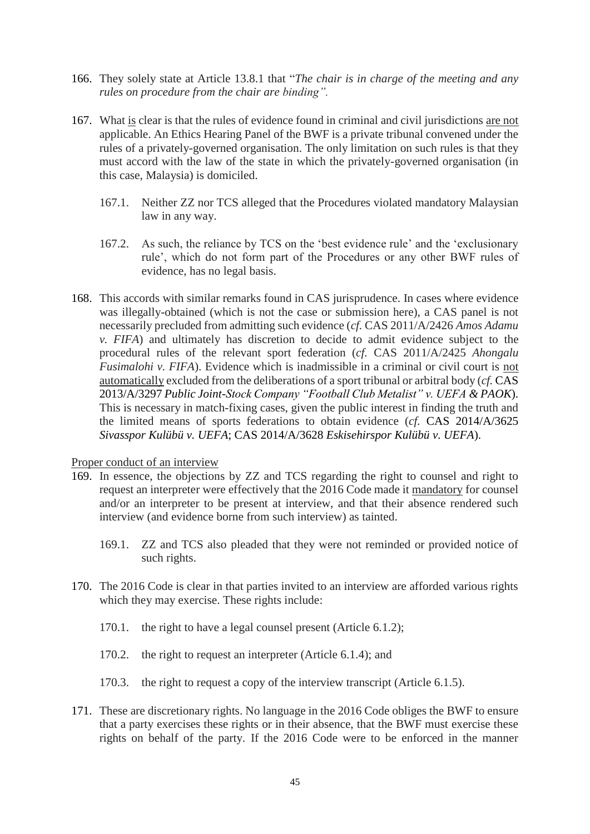- 166. They solely state at Article 13.8.1 that "*The chair is in charge of the meeting and any rules on procedure from the chair are binding".*
- 167. What is clear is that the rules of evidence found in criminal and civil jurisdictions are not applicable. An Ethics Hearing Panel of the BWF is a private tribunal convened under the rules of a privately-governed organisation. The only limitation on such rules is that they must accord with the law of the state in which the privately-governed organisation (in this case, Malaysia) is domiciled.
	- 167.1. Neither ZZ nor TCS alleged that the Procedures violated mandatory Malaysian law in any way.
	- 167.2. As such, the reliance by TCS on the 'best evidence rule' and the 'exclusionary rule', which do not form part of the Procedures or any other BWF rules of evidence, has no legal basis.
- 168. This accords with similar remarks found in CAS jurisprudence. In cases where evidence was illegally-obtained (which is not the case or submission here), a CAS panel is not necessarily precluded from admitting such evidence (*cf.* CAS 2011/A/2426 *Amos Adamu v. FIFA*) and ultimately has discretion to decide to admit evidence subject to the procedural rules of the relevant sport federation (*cf.* CAS 2011/A/2425 *Ahongalu Fusimalohi v. FIFA*). Evidence which is inadmissible in a criminal or civil court is not automatically excluded from the deliberations of a sport tribunal or arbitral body (*cf.* CAS 2013/A/3297 *Public Joint-Stock Company "Football Club Metalist" v. UEFA & PAOK*). This is necessary in match-fixing cases, given the public interest in finding the truth and the limited means of sports federations to obtain evidence (*cf.* CAS 2014/A/3625 *Sivasspor Kulübü v. UEFA*; CAS 2014/A/3628 *Eskisehirspor Kulübü v. UEFA*).

Proper conduct of an interview

- 169. In essence, the objections by ZZ and TCS regarding the right to counsel and right to request an interpreter were effectively that the 2016 Code made it mandatory for counsel and/or an interpreter to be present at interview, and that their absence rendered such interview (and evidence borne from such interview) as tainted.
	- 169.1. ZZ and TCS also pleaded that they were not reminded or provided notice of such rights.
- 170. The 2016 Code is clear in that parties invited to an interview are afforded various rights which they may exercise. These rights include:
	- 170.1. the right to have a legal counsel present (Article 6.1.2);
	- 170.2. the right to request an interpreter (Article 6.1.4); and
	- 170.3. the right to request a copy of the interview transcript (Article 6.1.5).
- 171. These are discretionary rights. No language in the 2016 Code obliges the BWF to ensure that a party exercises these rights or in their absence, that the BWF must exercise these rights on behalf of the party. If the 2016 Code were to be enforced in the manner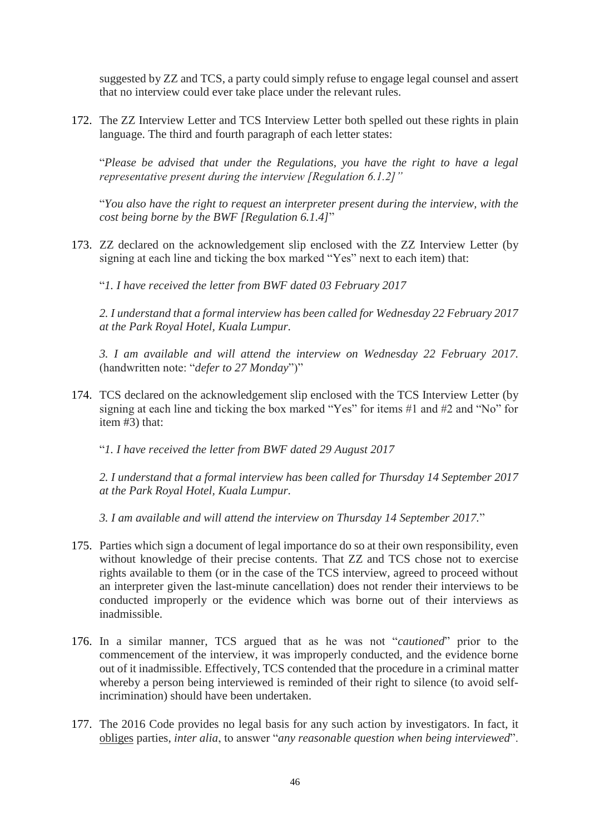suggested by ZZ and TCS, a party could simply refuse to engage legal counsel and assert that no interview could ever take place under the relevant rules.

172. The ZZ Interview Letter and TCS Interview Letter both spelled out these rights in plain language. The third and fourth paragraph of each letter states:

"*Please be advised that under the Regulations, you have the right to have a legal representative present during the interview [Regulation 6.1.2]"*

"*You also have the right to request an interpreter present during the interview, with the cost being borne by the BWF [Regulation 6.1.4]*"

173. ZZ declared on the acknowledgement slip enclosed with the ZZ Interview Letter (by signing at each line and ticking the box marked "Yes" next to each item) that:

"*1. I have received the letter from BWF dated 03 February 2017*

*2. I understand that a formal interview has been called for Wednesday 22 February 2017 at the Park Royal Hotel, Kuala Lumpur.*

*3. I am available and will attend the interview on Wednesday 22 February 2017.*  (handwritten note: "*defer to 27 Monday*")"

174. TCS declared on the acknowledgement slip enclosed with the TCS Interview Letter (by signing at each line and ticking the box marked "Yes" for items #1 and #2 and "No" for item #3) that:

"*1. I have received the letter from BWF dated 29 August 2017*

*2. I understand that a formal interview has been called for Thursday 14 September 2017 at the Park Royal Hotel, Kuala Lumpur.*

*3. I am available and will attend the interview on Thursday 14 September 2017.*"

- 175. Parties which sign a document of legal importance do so at their own responsibility, even without knowledge of their precise contents. That ZZ and TCS chose not to exercise rights available to them (or in the case of the TCS interview, agreed to proceed without an interpreter given the last-minute cancellation) does not render their interviews to be conducted improperly or the evidence which was borne out of their interviews as inadmissible.
- 176. In a similar manner, TCS argued that as he was not "*cautioned*" prior to the commencement of the interview, it was improperly conducted, and the evidence borne out of it inadmissible. Effectively, TCS contended that the procedure in a criminal matter whereby a person being interviewed is reminded of their right to silence (to avoid selfincrimination) should have been undertaken.
- 177. The 2016 Code provides no legal basis for any such action by investigators. In fact, it obliges parties, *inter alia*, to answer "*any reasonable question when being interviewed*".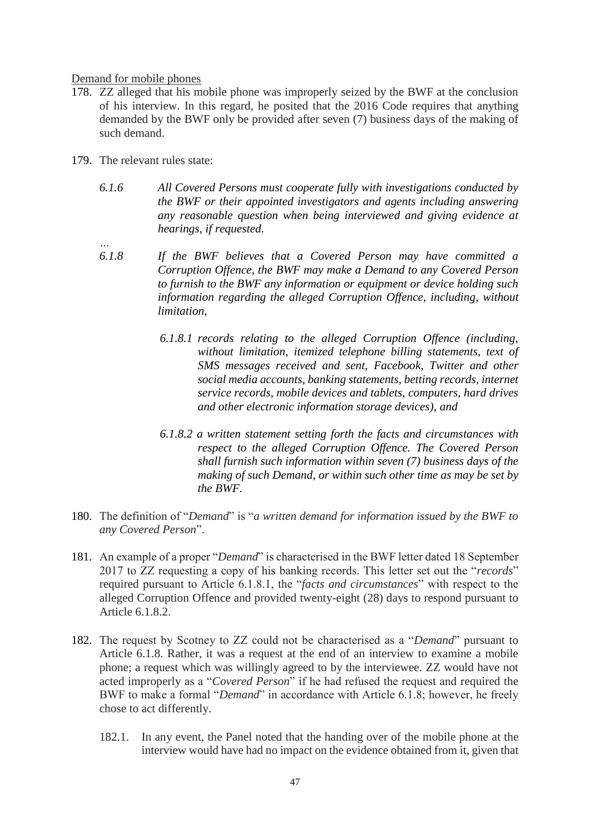#### Demand for mobile phones

- 178. ZZ alleged that his mobile phone was improperly seized by the BWF at the conclusion of his interview. In this regard, he posited that the 2016 Code requires that anything demanded by the BWF only be provided after seven (7) business days of the making of such demand.
- 179. The relevant rules state:

- *6.1.6 All Covered Persons must cooperate fully with investigations conducted by the BWF or their appointed investigators and agents including answering any reasonable question when being interviewed and giving evidence at hearings, if requested.*
- *6.1.8 If the BWF believes that a Covered Person may have committed a Corruption Offence, the BWF may make a Demand to any Covered Person to furnish to the BWF any information or equipment or device holding such information regarding the alleged Corruption Offence, including, without limitation,*
	- *6.1.8.1 records relating to the alleged Corruption Offence (including, without limitation, itemized telephone billing statements, text of SMS messages received and sent, Facebook, Twitter and other social media accounts, banking statements, betting records, internet service records, mobile devices and tablets, computers, hard drives and other electronic information storage devices), and*
	- *6.1.8.2 a written statement setting forth the facts and circumstances with respect to the alleged Corruption Offence. The Covered Person shall furnish such information within seven (7) business days of the making of such Demand, or within such other time as may be set by the BWF.*
- 180. The definition of "*Demand*" is "*a written demand for information issued by the BWF to any Covered Person*".
- 181. An example of a proper "*Demand*" is characterised in the BWF letter dated 18 September 2017 to ZZ requesting a copy of his banking records. This letter set out the "*records*" required pursuant to Article 6.1.8.1, the "*facts and circumstances*" with respect to the alleged Corruption Offence and provided twenty-eight (28) days to respond pursuant to Article 6.1.8.2.
- 182. The request by Scotney to ZZ could not be characterised as a "*Demand*" pursuant to Article 6.1.8. Rather, it was a request at the end of an interview to examine a mobile phone; a request which was willingly agreed to by the interviewee. ZZ would have not acted improperly as a "*Covered Person*" if he had refused the request and required the BWF to make a formal "*Demand*" in accordance with Article 6.1.8; however, he freely chose to act differently.
	- 182.1. In any event, the Panel noted that the handing over of the mobile phone at the interview would have had no impact on the evidence obtained from it, given that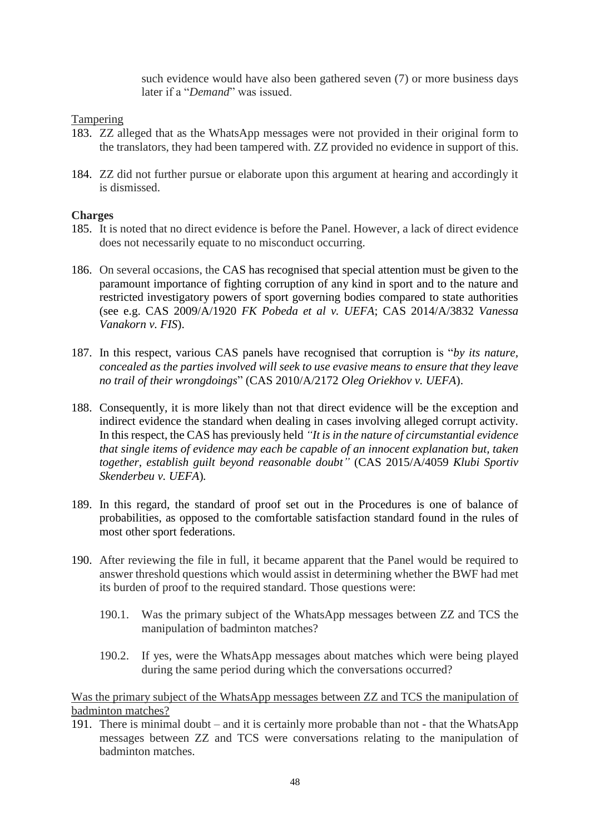such evidence would have also been gathered seven (7) or more business days later if a "*Demand*" was issued.

#### Tampering

- 183. ZZ alleged that as the WhatsApp messages were not provided in their original form to the translators, they had been tampered with. ZZ provided no evidence in support of this.
- 184. ZZ did not further pursue or elaborate upon this argument at hearing and accordingly it is dismissed.

#### **Charges**

- 185. It is noted that no direct evidence is before the Panel. However, a lack of direct evidence does not necessarily equate to no misconduct occurring.
- 186. On several occasions, the CAS has recognised that special attention must be given to the paramount importance of fighting corruption of any kind in sport and to the nature and restricted investigatory powers of sport governing bodies compared to state authorities (see e.g. CAS 2009/A/1920 *FK Pobeda et al v. UEFA*; CAS 2014/A/3832 *Vanessa Vanakorn v. FIS*).
- 187. In this respect, various CAS panels have recognised that corruption is "*by its nature, concealed as the parties involved will seek to use evasive means to ensure that they leave no trail of their wrongdoings*" (CAS 2010/A/2172 *Oleg Oriekhov v. UEFA*).
- 188. Consequently, it is more likely than not that direct evidence will be the exception and indirect evidence the standard when dealing in cases involving alleged corrupt activity. In this respect, the CAS has previously held *"It is in the nature of circumstantial evidence that single items of evidence may each be capable of an innocent explanation but, taken together, establish guilt beyond reasonable doubt"* (CAS 2015/A/4059 *Klubi Sportiv Skenderbeu v. UEFA*)*.*
- 189. In this regard, the standard of proof set out in the Procedures is one of balance of probabilities, as opposed to the comfortable satisfaction standard found in the rules of most other sport federations.
- 190. After reviewing the file in full, it became apparent that the Panel would be required to answer threshold questions which would assist in determining whether the BWF had met its burden of proof to the required standard. Those questions were:
	- 190.1. Was the primary subject of the WhatsApp messages between ZZ and TCS the manipulation of badminton matches?
	- 190.2. If yes, were the WhatsApp messages about matches which were being played during the same period during which the conversations occurred?

Was the primary subject of the WhatsApp messages between ZZ and TCS the manipulation of badminton matches?

191. There is minimal doubt – and it is certainly more probable than not - that the WhatsApp messages between ZZ and TCS were conversations relating to the manipulation of badminton matches.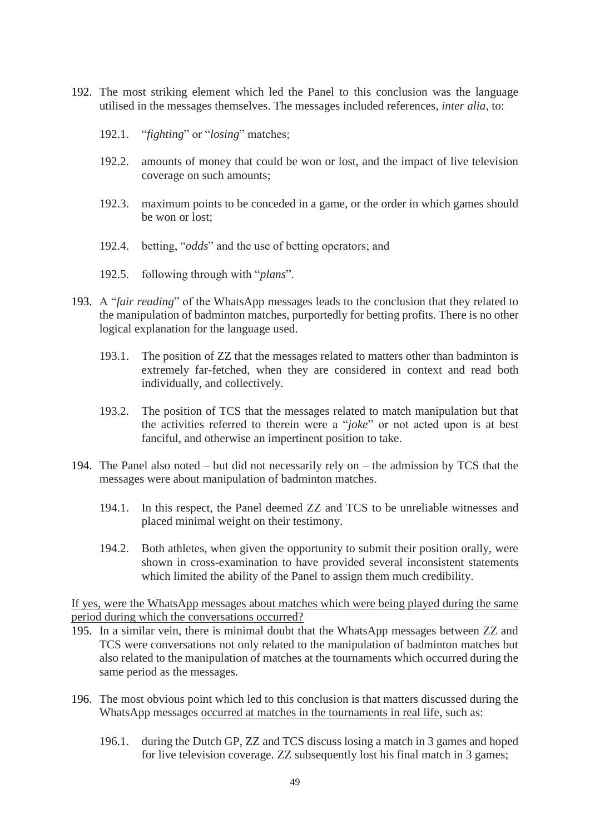- 192. The most striking element which led the Panel to this conclusion was the language utilised in the messages themselves. The messages included references, *inter alia*, to:
	- 192.1. "*fighting*" or "*losing*" matches;
	- 192.2. amounts of money that could be won or lost, and the impact of live television coverage on such amounts;
	- 192.3. maximum points to be conceded in a game, or the order in which games should be won or lost;
	- 192.4. betting, "*odds*" and the use of betting operators; and
	- 192.5. following through with "*plans*".
- 193. A "*fair reading*" of the WhatsApp messages leads to the conclusion that they related to the manipulation of badminton matches, purportedly for betting profits. There is no other logical explanation for the language used.
	- 193.1. The position of ZZ that the messages related to matters other than badminton is extremely far-fetched, when they are considered in context and read both individually, and collectively.
	- 193.2. The position of TCS that the messages related to match manipulation but that the activities referred to therein were a "*joke*" or not acted upon is at best fanciful, and otherwise an impertinent position to take.
- 194. The Panel also noted but did not necessarily rely on the admission by TCS that the messages were about manipulation of badminton matches.
	- 194.1. In this respect, the Panel deemed ZZ and TCS to be unreliable witnesses and placed minimal weight on their testimony.
	- 194.2. Both athletes, when given the opportunity to submit their position orally, were shown in cross-examination to have provided several inconsistent statements which limited the ability of the Panel to assign them much credibility.

If yes, were the WhatsApp messages about matches which were being played during the same period during which the conversations occurred?

- 195. In a similar vein, there is minimal doubt that the WhatsApp messages between ZZ and TCS were conversations not only related to the manipulation of badminton matches but also related to the manipulation of matches at the tournaments which occurred during the same period as the messages.
- 196. The most obvious point which led to this conclusion is that matters discussed during the WhatsApp messages occurred at matches in the tournaments in real life, such as:
	- 196.1. during the Dutch GP, ZZ and TCS discuss losing a match in 3 games and hoped for live television coverage. ZZ subsequently lost his final match in 3 games;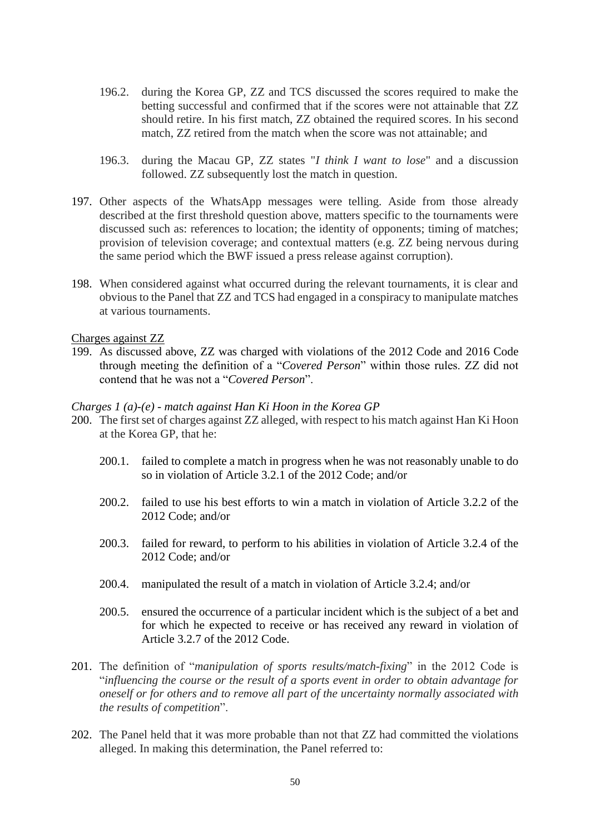- 196.2. during the Korea GP, ZZ and TCS discussed the scores required to make the betting successful and confirmed that if the scores were not attainable that ZZ should retire. In his first match, ZZ obtained the required scores. In his second match, ZZ retired from the match when the score was not attainable; and
- 196.3. during the Macau GP, ZZ states "*I think I want to lose*" and a discussion followed. ZZ subsequently lost the match in question.
- 197. Other aspects of the WhatsApp messages were telling. Aside from those already described at the first threshold question above, matters specific to the tournaments were discussed such as: references to location; the identity of opponents; timing of matches; provision of television coverage; and contextual matters (e.g. ZZ being nervous during the same period which the BWF issued a press release against corruption).
- 198. When considered against what occurred during the relevant tournaments, it is clear and obvious to the Panel that ZZ and TCS had engaged in a conspiracy to manipulate matches at various tournaments.

#### Charges against ZZ

199. As discussed above, ZZ was charged with violations of the 2012 Code and 2016 Code through meeting the definition of a "*Covered Person*" within those rules. ZZ did not contend that he was not a "*Covered Person*".

#### *Charges 1 (a)-(e) - match against Han Ki Hoon in the Korea GP*

- 200. The first set of charges against ZZ alleged, with respect to his match against Han Ki Hoon at the Korea GP, that he:
	- 200.1. failed to complete a match in progress when he was not reasonably unable to do so in violation of Article 3.2.1 of the 2012 Code; and/or
	- 200.2. failed to use his best efforts to win a match in violation of Article 3.2.2 of the 2012 Code; and/or
	- 200.3. failed for reward, to perform to his abilities in violation of Article 3.2.4 of the 2012 Code; and/or
	- 200.4. manipulated the result of a match in violation of Article 3.2.4; and/or
	- 200.5. ensured the occurrence of a particular incident which is the subject of a bet and for which he expected to receive or has received any reward in violation of Article 3.2.7 of the 2012 Code.
- 201. The definition of "*manipulation of sports results/match-fixing*" in the 2012 Code is "*influencing the course or the result of a sports event in order to obtain advantage for oneself or for others and to remove all part of the uncertainty normally associated with the results of competition*".
- 202. The Panel held that it was more probable than not that ZZ had committed the violations alleged. In making this determination, the Panel referred to: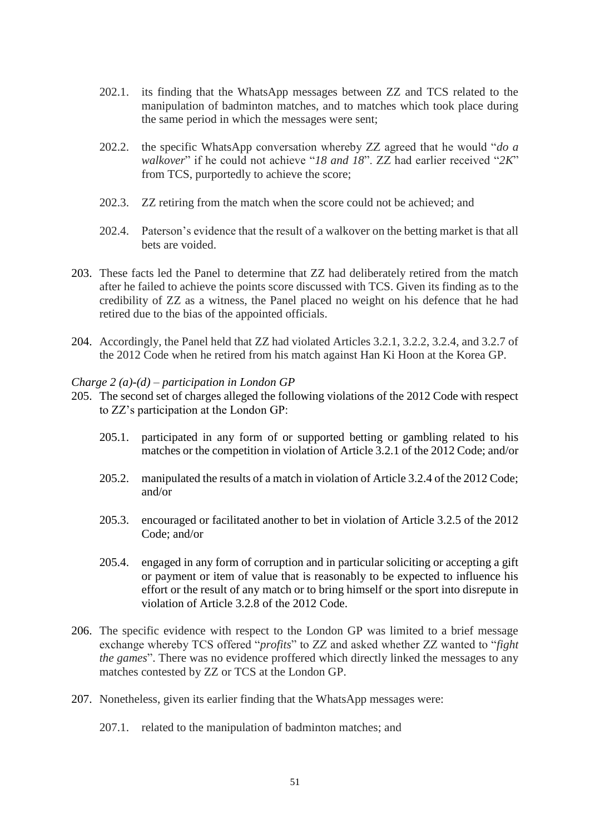- 202.1. its finding that the WhatsApp messages between ZZ and TCS related to the manipulation of badminton matches, and to matches which took place during the same period in which the messages were sent;
- 202.2. the specific WhatsApp conversation whereby ZZ agreed that he would "*do a walkover*" if he could not achieve "*18 and 18*". ZZ had earlier received "*2K*" from TCS, purportedly to achieve the score;
- 202.3. ZZ retiring from the match when the score could not be achieved; and
- 202.4. Paterson's evidence that the result of a walkover on the betting market is that all bets are voided.
- 203. These facts led the Panel to determine that ZZ had deliberately retired from the match after he failed to achieve the points score discussed with TCS. Given its finding as to the credibility of ZZ as a witness, the Panel placed no weight on his defence that he had retired due to the bias of the appointed officials.
- 204. Accordingly, the Panel held that ZZ had violated Articles 3.2.1, 3.2.2, 3.2.4, and 3.2.7 of the 2012 Code when he retired from his match against Han Ki Hoon at the Korea GP.

#### *Charge 2 (a)-(d) – participation in London GP*

- 205. The second set of charges alleged the following violations of the 2012 Code with respect to ZZ's participation at the London GP:
	- 205.1. participated in any form of or supported betting or gambling related to his matches or the competition in violation of Article 3.2.1 of the 2012 Code; and/or
	- 205.2. manipulated the results of a match in violation of Article 3.2.4 of the 2012 Code; and/or
	- 205.3. encouraged or facilitated another to bet in violation of Article 3.2.5 of the 2012 Code; and/or
	- 205.4. engaged in any form of corruption and in particular soliciting or accepting a gift or payment or item of value that is reasonably to be expected to influence his effort or the result of any match or to bring himself or the sport into disrepute in violation of Article 3.2.8 of the 2012 Code.
- 206. The specific evidence with respect to the London GP was limited to a brief message exchange whereby TCS offered "*profits*" to ZZ and asked whether ZZ wanted to "*fight the games*". There was no evidence proffered which directly linked the messages to any matches contested by ZZ or TCS at the London GP.
- 207. Nonetheless, given its earlier finding that the WhatsApp messages were:
	- 207.1. related to the manipulation of badminton matches; and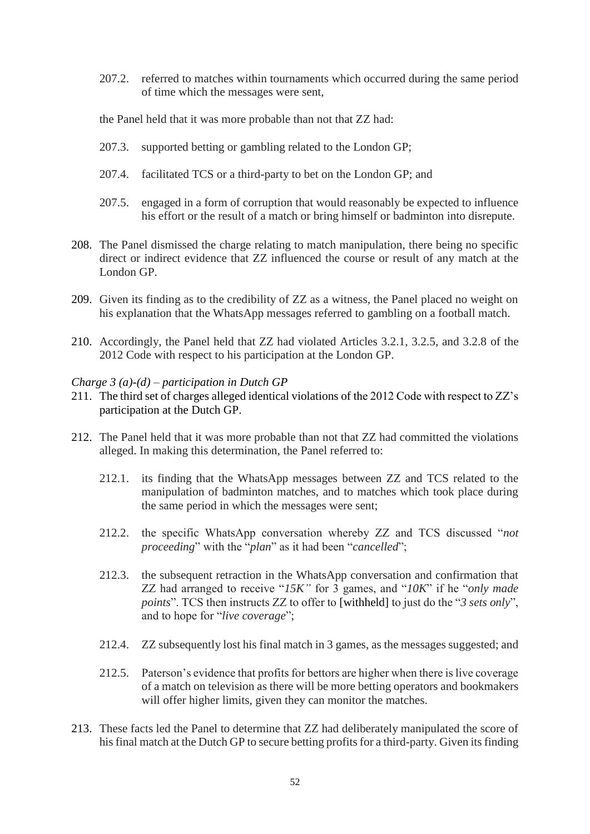207.2. referred to matches within tournaments which occurred during the same period of time which the messages were sent,

the Panel held that it was more probable than not that ZZ had:

- 207.3. supported betting or gambling related to the London GP;
- 207.4. facilitated TCS or a third-party to bet on the London GP; and
- 207.5. engaged in a form of corruption that would reasonably be expected to influence his effort or the result of a match or bring himself or badminton into disrepute.
- 208. The Panel dismissed the charge relating to match manipulation, there being no specific direct or indirect evidence that ZZ influenced the course or result of any match at the London GP.
- 209. Given its finding as to the credibility of ZZ as a witness, the Panel placed no weight on his explanation that the WhatsApp messages referred to gambling on a football match.
- 210. Accordingly, the Panel held that ZZ had violated Articles 3.2.1, 3.2.5, and 3.2.8 of the 2012 Code with respect to his participation at the London GP.

#### *Charge 3 (a)-(d) – participation in Dutch GP*

- 211. The third set of charges alleged identical violations of the 2012 Code with respect to ZZ's participation at the Dutch GP.
- 212. The Panel held that it was more probable than not that ZZ had committed the violations alleged. In making this determination, the Panel referred to:
	- 212.1. its finding that the WhatsApp messages between ZZ and TCS related to the manipulation of badminton matches, and to matches which took place during the same period in which the messages were sent;
	- 212.2. the specific WhatsApp conversation whereby ZZ and TCS discussed "*not proceeding*" with the "*plan*" as it had been "*cancelled*";
	- 212.3. the subsequent retraction in the WhatsApp conversation and confirmation that ZZ had arranged to receive "*15K"* for 3 games, and "*10K*" if he "*only made points*". TCS then instructs ZZ to offer to [withheld] to just do the "*3 sets only*", and to hope for "*live coverage*";
	- 212.4. ZZ subsequently lost his final match in 3 games, as the messages suggested; and
	- 212.5. Paterson's evidence that profits for bettors are higher when there is live coverage of a match on television as there will be more betting operators and bookmakers will offer higher limits, given they can monitor the matches.
- 213. These facts led the Panel to determine that ZZ had deliberately manipulated the score of his final match at the Dutch GP to secure betting profits for a third-party. Given its finding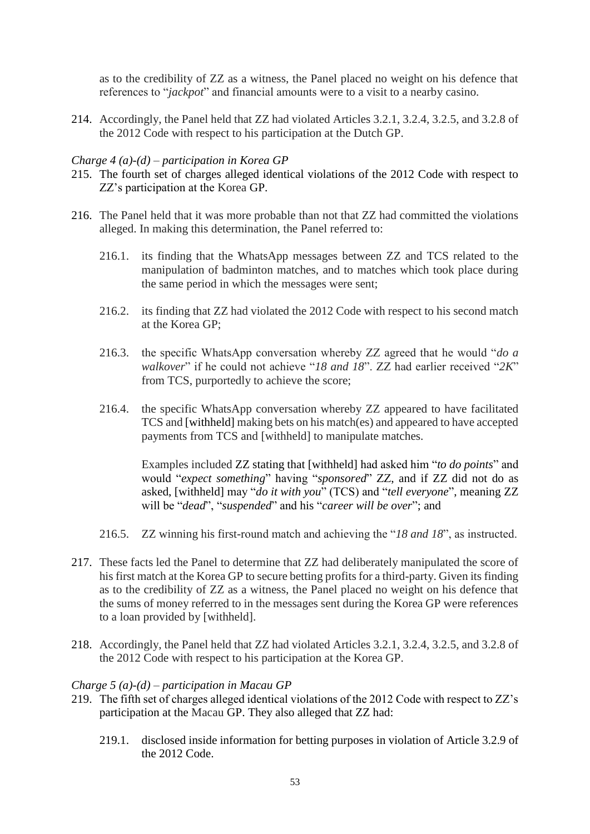as to the credibility of ZZ as a witness, the Panel placed no weight on his defence that references to "*jackpot*" and financial amounts were to a visit to a nearby casino.

214. Accordingly, the Panel held that ZZ had violated Articles 3.2.1, 3.2.4, 3.2.5, and 3.2.8 of the 2012 Code with respect to his participation at the Dutch GP.

#### *Charge 4 (a)-(d) – participation in Korea GP*

- 215. The fourth set of charges alleged identical violations of the 2012 Code with respect to ZZ's participation at the Korea GP.
- 216. The Panel held that it was more probable than not that ZZ had committed the violations alleged. In making this determination, the Panel referred to:
	- 216.1. its finding that the WhatsApp messages between ZZ and TCS related to the manipulation of badminton matches, and to matches which took place during the same period in which the messages were sent;
	- 216.2. its finding that ZZ had violated the 2012 Code with respect to his second match at the Korea GP;
	- 216.3. the specific WhatsApp conversation whereby ZZ agreed that he would "*do a walkover*" if he could not achieve "*18 and 18*". ZZ had earlier received "*2K*" from TCS, purportedly to achieve the score;
	- 216.4. the specific WhatsApp conversation whereby ZZ appeared to have facilitated TCS and [withheld] making bets on his match(es) and appeared to have accepted payments from TCS and [withheld] to manipulate matches.

Examples included ZZ stating that [withheld] had asked him "*to do points*" and would "*expect something*" having "*sponsored*" ZZ, and if ZZ did not do as asked, [withheld] may "*do it with you*" (TCS) and "*tell everyone*", meaning ZZ will be "*dead*", "*suspended*" and his "*career will be over*"; and

- 216.5. ZZ winning his first-round match and achieving the "*18 and 18*", as instructed.
- 217. These facts led the Panel to determine that ZZ had deliberately manipulated the score of his first match at the Korea GP to secure betting profits for a third-party. Given its finding as to the credibility of ZZ as a witness, the Panel placed no weight on his defence that the sums of money referred to in the messages sent during the Korea GP were references to a loan provided by [withheld].
- 218. Accordingly, the Panel held that ZZ had violated Articles 3.2.1, 3.2.4, 3.2.5, and 3.2.8 of the 2012 Code with respect to his participation at the Korea GP.

#### *Charge 5 (a)-(d) – participation in Macau GP*

- 219. The fifth set of charges alleged identical violations of the 2012 Code with respect to ZZ's participation at the Macau GP. They also alleged that ZZ had:
	- 219.1. disclosed inside information for betting purposes in violation of Article 3.2.9 of the 2012 Code.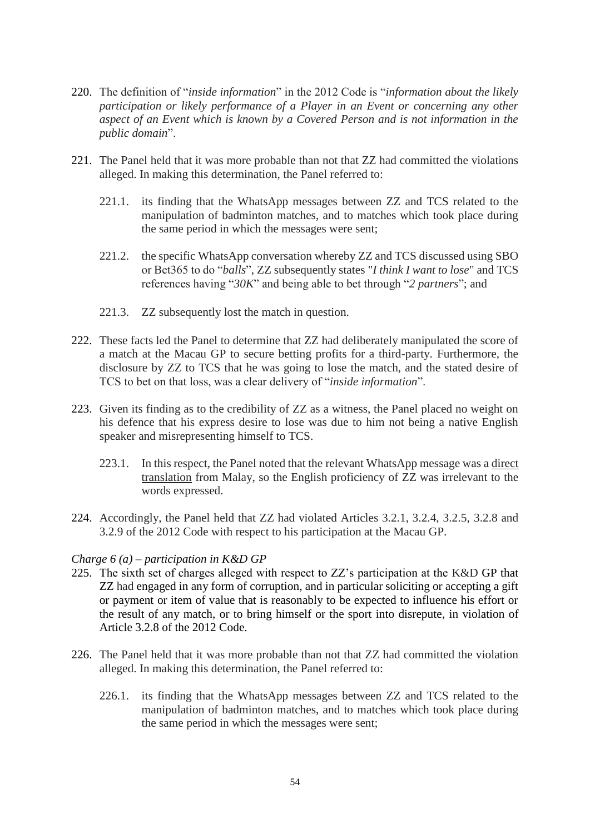- 220. The definition of "*inside information*" in the 2012 Code is "*information about the likely participation or likely performance of a Player in an Event or concerning any other aspect of an Event which is known by a Covered Person and is not information in the public domain*".
- 221. The Panel held that it was more probable than not that ZZ had committed the violations alleged. In making this determination, the Panel referred to:
	- 221.1. its finding that the WhatsApp messages between ZZ and TCS related to the manipulation of badminton matches, and to matches which took place during the same period in which the messages were sent;
	- 221.2. the specific WhatsApp conversation whereby ZZ and TCS discussed using SBO or Bet365 to do "*balls*", ZZ subsequently states "*I think I want to lose*" and TCS references having "*30K*" and being able to bet through "*2 partners*"; and
	- 221.3. ZZ subsequently lost the match in question.
- 222. These facts led the Panel to determine that ZZ had deliberately manipulated the score of a match at the Macau GP to secure betting profits for a third-party. Furthermore, the disclosure by ZZ to TCS that he was going to lose the match, and the stated desire of TCS to bet on that loss, was a clear delivery of "*inside information*".
- 223. Given its finding as to the credibility of ZZ as a witness, the Panel placed no weight on his defence that his express desire to lose was due to him not being a native English speaker and misrepresenting himself to TCS.
	- 223.1. In this respect, the Panel noted that the relevant WhatsApp message was a direct translation from Malay, so the English proficiency of ZZ was irrelevant to the words expressed.
- 224. Accordingly, the Panel held that ZZ had violated Articles 3.2.1, 3.2.4, 3.2.5, 3.2.8 and 3.2.9 of the 2012 Code with respect to his participation at the Macau GP.

### *Charge 6 (a) – participation in K&D GP*

- 225. The sixth set of charges alleged with respect to ZZ's participation at the K&D GP that ZZ had engaged in any form of corruption, and in particular soliciting or accepting a gift or payment or item of value that is reasonably to be expected to influence his effort or the result of any match, or to bring himself or the sport into disrepute, in violation of Article 3.2.8 of the 2012 Code.
- 226. The Panel held that it was more probable than not that ZZ had committed the violation alleged. In making this determination, the Panel referred to:
	- 226.1. its finding that the WhatsApp messages between ZZ and TCS related to the manipulation of badminton matches, and to matches which took place during the same period in which the messages were sent;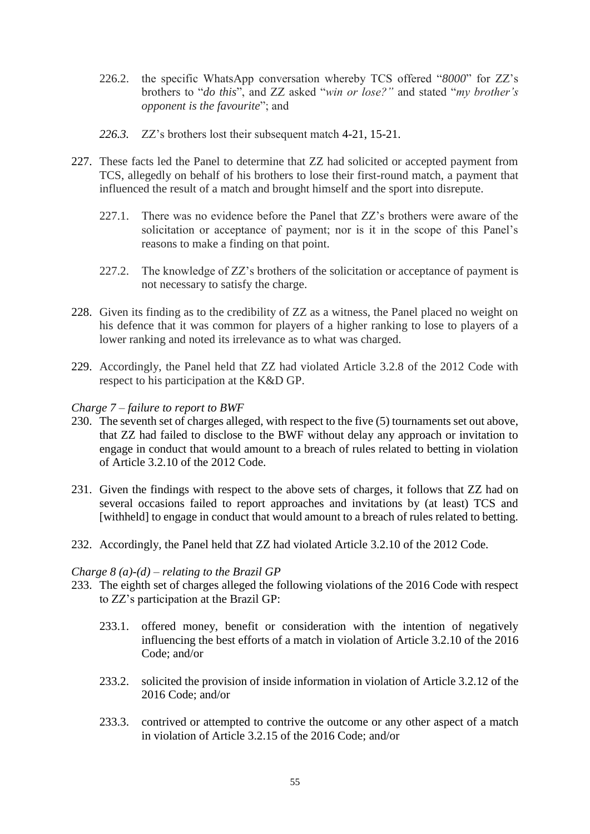- 226.2. the specific WhatsApp conversation whereby TCS offered "*8000*" for ZZ's brothers to "*do this*", and ZZ asked "*win or lose?"* and stated "*my brother's opponent is the favourite*"; and
- *226.3.* ZZ's brothers lost their subsequent match 4-21, 15-21.
- 227. These facts led the Panel to determine that ZZ had solicited or accepted payment from TCS, allegedly on behalf of his brothers to lose their first-round match, a payment that influenced the result of a match and brought himself and the sport into disrepute.
	- 227.1. There was no evidence before the Panel that ZZ's brothers were aware of the solicitation or acceptance of payment; nor is it in the scope of this Panel's reasons to make a finding on that point.
	- 227.2. The knowledge of ZZ's brothers of the solicitation or acceptance of payment is not necessary to satisfy the charge.
- 228. Given its finding as to the credibility of ZZ as a witness, the Panel placed no weight on his defence that it was common for players of a higher ranking to lose to players of a lower ranking and noted its irrelevance as to what was charged.
- 229. Accordingly, the Panel held that ZZ had violated Article 3.2.8 of the 2012 Code with respect to his participation at the K&D GP.

#### *Charge 7 – failure to report to BWF*

- 230. The seventh set of charges alleged, with respect to the five (5) tournaments set out above, that ZZ had failed to disclose to the BWF without delay any approach or invitation to engage in conduct that would amount to a breach of rules related to betting in violation of Article 3.2.10 of the 2012 Code.
- 231. Given the findings with respect to the above sets of charges, it follows that ZZ had on several occasions failed to report approaches and invitations by (at least) TCS and [withheld] to engage in conduct that would amount to a breach of rules related to betting.
- 232. Accordingly, the Panel held that ZZ had violated Article 3.2.10 of the 2012 Code.

#### *Charge 8 (a)-(d) – relating to the Brazil GP*

- 233. The eighth set of charges alleged the following violations of the 2016 Code with respect to ZZ's participation at the Brazil GP:
	- 233.1. offered money, benefit or consideration with the intention of negatively influencing the best efforts of a match in violation of Article 3.2.10 of the 2016 Code; and/or
	- 233.2. solicited the provision of inside information in violation of Article 3.2.12 of the 2016 Code; and/or
	- 233.3. contrived or attempted to contrive the outcome or any other aspect of a match in violation of Article 3.2.15 of the 2016 Code; and/or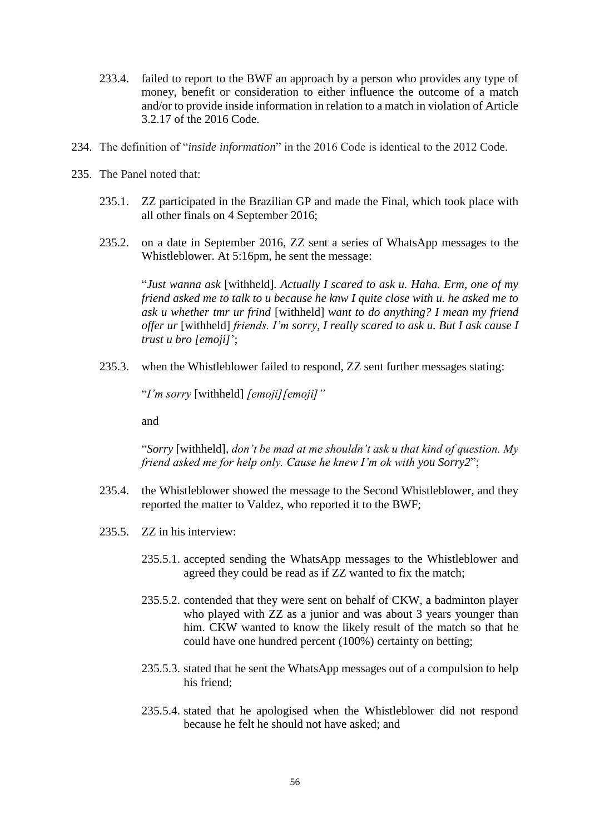- 233.4. failed to report to the BWF an approach by a person who provides any type of money, benefit or consideration to either influence the outcome of a match and/or to provide inside information in relation to a match in violation of Article 3.2.17 of the 2016 Code.
- 234. The definition of "*inside information*" in the 2016 Code is identical to the 2012 Code.
- 235. The Panel noted that:
	- 235.1. ZZ participated in the Brazilian GP and made the Final, which took place with all other finals on 4 September 2016;
	- 235.2. on a date in September 2016, ZZ sent a series of WhatsApp messages to the Whistleblower. At 5:16pm, he sent the message:

"*Just wanna ask* [withheld]*. Actually I scared to ask u. Haha. Erm, one of my friend asked me to talk to u because he knw I quite close with u. he asked me to ask u whether tmr ur frind* [withheld] *want to do anything? I mean my friend offer ur* [withheld] *friends. I'm sorry, I really scared to ask u. But I ask cause I trust u bro [emoji]*';

235.3. when the Whistleblower failed to respond, ZZ sent further messages stating:

"*I'm sorry* [withheld] *[emoji][emoji]"*

and

"*Sorry* [withheld]*, don't be mad at me shouldn't ask u that kind of question. My friend asked me for help only. Cause he knew I'm ok with you Sorry2*";

- 235.4. the Whistleblower showed the message to the Second Whistleblower, and they reported the matter to Valdez, who reported it to the BWF;
- 235.5. ZZ in his interview:
	- 235.5.1. accepted sending the WhatsApp messages to the Whistleblower and agreed they could be read as if ZZ wanted to fix the match;
	- 235.5.2. contended that they were sent on behalf of CKW, a badminton player who played with ZZ as a junior and was about 3 years younger than him. CKW wanted to know the likely result of the match so that he could have one hundred percent (100%) certainty on betting;
	- 235.5.3. stated that he sent the WhatsApp messages out of a compulsion to help his friend;
	- 235.5.4. stated that he apologised when the Whistleblower did not respond because he felt he should not have asked; and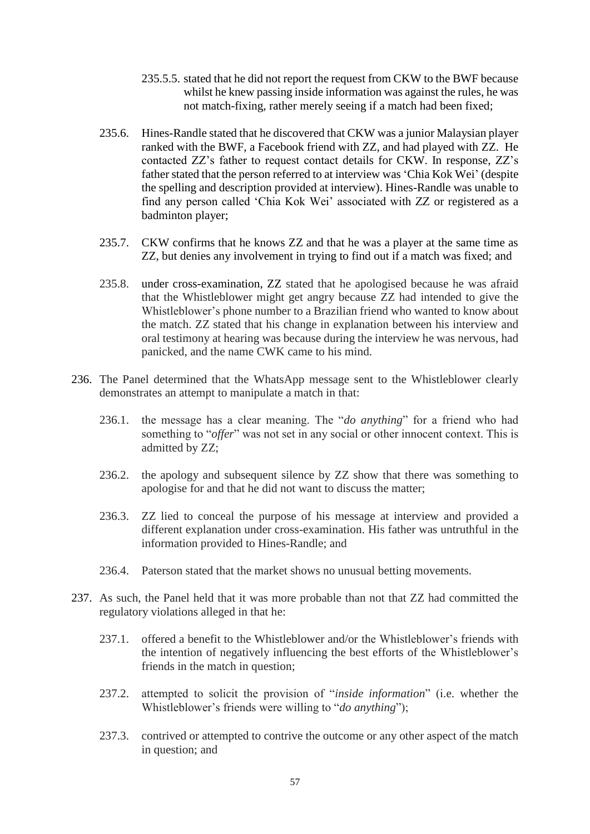- 235.5.5. stated that he did not report the request from CKW to the BWF because whilst he knew passing inside information was against the rules, he was not match-fixing, rather merely seeing if a match had been fixed;
- 235.6. Hines-Randle stated that he discovered that CKW was a junior Malaysian player ranked with the BWF, a Facebook friend with ZZ, and had played with ZZ. He contacted ZZ's father to request contact details for CKW. In response, ZZ's father stated that the person referred to at interview was 'Chia Kok Wei' (despite the spelling and description provided at interview). Hines-Randle was unable to find any person called 'Chia Kok Wei' associated with ZZ or registered as a badminton player;
- 235.7. CKW confirms that he knows ZZ and that he was a player at the same time as ZZ, but denies any involvement in trying to find out if a match was fixed; and
- 235.8. under cross-examination, ZZ stated that he apologised because he was afraid that the Whistleblower might get angry because ZZ had intended to give the Whistleblower's phone number to a Brazilian friend who wanted to know about the match. ZZ stated that his change in explanation between his interview and oral testimony at hearing was because during the interview he was nervous, had panicked, and the name CWK came to his mind.
- 236. The Panel determined that the WhatsApp message sent to the Whistleblower clearly demonstrates an attempt to manipulate a match in that:
	- 236.1. the message has a clear meaning. The "*do anything*" for a friend who had something to "*offer*" was not set in any social or other innocent context. This is admitted by ZZ;
	- 236.2. the apology and subsequent silence by ZZ show that there was something to apologise for and that he did not want to discuss the matter;
	- 236.3. ZZ lied to conceal the purpose of his message at interview and provided a different explanation under cross-examination. His father was untruthful in the information provided to Hines-Randle; and
	- 236.4. Paterson stated that the market shows no unusual betting movements.
- 237. As such, the Panel held that it was more probable than not that ZZ had committed the regulatory violations alleged in that he:
	- 237.1. offered a benefit to the Whistleblower and/or the Whistleblower's friends with the intention of negatively influencing the best efforts of the Whistleblower's friends in the match in question;
	- 237.2. attempted to solicit the provision of "*inside information*" (i.e. whether the Whistleblower's friends were willing to "*do anything*");
	- 237.3. contrived or attempted to contrive the outcome or any other aspect of the match in question; and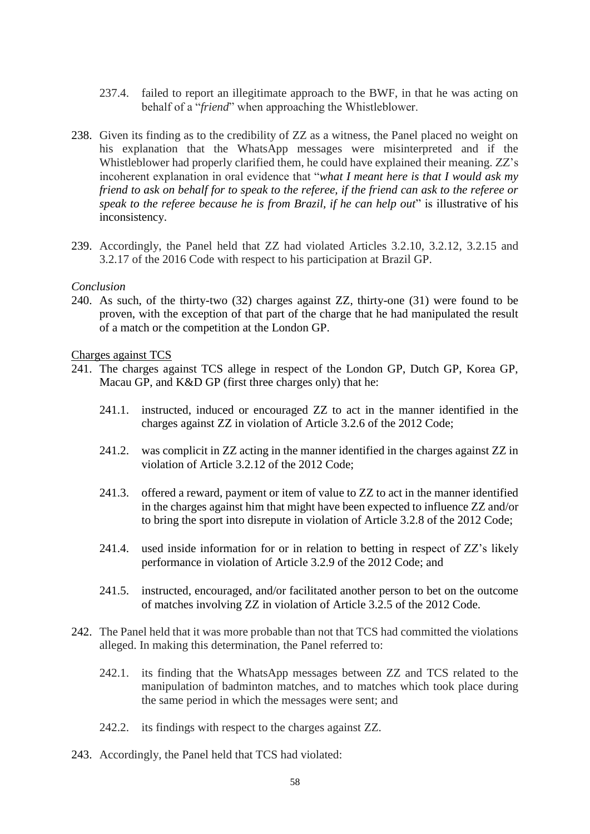- 237.4. failed to report an illegitimate approach to the BWF, in that he was acting on behalf of a "*friend*" when approaching the Whistleblower.
- 238. Given its finding as to the credibility of ZZ as a witness, the Panel placed no weight on his explanation that the WhatsApp messages were misinterpreted and if the Whistleblower had properly clarified them, he could have explained their meaning. ZZ's incoherent explanation in oral evidence that "*what I meant here is that I would ask my friend to ask on behalf for to speak to the referee, if the friend can ask to the referee or speak to the referee because he is from Brazil, if he can help out*" is illustrative of his inconsistency.
- 239. Accordingly, the Panel held that ZZ had violated Articles 3.2.10, 3.2.12, 3.2.15 and 3.2.17 of the 2016 Code with respect to his participation at Brazil GP.

#### *Conclusion*

240. As such, of the thirty-two (32) charges against ZZ, thirty-one (31) were found to be proven, with the exception of that part of the charge that he had manipulated the result of a match or the competition at the London GP.

Charges against TCS

- 241. The charges against TCS allege in respect of the London GP, Dutch GP, Korea GP, Macau GP, and K&D GP (first three charges only) that he:
	- 241.1. instructed, induced or encouraged ZZ to act in the manner identified in the charges against ZZ in violation of Article 3.2.6 of the 2012 Code;
	- 241.2. was complicit in ZZ acting in the manner identified in the charges against ZZ in violation of Article 3.2.12 of the 2012 Code;
	- 241.3. offered a reward, payment or item of value to ZZ to act in the manner identified in the charges against him that might have been expected to influence ZZ and/or to bring the sport into disrepute in violation of Article 3.2.8 of the 2012 Code;
	- 241.4. used inside information for or in relation to betting in respect of ZZ's likely performance in violation of Article 3.2.9 of the 2012 Code; and
	- 241.5. instructed, encouraged, and/or facilitated another person to bet on the outcome of matches involving ZZ in violation of Article 3.2.5 of the 2012 Code.
- 242. The Panel held that it was more probable than not that TCS had committed the violations alleged. In making this determination, the Panel referred to:
	- 242.1. its finding that the WhatsApp messages between ZZ and TCS related to the manipulation of badminton matches, and to matches which took place during the same period in which the messages were sent; and
	- 242.2. its findings with respect to the charges against ZZ.
- 243. Accordingly, the Panel held that TCS had violated: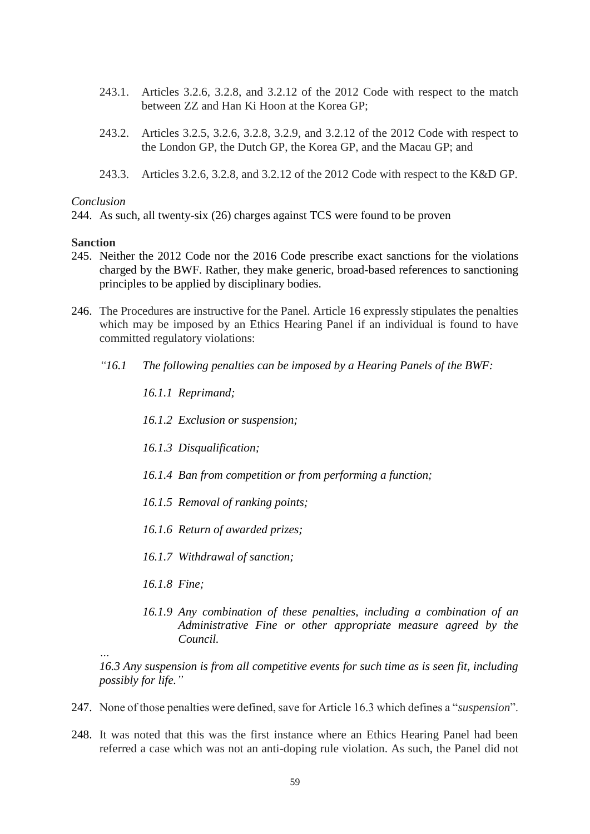- 243.1. Articles 3.2.6, 3.2.8, and 3.2.12 of the 2012 Code with respect to the match between ZZ and Han Ki Hoon at the Korea GP;
- 243.2. Articles 3.2.5, 3.2.6, 3.2.8, 3.2.9, and 3.2.12 of the 2012 Code with respect to the London GP, the Dutch GP, the Korea GP, and the Macau GP; and
- 243.3. Articles 3.2.6, 3.2.8, and 3.2.12 of the 2012 Code with respect to the K&D GP.

#### *Conclusion*

244. As such, all twenty-six (26) charges against TCS were found to be proven

#### **Sanction**

- 245. Neither the 2012 Code nor the 2016 Code prescribe exact sanctions for the violations charged by the BWF. Rather, they make generic, broad-based references to sanctioning principles to be applied by disciplinary bodies.
- 246. The Procedures are instructive for the Panel. Article 16 expressly stipulates the penalties which may be imposed by an Ethics Hearing Panel if an individual is found to have committed regulatory violations:
	- *"16.1 The following penalties can be imposed by a Hearing Panels of the BWF:* 
		- *16.1.1 Reprimand;*
		- *16.1.2 Exclusion or suspension;*
		- *16.1.3 Disqualification;*
		- *16.1.4 Ban from competition or from performing a function;*
		- *16.1.5 Removal of ranking points;*
		- *16.1.6 Return of awarded prizes;*
		- *16.1.7 Withdrawal of sanction;*
		- *16.1.8 Fine;*

*…*

*16.1.9 Any combination of these penalties, including a combination of an Administrative Fine or other appropriate measure agreed by the Council.* 

*16.3 Any suspension is from all competitive events for such time as is seen fit, including possibly for life."*

- 247. None of those penalties were defined, save for Article 16.3 which defines a "*suspension*".
- 248. It was noted that this was the first instance where an Ethics Hearing Panel had been referred a case which was not an anti-doping rule violation. As such, the Panel did not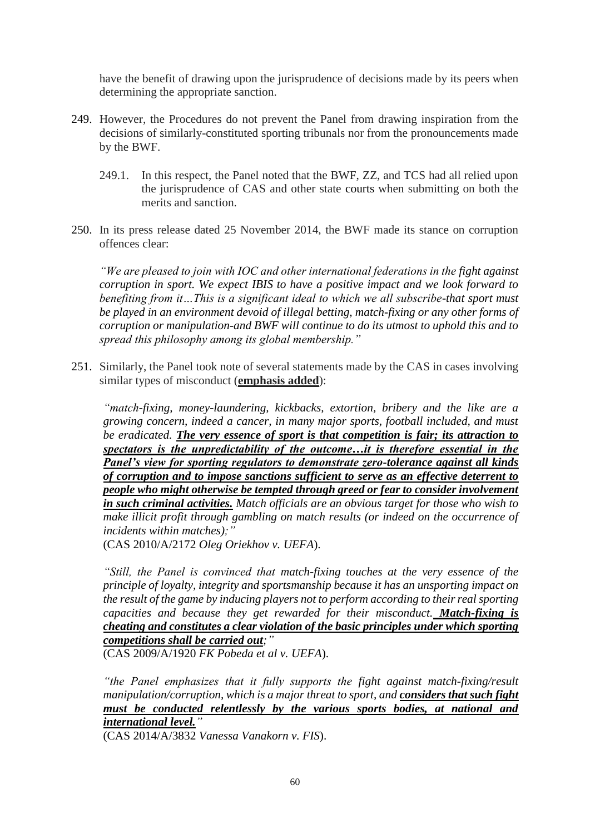have the benefit of drawing upon the jurisprudence of decisions made by its peers when determining the appropriate sanction.

- 249. However, the Procedures do not prevent the Panel from drawing inspiration from the decisions of similarly-constituted sporting tribunals nor from the pronouncements made by the BWF.
	- 249.1. In this respect, the Panel noted that the BWF, ZZ, and TCS had all relied upon the jurisprudence of CAS and other state courts when submitting on both the merits and sanction.
- 250. In its press release dated 25 November 2014, the BWF made its stance on corruption offences clear:

*"We are pleased to join with IOC and other international federations in the fight against corruption in sport. We expect IBIS to have a positive impact and we look forward to benefiting from it…This is a significant ideal to which we all subscribe-that sport must be played in an environment devoid of illegal betting, match-fixing or any other forms of corruption or manipulation-and BWF will continue to do its utmost to uphold this and to spread this philosophy among its global membership."*

251. Similarly, the Panel took note of several statements made by the CAS in cases involving similar types of misconduct (**emphasis added**):

*"match-fixing, money-laundering, kickbacks, extortion, bribery and the like are a growing concern, indeed a cancer, in many major sports, football included, and must be eradicated. The very essence of sport is that competition is fair; its attraction to spectators is the unpredictability of the outcome…it is therefore essential in the Panel's view for sporting regulators to demonstrate zero-tolerance against all kinds of corruption and to impose sanctions sufficient to serve as an effective deterrent to people who might otherwise be tempted through greed or fear to consider involvement in such criminal activities. Match officials are an obvious target for those who wish to make illicit profit through gambling on match results (or indeed on the occurrence of incidents within matches);"* (CAS 2010/A/2172 *Oleg Oriekhov v. UEFA*).

*"Still, the Panel is convinced that match-fixing touches at the very essence of the principle of loyalty, integrity and sportsmanship because it has an unsporting impact on the result of the game by inducing players not to perform according to their real sporting capacities and because they get rewarded for their misconduct. Match-fixing is cheating and constitutes a clear violation of the basic principles under which sporting competitions shall be carried out;"*

(CAS 2009/A/1920 *FK Pobeda et al v. UEFA*).

*"the Panel emphasizes that it fully supports the fight against match-fixing/result manipulation/corruption, which is a major threat to sport, and <i>considers that such fight must be conducted relentlessly by the various sports bodies, at national and international level."*

(CAS 2014/A/3832 *Vanessa Vanakorn v. FIS*).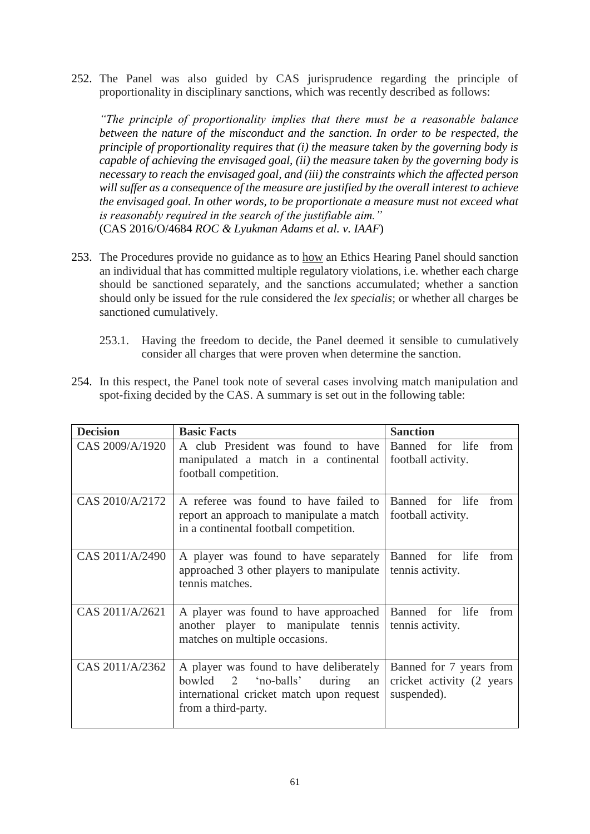252. The Panel was also guided by CAS jurisprudence regarding the principle of proportionality in disciplinary sanctions, which was recently described as follows:

*"The principle of proportionality implies that there must be a reasonable balance between the nature of the misconduct and the sanction. In order to be respected, the principle of proportionality requires that (i) the measure taken by the governing body is capable of achieving the envisaged goal, (ii) the measure taken by the governing body is necessary to reach the envisaged goal, and (iii) the constraints which the affected person will suffer as a consequence of the measure are justified by the overall interest to achieve the envisaged goal. In other words, to be proportionate a measure must not exceed what is reasonably required in the search of the justifiable aim."*  (CAS 2016/O/4684 *ROC & Lyukman Adams et al. v. IAAF*)

- 253. The Procedures provide no guidance as to how an Ethics Hearing Panel should sanction an individual that has committed multiple regulatory violations, i.e. whether each charge should be sanctioned separately, and the sanctions accumulated; whether a sanction should only be issued for the rule considered the *lex specialis*; or whether all charges be sanctioned cumulatively.
	- 253.1. Having the freedom to decide, the Panel deemed it sensible to cumulatively consider all charges that were proven when determine the sanction.
- 254. In this respect, the Panel took note of several cases involving match manipulation and spot-fixing decided by the CAS. A summary is set out in the following table:

| <b>Decision</b> | <b>Basic Facts</b>                                                                                                                                   | <b>Sanction</b>                                                      |
|-----------------|------------------------------------------------------------------------------------------------------------------------------------------------------|----------------------------------------------------------------------|
| CAS 2009/A/1920 | A club President was found to have<br>manipulated a match in a continental<br>football competition.                                                  | Banned for life<br>from<br>football activity.                        |
| CAS 2010/A/2172 | A referee was found to have failed to<br>report an approach to manipulate a match<br>in a continental football competition.                          | Banned for life<br>from<br>football activity.                        |
| CAS 2011/A/2490 | A player was found to have separately<br>approached 3 other players to manipulate<br>tennis matches.                                                 | Banned for life<br>from<br>tennis activity.                          |
| CAS 2011/A/2621 | A player was found to have approached<br>another player to manipulate tennis<br>matches on multiple occasions.                                       | Banned for life<br>from<br>tennis activity.                          |
| CAS 2011/A/2362 | A player was found to have deliberately<br>bowled 2<br>'no-balls'<br>during<br>an<br>international cricket match upon request<br>from a third-party. | Banned for 7 years from<br>cricket activity (2 years)<br>suspended). |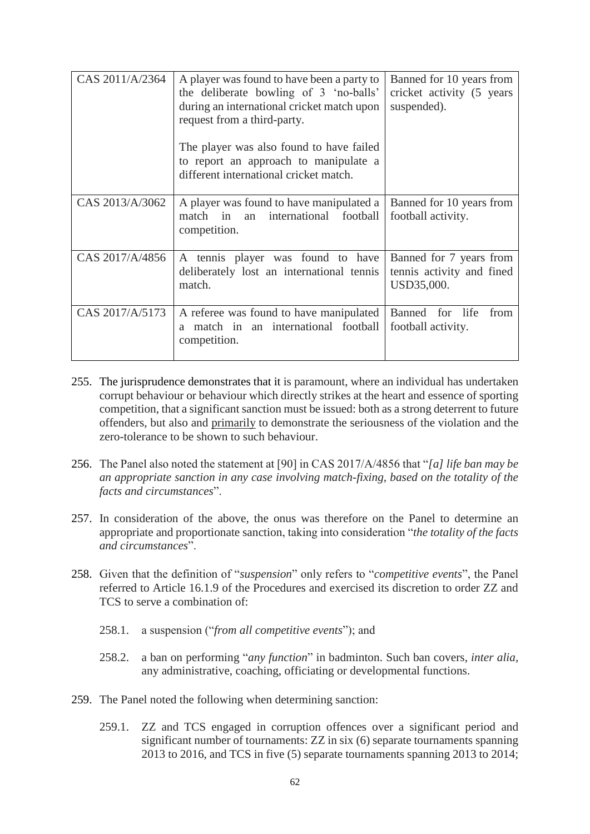| CAS 2011/A/2364 | A player was found to have been a party to<br>the deliberate bowling of 3 'no-balls'<br>during an international cricket match upon<br>request from a third-party.<br>The player was also found to have failed<br>to report an approach to manipulate a<br>different international cricket match. | Banned for 10 years from<br>cricket activity (5 years)<br>suspended). |
|-----------------|--------------------------------------------------------------------------------------------------------------------------------------------------------------------------------------------------------------------------------------------------------------------------------------------------|-----------------------------------------------------------------------|
| CAS 2013/A/3062 | A player was found to have manipulated a<br>international football<br>match in<br>an<br>competition.                                                                                                                                                                                             | Banned for 10 years from<br>football activity.                        |
| CAS 2017/A/4856 | A tennis player was found to have<br>deliberately lost an international tennis<br>match.                                                                                                                                                                                                         | Banned for 7 years from<br>tennis activity and fined<br>USD35,000.    |
| CAS 2017/A/5173 | A referee was found to have manipulated<br>match in an international football<br>a<br>competition.                                                                                                                                                                                               | Banned for life<br>from<br>football activity.                         |

- 255. The jurisprudence demonstrates that it is paramount, where an individual has undertaken corrupt behaviour or behaviour which directly strikes at the heart and essence of sporting competition, that a significant sanction must be issued: both as a strong deterrent to future offenders, but also and primarily to demonstrate the seriousness of the violation and the zero-tolerance to be shown to such behaviour.
- 256. The Panel also noted the statement at [90] in CAS 2017/A/4856 that "*[a] life ban may be an appropriate sanction in any case involving match-fixing, based on the totality of the facts and circumstances*".
- 257. In consideration of the above, the onus was therefore on the Panel to determine an appropriate and proportionate sanction, taking into consideration "*the totality of the facts and circumstances*".
- 258. Given that the definition of "*suspension*" only refers to "*competitive events*", the Panel referred to Article 16.1.9 of the Procedures and exercised its discretion to order ZZ and TCS to serve a combination of:
	- 258.1. a suspension ("*from all competitive events*"); and
	- 258.2. a ban on performing "*any function*" in badminton. Such ban covers, *inter alia*, any administrative, coaching, officiating or developmental functions.
- 259. The Panel noted the following when determining sanction:
	- 259.1. ZZ and TCS engaged in corruption offences over a significant period and significant number of tournaments: ZZ in six (6) separate tournaments spanning 2013 to 2016, and TCS in five (5) separate tournaments spanning 2013 to 2014;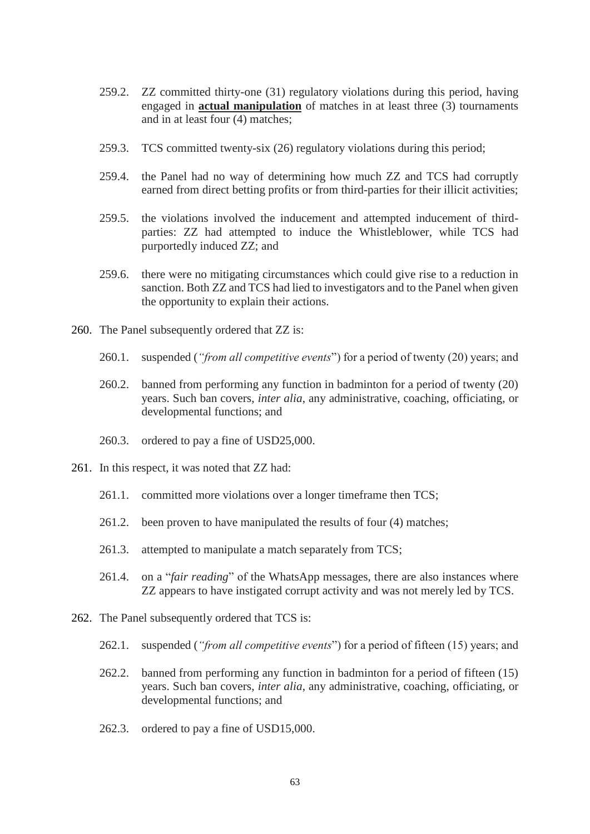- 259.2. ZZ committed thirty-one (31) regulatory violations during this period, having engaged in **actual manipulation** of matches in at least three (3) tournaments and in at least four (4) matches;
- 259.3. TCS committed twenty-six (26) regulatory violations during this period;
- 259.4. the Panel had no way of determining how much ZZ and TCS had corruptly earned from direct betting profits or from third-parties for their illicit activities;
- 259.5. the violations involved the inducement and attempted inducement of thirdparties: ZZ had attempted to induce the Whistleblower, while TCS had purportedly induced ZZ; and
- 259.6. there were no mitigating circumstances which could give rise to a reduction in sanction. Both ZZ and TCS had lied to investigators and to the Panel when given the opportunity to explain their actions.
- 260. The Panel subsequently ordered that ZZ is:
	- 260.1. suspended (*"from all competitive events*") for a period of twenty (20) years; and
	- 260.2. banned from performing any function in badminton for a period of twenty (20) years. Such ban covers, *inter alia*, any administrative, coaching, officiating, or developmental functions; and
	- 260.3. ordered to pay a fine of USD25,000.
- 261. In this respect, it was noted that ZZ had:
	- 261.1. committed more violations over a longer timeframe then TCS;
	- 261.2. been proven to have manipulated the results of four (4) matches;
	- 261.3. attempted to manipulate a match separately from TCS;
	- 261.4. on a "*fair reading*" of the WhatsApp messages, there are also instances where ZZ appears to have instigated corrupt activity and was not merely led by TCS.
- 262. The Panel subsequently ordered that TCS is:
	- 262.1. suspended (*"from all competitive events*") for a period of fifteen (15) years; and
	- 262.2. banned from performing any function in badminton for a period of fifteen (15) years. Such ban covers, *inter alia*, any administrative, coaching, officiating, or developmental functions; and
	- 262.3. ordered to pay a fine of USD15,000.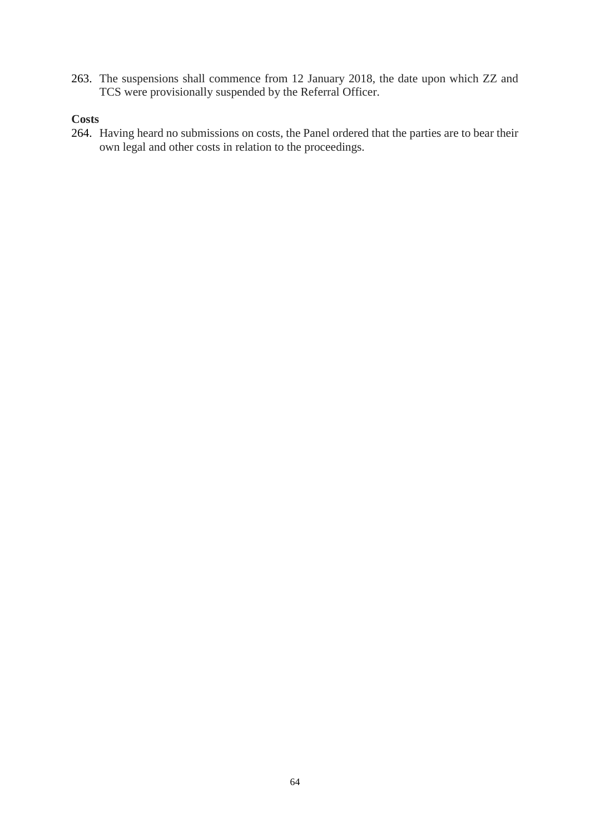263. The suspensions shall commence from 12 January 2018, the date upon which ZZ and TCS were provisionally suspended by the Referral Officer.

# **Costs**

264. Having heard no submissions on costs, the Panel ordered that the parties are to bear their own legal and other costs in relation to the proceedings.